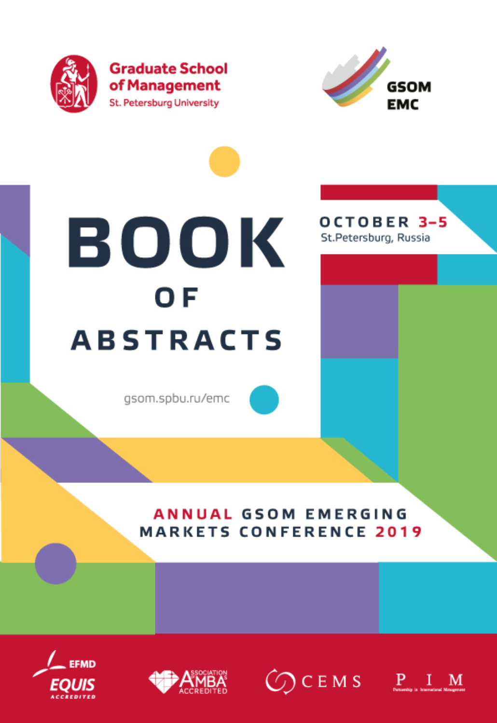

**Graduate School** of Management **St. Petersburg University** 



OCTOBER 3-5

St.Petersburg, Russia

# BOOK 0F **ABSTRACTS**

gsom.spbu.ru/emc

# **ANNUAL GSOM EMERGING MARKETS CONFERENCE 2019**





 $\bigcirc$  CEMS PIM

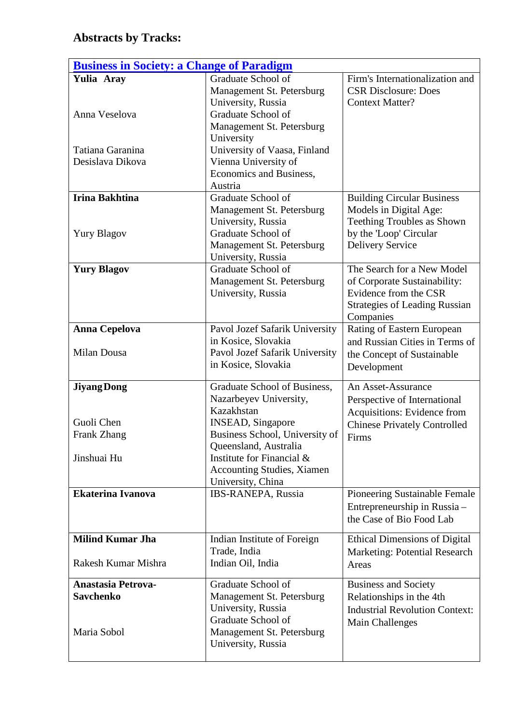# **Abstracts by Tracks:**

| <b>Business in Society: a Change of Paradigm</b>               |                                                                                                                                                                                                                                                    |                                                                                                                                                |  |
|----------------------------------------------------------------|----------------------------------------------------------------------------------------------------------------------------------------------------------------------------------------------------------------------------------------------------|------------------------------------------------------------------------------------------------------------------------------------------------|--|
| Yulia Aray                                                     | Graduate School of<br>Management St. Petersburg                                                                                                                                                                                                    | Firm's Internationalization and<br><b>CSR Disclosure: Does</b>                                                                                 |  |
| Anna Veselova                                                  | University, Russia<br>Graduate School of<br>Management St. Petersburg<br>University                                                                                                                                                                | <b>Context Matter?</b>                                                                                                                         |  |
| Tatiana Garanina<br>Desislava Dikova                           | University of Vaasa, Finland<br>Vienna University of<br>Economics and Business,<br>Austria                                                                                                                                                         |                                                                                                                                                |  |
| <b>Irina Bakhtina</b><br><b>Yury Blagov</b>                    | Graduate School of<br>Management St. Petersburg<br>University, Russia<br>Graduate School of<br>Management St. Petersburg<br>University, Russia                                                                                                     | <b>Building Circular Business</b><br>Models in Digital Age:<br>Teething Troubles as Shown<br>by the 'Loop' Circular<br><b>Delivery Service</b> |  |
| <b>Yury Blagov</b>                                             | Graduate School of<br>Management St. Petersburg<br>University, Russia                                                                                                                                                                              | The Search for a New Model<br>of Corporate Sustainability:<br>Evidence from the CSR<br><b>Strategies of Leading Russian</b><br>Companies       |  |
| <b>Anna Cepelova</b><br>Milan Dousa                            | Pavol Jozef Safarik University<br>in Kosice, Slovakia<br>Pavol Jozef Safarik University<br>in Kosice, Slovakia                                                                                                                                     | Rating of Eastern European<br>and Russian Cities in Terms of<br>the Concept of Sustainable<br>Development                                      |  |
| <b>Jiyang Dong</b><br>Guoli Chen<br>Frank Zhang<br>Jinshuai Hu | Graduate School of Business,<br>Nazarbeyev University,<br>Kazakhstan<br><b>INSEAD, Singapore</b><br>Business School, University of<br>Queensland, Australia<br>Institute for Financial &<br><b>Accounting Studies, Xiamen</b><br>University, China | An Asset-Assurance<br>Perspective of International<br>Acquisitions: Evidence from<br><b>Chinese Privately Controlled</b><br>Firms              |  |
| <b>Ekaterina Ivanova</b>                                       | IBS-RANEPA, Russia                                                                                                                                                                                                                                 | Pioneering Sustainable Female<br>Entrepreneurship in Russia-<br>the Case of Bio Food Lab                                                       |  |
| <b>Milind Kumar Jha</b><br>Rakesh Kumar Mishra                 | Indian Institute of Foreign<br>Trade, India<br>Indian Oil, India                                                                                                                                                                                   | <b>Ethical Dimensions of Digital</b><br><b>Marketing: Potential Research</b><br>Areas                                                          |  |
| <b>Anastasia Petrova-</b><br><b>Savchenko</b><br>Maria Sobol   | Graduate School of<br>Management St. Petersburg<br>University, Russia<br>Graduate School of<br>Management St. Petersburg                                                                                                                           | <b>Business and Society</b><br>Relationships in the 4th<br><b>Industrial Revolution Context:</b><br><b>Main Challenges</b>                     |  |
|                                                                | University, Russia                                                                                                                                                                                                                                 |                                                                                                                                                |  |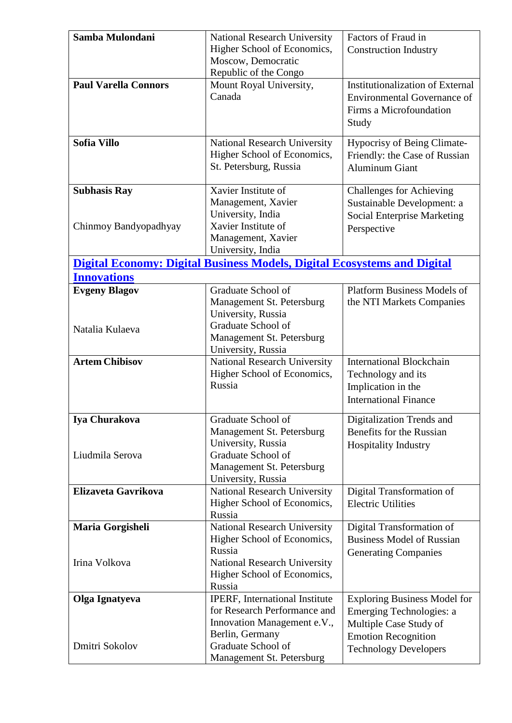| Samba Mulondani             | <b>National Research University</b>                                             | Factors of Fraud in                                          |
|-----------------------------|---------------------------------------------------------------------------------|--------------------------------------------------------------|
|                             | Higher School of Economics,                                                     | <b>Construction Industry</b>                                 |
|                             | Moscow, Democratic                                                              |                                                              |
|                             | Republic of the Congo                                                           |                                                              |
| <b>Paul Varella Connors</b> | Mount Royal University,                                                         | <b>Institutionalization of External</b>                      |
|                             | Canada                                                                          | <b>Environmental Governance of</b>                           |
|                             |                                                                                 | Firms a Microfoundation                                      |
|                             |                                                                                 | Study                                                        |
| Sofia Villo                 | <b>National Research University</b>                                             | <b>Hypocrisy of Being Climate-</b>                           |
|                             | Higher School of Economics,                                                     | Friendly: the Case of Russian                                |
|                             | St. Petersburg, Russia                                                          | <b>Aluminum Giant</b>                                        |
|                             |                                                                                 |                                                              |
| <b>Subhasis Ray</b>         | Xavier Institute of                                                             | <b>Challenges for Achieving</b>                              |
|                             | Management, Xavier                                                              | Sustainable Development: a                                   |
|                             | University, India                                                               | <b>Social Enterprise Marketing</b>                           |
| Chinmoy Bandyopadhyay       | Xavier Institute of                                                             | Perspective                                                  |
|                             | Management, Xavier                                                              |                                                              |
|                             | University, India                                                               |                                                              |
|                             | <b>Digital Economy: Digital Business Models, Digital Ecosystems and Digital</b> |                                                              |
| <b>Innovations</b>          |                                                                                 |                                                              |
| <b>Evgeny Blagov</b>        | Graduate School of                                                              | <b>Platform Business Models of</b>                           |
|                             | Management St. Petersburg<br>University, Russia                                 | the NTI Markets Companies                                    |
|                             | Graduate School of                                                              |                                                              |
| Natalia Kulaeva             | Management St. Petersburg                                                       |                                                              |
|                             | University, Russia                                                              |                                                              |
| <b>Artem Chibisov</b>       | <b>National Research University</b>                                             | <b>International Blockchain</b>                              |
|                             | Higher School of Economics,                                                     | Technology and its                                           |
|                             | Russia                                                                          | Implication in the                                           |
|                             |                                                                                 | <b>International Finance</b>                                 |
|                             |                                                                                 |                                                              |
| Iya Churakova               | Graduate School of                                                              | Digitalization Trends and<br><b>Benefits for the Russian</b> |
|                             | Management St. Petersburg<br>University, Russia                                 |                                                              |
| Liudmila Serova             | Graduate School of                                                              | <b>Hospitality Industry</b>                                  |
|                             | Management St. Petersburg                                                       |                                                              |
|                             | University, Russia                                                              |                                                              |
| Elizaveta Gavrikova         | <b>National Research University</b>                                             | Digital Transformation of                                    |
|                             | Higher School of Economics,                                                     | <b>Electric Utilities</b>                                    |
|                             | Russia                                                                          |                                                              |
| Maria Gorgisheli            | <b>National Research University</b>                                             | Digital Transformation of                                    |
|                             | Higher School of Economics,                                                     | <b>Business Model of Russian</b>                             |
|                             | Russia                                                                          | <b>Generating Companies</b>                                  |
| Irina Volkova               | National Research University                                                    |                                                              |
|                             | Higher School of Economics,<br>Russia                                           |                                                              |
|                             |                                                                                 | <b>Exploring Business Model for</b>                          |
| Olga Ignatyeva              | IPERF, International Institute<br>for Research Performance and                  | Emerging Technologies: a                                     |
|                             | Innovation Management e.V.,                                                     | Multiple Case Study of                                       |
|                             | Berlin, Germany                                                                 | <b>Emotion Recognition</b>                                   |
| Dmitri Sokolov              | Graduate School of                                                              | <b>Technology Developers</b>                                 |
|                             | Management St. Petersburg                                                       |                                                              |
|                             |                                                                                 |                                                              |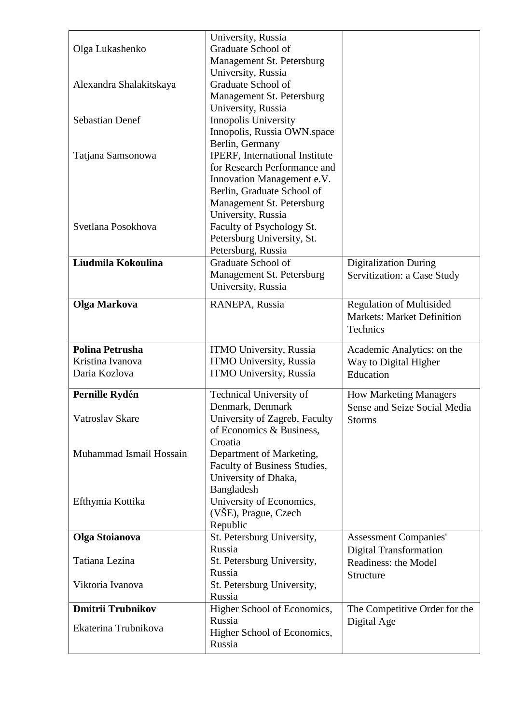| Olga Lukashenko          | University, Russia<br>Graduate School of                   |                                                                      |
|--------------------------|------------------------------------------------------------|----------------------------------------------------------------------|
|                          | Management St. Petersburg                                  |                                                                      |
| Alexandra Shalakitskaya  | University, Russia<br>Graduate School of                   |                                                                      |
|                          | Management St. Petersburg                                  |                                                                      |
|                          | University, Russia                                         |                                                                      |
| <b>Sebastian Denef</b>   | Innopolis University                                       |                                                                      |
|                          | Innopolis, Russia OWN.space                                |                                                                      |
|                          | Berlin, Germany                                            |                                                                      |
| Tatjana Samsonowa        | IPERF, International Institute                             |                                                                      |
|                          | for Research Performance and<br>Innovation Management e.V. |                                                                      |
|                          | Berlin, Graduate School of                                 |                                                                      |
|                          | Management St. Petersburg                                  |                                                                      |
|                          | University, Russia                                         |                                                                      |
| Svetlana Posokhova       | Faculty of Psychology St.                                  |                                                                      |
|                          | Petersburg University, St.                                 |                                                                      |
|                          | Petersburg, Russia                                         |                                                                      |
| Liudmila Kokoulina       | Graduate School of<br>Management St. Petersburg            | <b>Digitalization During</b>                                         |
|                          | University, Russia                                         | Servitization: a Case Study                                          |
|                          |                                                            |                                                                      |
| Olga Markova             | RANEPA, Russia                                             | <b>Regulation of Multisided</b><br><b>Markets: Market Definition</b> |
|                          |                                                            | Technics                                                             |
|                          |                                                            |                                                                      |
|                          |                                                            |                                                                      |
| <b>Polina Petrusha</b>   | <b>ITMO University, Russia</b>                             | Academic Analytics: on the                                           |
| Kristina Ivanova         | <b>ITMO University, Russia</b>                             | Way to Digital Higher                                                |
| Daria Kozlova            | <b>ITMO University, Russia</b>                             | Education                                                            |
| Pernille Rydén           | Technical University of                                    | <b>How Marketing Managers</b>                                        |
|                          | Denmark, Denmark                                           | Sense and Seize Social Media                                         |
| Vatroslav Skare          | University of Zagreb, Faculty                              | <b>Storms</b>                                                        |
|                          | of Economics & Business,                                   |                                                                      |
|                          | Croatia                                                    |                                                                      |
| Muhammad Ismail Hossain  | Department of Marketing,<br>Faculty of Business Studies,   |                                                                      |
|                          | University of Dhaka,                                       |                                                                      |
|                          | Bangladesh                                                 |                                                                      |
| Efthymia Kottika         | University of Economics,                                   |                                                                      |
|                          | (VŠE), Prague, Czech                                       |                                                                      |
|                          | Republic                                                   |                                                                      |
| <b>Olga Stoianova</b>    | St. Petersburg University,<br>Russia                       | <b>Assessment Companies'</b><br><b>Digital Transformation</b>        |
| Tatiana Lezina           | St. Petersburg University,                                 | Readiness: the Model                                                 |
|                          | Russia                                                     | Structure                                                            |
| Viktoria Ivanova         | St. Petersburg University,                                 |                                                                      |
|                          | Russia                                                     |                                                                      |
| <b>Dmitrii Trubnikov</b> | Higher School of Economics,                                | The Competitive Order for the                                        |
| Ekaterina Trubnikova     | Russia                                                     | Digital Age                                                          |
|                          | Higher School of Economics,<br>Russia                      |                                                                      |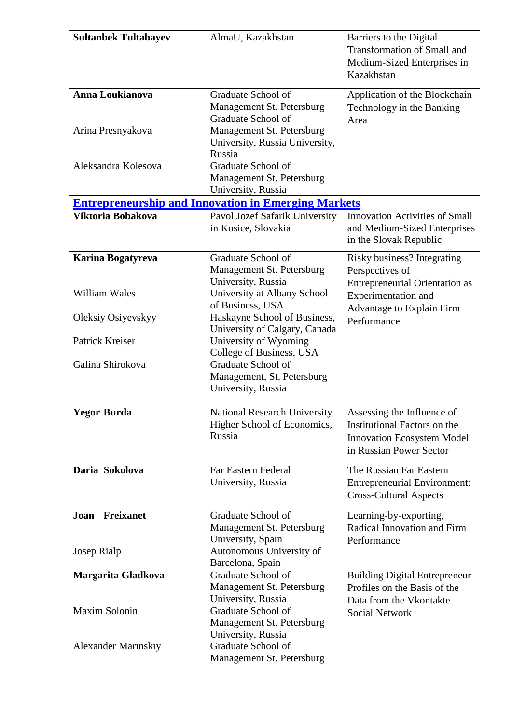| <b>Sultanbek Tultabayev</b> | AlmaU, Kazakhstan                                          | Barriers to the Digital                        |
|-----------------------------|------------------------------------------------------------|------------------------------------------------|
|                             |                                                            | <b>Transformation of Small and</b>             |
|                             |                                                            | Medium-Sized Enterprises in                    |
|                             |                                                            | Kazakhstan                                     |
|                             |                                                            |                                                |
| Anna Loukianova             | Graduate School of                                         | Application of the Blockchain                  |
|                             | Management St. Petersburg                                  | Technology in the Banking                      |
|                             | Graduate School of                                         | Area                                           |
| Arina Presnyakova           | Management St. Petersburg                                  |                                                |
|                             | University, Russia University,<br>Russia                   |                                                |
| Aleksandra Kolesova         | Graduate School of                                         |                                                |
|                             | Management St. Petersburg                                  |                                                |
|                             | University, Russia                                         |                                                |
|                             | <b>Entrepreneurship and Innovation in Emerging Markets</b> |                                                |
| Viktoria Bobakova           | Pavol Jozef Safarik University                             | <b>Innovation Activities of Small</b>          |
|                             | in Kosice, Slovakia                                        | and Medium-Sized Enterprises                   |
|                             |                                                            | in the Slovak Republic                         |
|                             | Graduate School of                                         |                                                |
| Karina Bogatyreva           | Management St. Petersburg                                  | Risky business? Integrating<br>Perspectives of |
|                             | University, Russia                                         |                                                |
| William Wales               | University at Albany School                                | <b>Entrepreneurial Orientation as</b>          |
|                             | of Business, USA                                           | Experimentation and                            |
| Oleksiy Osiyevskyy          | Haskayne School of Business,                               | Advantage to Explain Firm                      |
|                             | University of Calgary, Canada                              | Performance                                    |
| Patrick Kreiser             | University of Wyoming                                      |                                                |
|                             | College of Business, USA                                   |                                                |
| Galina Shirokova            | Graduate School of                                         |                                                |
|                             | Management, St. Petersburg                                 |                                                |
|                             | University, Russia                                         |                                                |
|                             |                                                            |                                                |
| <b>Yegor Burda</b>          | <b>National Research University</b>                        | Assessing the Influence of                     |
|                             | Higher School of Economics,<br>Russia                      | Institutional Factors on the                   |
|                             |                                                            | <b>Innovation Ecosystem Model</b>              |
|                             |                                                            | in Russian Power Sector                        |
| Daria Sokolova              | Far Eastern Federal                                        | The Russian Far Eastern                        |
|                             | University, Russia                                         | <b>Entrepreneurial Environment:</b>            |
|                             |                                                            | <b>Cross-Cultural Aspects</b>                  |
| <b>Freixanet</b><br>Joan    | Graduate School of                                         | Learning-by-exporting,                         |
|                             | Management St. Petersburg                                  | Radical Innovation and Firm                    |
|                             | University, Spain                                          | Performance                                    |
| Josep Rialp                 | Autonomous University of                                   |                                                |
|                             | Barcelona, Spain                                           |                                                |
| Margarita Gladkova          | Graduate School of                                         | <b>Building Digital Entrepreneur</b>           |
|                             | Management St. Petersburg                                  | Profiles on the Basis of the                   |
|                             | University, Russia                                         | Data from the Vkontakte                        |
| Maxim Solonin               | Graduate School of                                         | <b>Social Network</b>                          |
|                             | Management St. Petersburg                                  |                                                |
|                             | University, Russia                                         |                                                |
| <b>Alexander Marinskiy</b>  | Graduate School of                                         |                                                |
|                             | Management St. Petersburg                                  |                                                |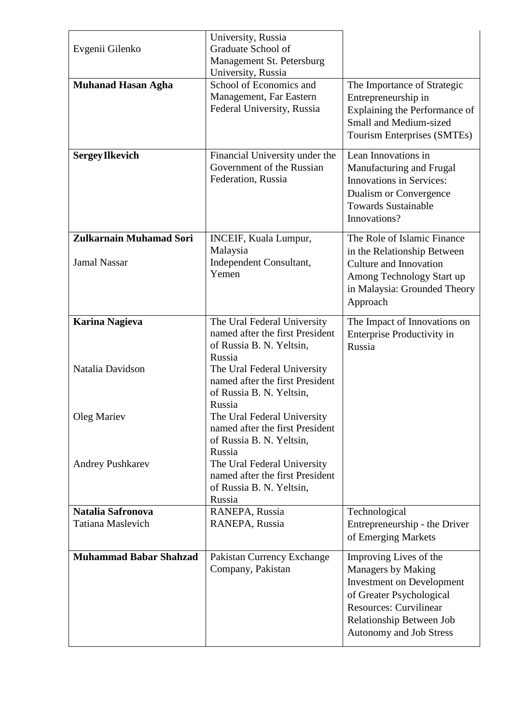| Evgenii Gilenko                                       | University, Russia<br>Graduate School of<br>Management St. Petersburg<br>University, Russia                                                                                   |                                                                                                                                                                                                      |
|-------------------------------------------------------|-------------------------------------------------------------------------------------------------------------------------------------------------------------------------------|------------------------------------------------------------------------------------------------------------------------------------------------------------------------------------------------------|
| <b>Muhanad Hasan Agha</b>                             | School of Economics and<br>Management, Far Eastern<br>Federal University, Russia                                                                                              | The Importance of Strategic<br>Entrepreneurship in<br>Explaining the Performance of<br><b>Small and Medium-sized</b><br>Tourism Enterprises (SMTEs)                                                  |
| <b>Sergey Ilkevich</b>                                | Financial University under the<br>Government of the Russian<br>Federation, Russia                                                                                             | Lean Innovations in<br>Manufacturing and Frugal<br><b>Innovations in Services:</b><br>Dualism or Convergence<br><b>Towards Sustainable</b><br>Innovations?                                           |
| <b>Zulkarnain Muhamad Sori</b><br><b>Jamal Nassar</b> | INCEIF, Kuala Lumpur,<br>Malaysia<br>Independent Consultant,<br>Yemen                                                                                                         | The Role of Islamic Finance<br>in the Relationship Between<br>Culture and Innovation<br>Among Technology Start up<br>in Malaysia: Grounded Theory<br>Approach                                        |
| <b>Karina Nagieva</b><br>Natalia Davidson             | The Ural Federal University<br>named after the first President<br>of Russia B. N. Yeltsin,<br>Russia<br>The Ural Federal University                                           | The Impact of Innovations on<br>Enterprise Productivity in<br>Russia                                                                                                                                 |
| Oleg Mariev                                           | named after the first President<br>of Russia B. N. Yeltsin,<br>Russia<br>The Ural Federal University                                                                          |                                                                                                                                                                                                      |
| Andrey Pushkarev                                      | named after the first President<br>of Russia B. N. Yeltsin,<br>Russia<br>The Ural Federal University<br>named after the first President<br>of Russia B. N. Yeltsin,<br>Russia |                                                                                                                                                                                                      |
| Natalia Safronova                                     | RANEPA, Russia                                                                                                                                                                | Technological                                                                                                                                                                                        |
| <b>Tatiana Maslevich</b>                              | RANEPA, Russia                                                                                                                                                                | Entrepreneurship - the Driver<br>of Emerging Markets                                                                                                                                                 |
| <b>Muhammad Babar Shahzad</b>                         | Pakistan Currency Exchange<br>Company, Pakistan                                                                                                                               | Improving Lives of the<br>Managers by Making<br><b>Investment on Development</b><br>of Greater Psychological<br><b>Resources: Curvilinear</b><br>Relationship Between Job<br>Autonomy and Job Stress |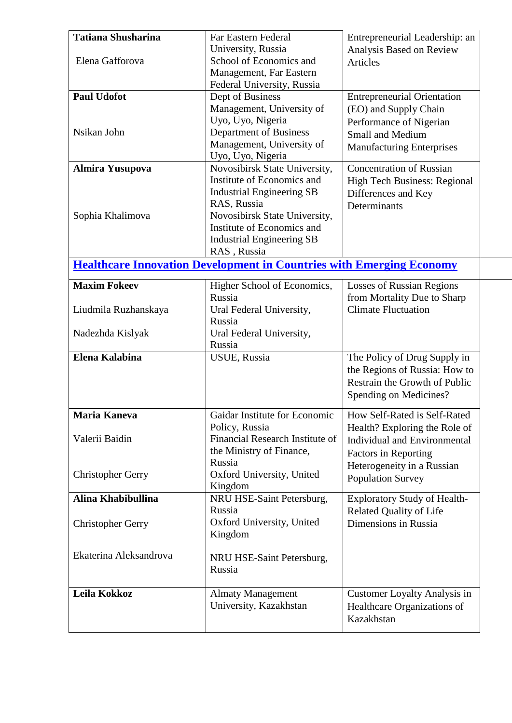| <b>Tatiana Shusharina</b> | Far Eastern Federal                                                         | Entrepreneurial Leadership: an                                |
|---------------------------|-----------------------------------------------------------------------------|---------------------------------------------------------------|
|                           | University, Russia                                                          | Analysis Based on Review                                      |
| Elena Gafforova           | School of Economics and                                                     | <b>Articles</b>                                               |
|                           | Management, Far Eastern<br>Federal University, Russia                       |                                                               |
| <b>Paul Udofot</b>        | Dept of Business                                                            | <b>Entrepreneurial Orientation</b>                            |
|                           | Management, University of                                                   | (EO) and Supply Chain                                         |
|                           | Uyo, Uyo, Nigeria                                                           | Performance of Nigerian                                       |
| Nsikan John               | Department of Business                                                      | <b>Small and Medium</b>                                       |
|                           | Management, University of                                                   | <b>Manufacturing Enterprises</b>                              |
|                           | Uyo, Uyo, Nigeria                                                           |                                                               |
| <b>Almira Yusupova</b>    | Novosibirsk State University,                                               | <b>Concentration of Russian</b>                               |
|                           | Institute of Economics and                                                  | High Tech Business: Regional                                  |
|                           | <b>Industrial Engineering SB</b>                                            | Differences and Key                                           |
|                           | RAS, Russia                                                                 | Determinants                                                  |
| Sophia Khalimova          | Novosibirsk State University,                                               |                                                               |
|                           | Institute of Economics and                                                  |                                                               |
|                           | <b>Industrial Engineering SB</b>                                            |                                                               |
|                           | RAS, Russia                                                                 |                                                               |
|                           | <b>Healthcare Innovation Development in Countries with Emerging Economy</b> |                                                               |
| <b>Maxim Fokeev</b>       | Higher School of Economics,                                                 | <b>Losses of Russian Regions</b>                              |
|                           | Russia                                                                      | from Mortality Due to Sharp                                   |
| Liudmila Ruzhanskaya      | Ural Federal University,                                                    | <b>Climate Fluctuation</b>                                    |
|                           | Russia                                                                      |                                                               |
| Nadezhda Kislyak          | Ural Federal University,                                                    |                                                               |
| Elena Kalabina            | Russia<br>USUE, Russia                                                      |                                                               |
|                           |                                                                             | The Policy of Drug Supply in<br>the Regions of Russia: How to |
|                           |                                                                             | Restrain the Growth of Public                                 |
|                           |                                                                             | Spending on Medicines?                                        |
|                           |                                                                             |                                                               |
| <b>Maria Kaneva</b>       | Gaidar Institute for Economic                                               | How Self-Rated is Self-Rated                                  |
|                           | Policy, Russia                                                              | Health? Exploring the Role of                                 |
| Valerii Baidin            | Financial Research Institute of                                             | <b>Individual and Environmental</b>                           |
|                           | the Ministry of Finance,                                                    | <b>Factors in Reporting</b>                                   |
|                           | Russia                                                                      | Heterogeneity in a Russian                                    |
| <b>Christopher Gerry</b>  | Oxford University, United<br>Kingdom                                        | <b>Population Survey</b>                                      |
| Alina Khabibullina        | NRU HSE-Saint Petersburg,                                                   | <b>Exploratory Study of Health-</b>                           |
|                           | Russia                                                                      | <b>Related Quality of Life</b>                                |
| <b>Christopher Gerry</b>  | Oxford University, United                                                   | Dimensions in Russia                                          |
|                           | Kingdom                                                                     |                                                               |
|                           |                                                                             |                                                               |
| Ekaterina Aleksandrova    | NRU HSE-Saint Petersburg,                                                   |                                                               |
|                           | Russia                                                                      |                                                               |
|                           |                                                                             |                                                               |
| Leila Kokkoz              | <b>Almaty Management</b>                                                    | <b>Customer Loyalty Analysis in</b>                           |
|                           | University, Kazakhstan                                                      | Healthcare Organizations of                                   |
|                           |                                                                             | Kazakhstan                                                    |
|                           |                                                                             |                                                               |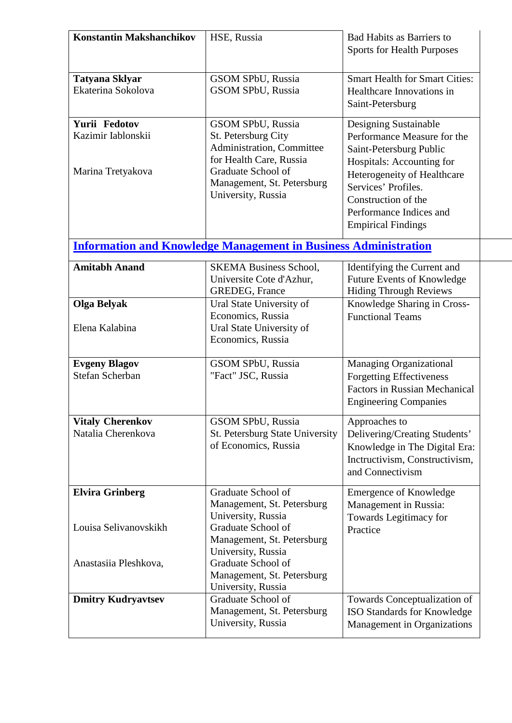| <b>Konstantin Makshanchikov</b>         | HSE, Russia                                                                        | <b>Bad Habits as Barriers to</b><br><b>Sports for Health Purposes</b>                                                              |
|-----------------------------------------|------------------------------------------------------------------------------------|------------------------------------------------------------------------------------------------------------------------------------|
| <b>Tatyana Sklyar</b>                   | <b>GSOM SPbU, Russia</b>                                                           | <b>Smart Health for Smart Cities:</b>                                                                                              |
| Ekaterina Sokolova                      | <b>GSOM SPbU, Russia</b>                                                           | Healthcare Innovations in<br>Saint-Petersburg                                                                                      |
| Yurii Fedotov                           | <b>GSOM SPbU, Russia</b>                                                           | Designing Sustainable                                                                                                              |
| Kazimir Iablonskii                      | St. Petersburg City<br>Administration, Committee<br>for Health Care, Russia        | Performance Measure for the<br>Saint-Petersburg Public<br>Hospitals: Accounting for                                                |
| Marina Tretyakova                       | Graduate School of<br>Management, St. Petersburg<br>University, Russia             | Heterogeneity of Healthcare<br>Services' Profiles.<br>Construction of the<br>Performance Indices and<br><b>Empirical Findings</b>  |
|                                         | <b>Information and Knowledge Management in Business Administration</b>             |                                                                                                                                    |
| <b>Amitabh Anand</b>                    | <b>SKEMA Business School,</b><br>Universite Cote d'Azhur,<br><b>GREDEG, France</b> | Identifying the Current and<br><b>Future Events of Knowledge</b><br><b>Hiding Through Reviews</b>                                  |
| <b>Olga Belyak</b>                      | Ural State University of                                                           | Knowledge Sharing in Cross-                                                                                                        |
|                                         | Economics, Russia                                                                  | <b>Functional Teams</b>                                                                                                            |
| Elena Kalabina                          | Ural State University of<br>Economics, Russia                                      |                                                                                                                                    |
| <b>Evgeny Blagov</b><br>Stefan Scherban | <b>GSOM SPbU, Russia</b><br>"Fact" JSC, Russia                                     | Managing Organizational<br><b>Forgetting Effectiveness</b><br><b>Factors in Russian Mechanical</b><br><b>Engineering Companies</b> |
| <b>Vitaly Cherenkov</b>                 | GSOM SPbU, Russia                                                                  | Approaches to                                                                                                                      |
| Natalia Cherenkova                      | St. Petersburg State University<br>of Economics, Russia                            | Delivering/Creating Students'<br>Knowledge in The Digital Era:<br>Inctructivism, Constructivism,<br>and Connectivism               |
| <b>Elvira Grinberg</b>                  | Graduate School of<br>Management, St. Petersburg<br>University, Russia             | <b>Emergence of Knowledge</b><br>Management in Russia:                                                                             |
| Louisa Selivanovskikh                   | Graduate School of<br>Management, St. Petersburg<br>University, Russia             | Towards Legitimacy for<br>Practice                                                                                                 |
| Anastasiia Pleshkova,                   | Graduate School of<br>Management, St. Petersburg<br>University, Russia             |                                                                                                                                    |
| <b>Dmitry Kudryavtsev</b>               | Graduate School of<br>Management, St. Petersburg<br>University, Russia             | Towards Conceptualization of<br>ISO Standards for Knowledge<br>Management in Organizations                                         |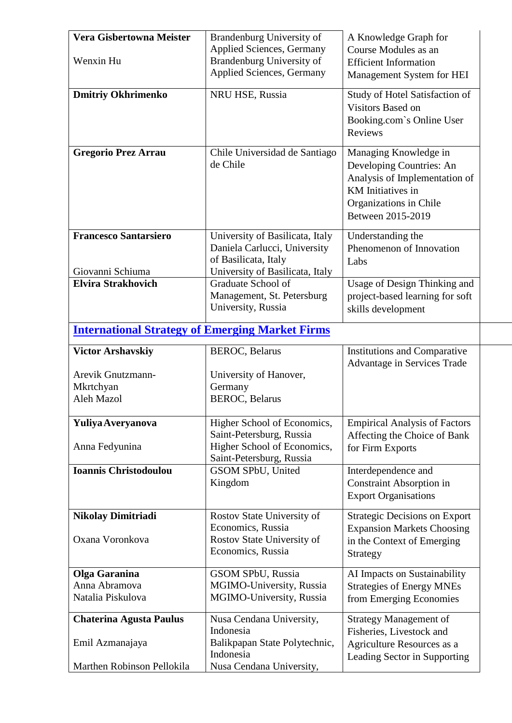| Vera Gisbertowna Meister<br>Wenxin Hu                  | Brandenburg University of<br><b>Applied Sciences, Germany</b><br>Brandenburg University of                                 | A Knowledge Graph for<br>Course Modules as an<br><b>Efficient Information</b>                                                                          |
|--------------------------------------------------------|----------------------------------------------------------------------------------------------------------------------------|--------------------------------------------------------------------------------------------------------------------------------------------------------|
|                                                        | <b>Applied Sciences, Germany</b>                                                                                           | Management System for HEI                                                                                                                              |
| <b>Dmitriy Okhrimenko</b>                              | NRU HSE, Russia                                                                                                            | Study of Hotel Satisfaction of<br>Visitors Based on<br>Booking.com's Online User<br><b>Reviews</b>                                                     |
| <b>Gregorio Prez Arrau</b>                             | Chile Universidad de Santiago<br>de Chile                                                                                  | Managing Knowledge in<br>Developing Countries: An<br>Analysis of Implementation of<br>KM Initiatives in<br>Organizations in Chile<br>Between 2015-2019 |
| <b>Francesco Santarsiero</b><br>Giovanni Schiuma       | University of Basilicata, Italy<br>Daniela Carlucci, University<br>of Basilicata, Italy<br>University of Basilicata, Italy | Understanding the<br>Phenomenon of Innovation<br>Labs                                                                                                  |
| <b>Elvira Strakhovich</b>                              | Graduate School of<br>Management, St. Petersburg<br>University, Russia                                                     | Usage of Design Thinking and<br>project-based learning for soft<br>skills development                                                                  |
| <b>International Strategy of Emerging Market Firms</b> |                                                                                                                            |                                                                                                                                                        |
| <b>Victor Arshavskiy</b>                               | <b>BEROC, Belarus</b>                                                                                                      | Institutions and Comparative<br>Advantage in Services Trade                                                                                            |
| Arevik Gnutzmann-                                      | University of Hanover,                                                                                                     |                                                                                                                                                        |
| Mkrtchyan<br>Aleh Mazol                                | Germany<br><b>BEROC, Belarus</b>                                                                                           |                                                                                                                                                        |
| Yuliya Averyanova                                      | Higher School of Economics,<br>Saint-Petersburg, Russia                                                                    | <b>Empirical Analysis of Factors</b><br>Affecting the Choice of Bank                                                                                   |
| Anna Fedyunina                                         | Higher School of Economics,<br>Saint-Petersburg, Russia                                                                    | for Firm Exports                                                                                                                                       |
| <b>Ioannis Christodoulou</b>                           | GSOM SPbU, United<br>Kingdom                                                                                               | Interdependence and<br>Constraint Absorption in<br><b>Export Organisations</b>                                                                         |
| <b>Nikolay Dimitriadi</b><br>Oxana Voronkova           | Rostov State University of<br>Economics, Russia<br>Rostov State University of<br>Economics, Russia                         | <b>Strategic Decisions on Export</b><br><b>Expansion Markets Choosing</b><br>in the Context of Emerging<br>Strategy                                    |
| Olga Garanina                                          | GSOM SPbU, Russia                                                                                                          | AI Impacts on Sustainability                                                                                                                           |
| Anna Abramova<br>Natalia Piskulova                     | MGIMO-University, Russia<br>MGIMO-University, Russia                                                                       | <b>Strategies of Energy MNEs</b><br>from Emerging Economies                                                                                            |
| <b>Chaterina Agusta Paulus</b>                         | Nusa Cendana University,<br>Indonesia                                                                                      | <b>Strategy Management of</b><br>Fisheries, Livestock and                                                                                              |
| Emil Azmanajaya                                        | Balikpapan State Polytechnic,<br>Indonesia                                                                                 | Agriculture Resources as a<br>Leading Sector in Supporting                                                                                             |
| Marthen Robinson Pellokila                             | Nusa Cendana University,                                                                                                   |                                                                                                                                                        |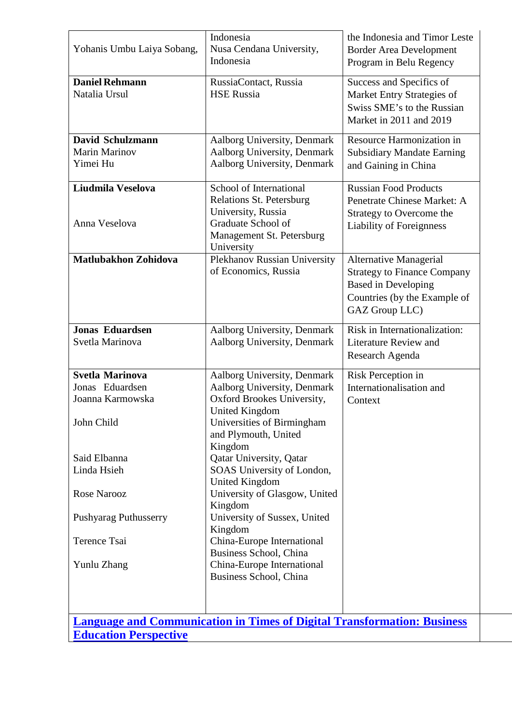| Yohanis Umbu Laiya Sobang,                                                                                                                                                                      | Indonesia<br>Nusa Cendana University,<br>Indonesia                                                                                                                                                                                                                                                                                                                                                                                                                           | the Indonesia and Timor Leste<br><b>Border Area Development</b><br>Program in Belu Regency                                                          |
|-------------------------------------------------------------------------------------------------------------------------------------------------------------------------------------------------|------------------------------------------------------------------------------------------------------------------------------------------------------------------------------------------------------------------------------------------------------------------------------------------------------------------------------------------------------------------------------------------------------------------------------------------------------------------------------|-----------------------------------------------------------------------------------------------------------------------------------------------------|
| <b>Daniel Rehmann</b><br>Natalia Ursul                                                                                                                                                          | RussiaContact, Russia<br><b>HSE Russia</b>                                                                                                                                                                                                                                                                                                                                                                                                                                   | Success and Specifics of<br>Market Entry Strategies of<br>Swiss SME's to the Russian<br>Market in 2011 and 2019                                     |
| David Schulzmann<br><b>Marin Marinov</b><br>Yimei Hu                                                                                                                                            | Aalborg University, Denmark<br>Aalborg University, Denmark<br>Aalborg University, Denmark                                                                                                                                                                                                                                                                                                                                                                                    | Resource Harmonization in<br><b>Subsidiary Mandate Earning</b><br>and Gaining in China                                                              |
| Liudmila Veselova<br>Anna Veselova                                                                                                                                                              | School of International<br><b>Relations St. Petersburg</b><br>University, Russia<br>Graduate School of<br>Management St. Petersburg<br>University                                                                                                                                                                                                                                                                                                                            | <b>Russian Food Products</b><br>Penetrate Chinese Market: A<br>Strategy to Overcome the<br><b>Liability of Foreignness</b>                          |
| <b>Matlubakhon Zohidova</b>                                                                                                                                                                     | Plekhanov Russian University<br>of Economics, Russia                                                                                                                                                                                                                                                                                                                                                                                                                         | <b>Alternative Managerial</b><br><b>Strategy to Finance Company</b><br><b>Based in Developing</b><br>Countries (by the Example of<br>GAZ Group LLC) |
| <b>Jonas Eduardsen</b><br>Svetla Marinova                                                                                                                                                       | Aalborg University, Denmark<br>Aalborg University, Denmark                                                                                                                                                                                                                                                                                                                                                                                                                   | Risk in Internationalization:<br><b>Literature Review and</b><br>Research Agenda                                                                    |
| <b>Svetla Marinova</b><br>Jonas Eduardsen<br>Joanna Karmowska<br>John Child<br>Said Elbanna<br>Linda Hsieh<br><b>Rose Narooz</b><br><b>Pushyarag Puthusserry</b><br>Terence Tsai<br>Yunlu Zhang | Aalborg University, Denmark<br>Aalborg University, Denmark<br>Oxford Brookes University,<br>United Kingdom<br>Universities of Birmingham<br>and Plymouth, United<br>Kingdom<br><b>Qatar University</b> , Qatar<br>SOAS University of London,<br><b>United Kingdom</b><br>University of Glasgow, United<br>Kingdom<br>University of Sussex, United<br>Kingdom<br>China-Europe International<br>Business School, China<br>China-Europe International<br>Business School, China | Risk Perception in<br>Internationalisation and<br>Context                                                                                           |
| <b>Education Perspective</b>                                                                                                                                                                    | <b>Language and Communication in Times of Digital Transformation: Business</b>                                                                                                                                                                                                                                                                                                                                                                                               |                                                                                                                                                     |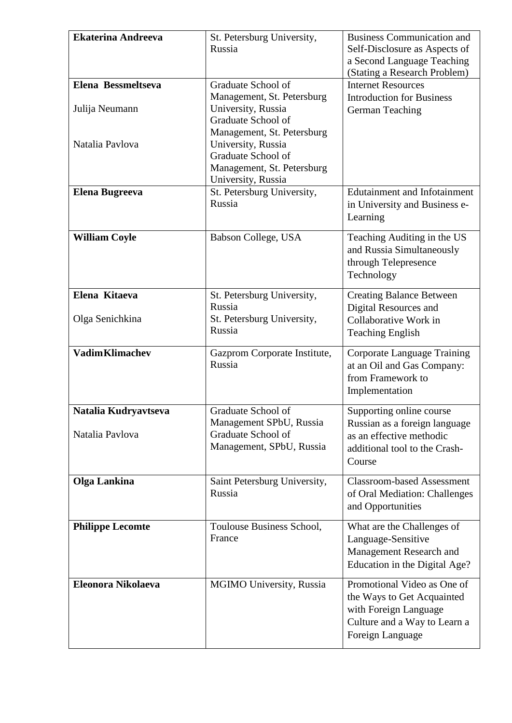| <b>Ekaterina Andreeva</b>               | St. Petersburg University,<br>Russia                                                                                       | <b>Business Communication and</b><br>Self-Disclosure as Aspects of<br>a Second Language Teaching                                       |
|-----------------------------------------|----------------------------------------------------------------------------------------------------------------------------|----------------------------------------------------------------------------------------------------------------------------------------|
|                                         |                                                                                                                            | (Stating a Research Problem)                                                                                                           |
| Elena Bessmeltseva<br>Julija Neumann    | Graduate School of<br>Management, St. Petersburg<br>University, Russia<br>Graduate School of                               | <b>Internet Resources</b><br><b>Introduction for Business</b><br>German Teaching                                                       |
| Natalia Pavlova                         | Management, St. Petersburg<br>University, Russia<br>Graduate School of<br>Management, St. Petersburg<br>University, Russia |                                                                                                                                        |
| <b>Elena Bugreeva</b>                   | St. Petersburg University,<br>Russia                                                                                       | <b>Edutainment and Infotainment</b><br>in University and Business e-<br>Learning                                                       |
| <b>William Coyle</b>                    | Babson College, USA                                                                                                        | Teaching Auditing in the US<br>and Russia Simultaneously<br>through Telepresence<br>Technology                                         |
| Elena Kitaeva<br>Olga Senichkina        | St. Petersburg University,<br>Russia<br>St. Petersburg University,<br>Russia                                               | <b>Creating Balance Between</b><br>Digital Resources and<br>Collaborative Work in<br><b>Teaching English</b>                           |
| <b>Vadim Klimachev</b>                  | Gazprom Corporate Institute,<br>Russia                                                                                     | Corporate Language Training<br>at an Oil and Gas Company:<br>from Framework to<br>Implementation                                       |
| Natalia Kudrvavtseva<br>Natalia Pavlova | Graduate School of<br>Management SPbU, Russia<br>Graduate School of<br>Management, SPbU, Russia                            | Supporting online course<br>Russian as a foreign language<br>as an effective methodic<br>additional tool to the Crash-<br>Course       |
| <b>Olga Lankina</b>                     | Saint Petersburg University,<br>Russia                                                                                     | <b>Classroom-based Assessment</b><br>of Oral Mediation: Challenges<br>and Opportunities                                                |
| <b>Philippe Lecomte</b>                 | Toulouse Business School,<br>France                                                                                        | What are the Challenges of<br>Language-Sensitive<br>Management Research and<br>Education in the Digital Age?                           |
| Eleonora Nikolaeva                      | MGIMO University, Russia                                                                                                   | Promotional Video as One of<br>the Ways to Get Acquainted<br>with Foreign Language<br>Culture and a Way to Learn a<br>Foreign Language |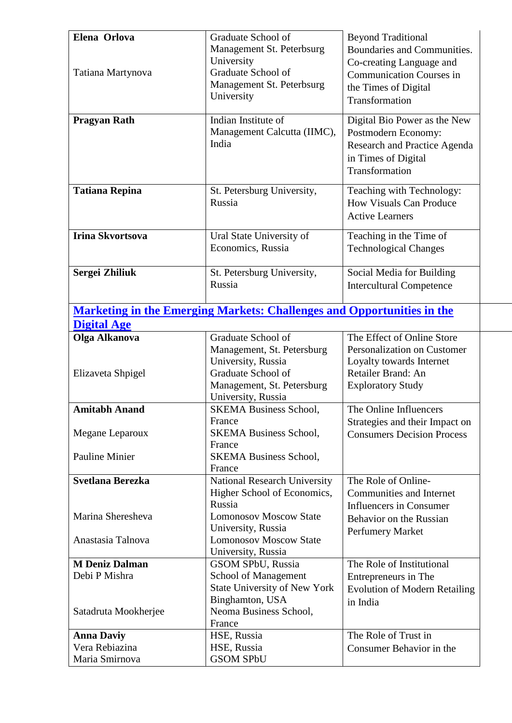| <b>Tatiana Repina</b><br>St. Petersburg University,<br>Teaching with Technology:<br>Russia<br><b>How Visuals Can Produce</b><br><b>Active Learners</b><br><b>Irina Skvortsova</b><br>Teaching in the Time of<br>Ural State University of<br>Economics, Russia<br><b>Technological Changes</b><br>Sergei Zhiliuk<br>St. Petersburg University,<br>Social Media for Building<br>Russia<br><b>Intercultural Competence</b><br><b>Marketing in the Emerging Markets: Challenges and Opportunities in the</b><br><b>Digital Age</b><br>Graduate School of<br>The Effect of Online Store<br>Olga Alkanova<br>Personalization on Customer<br>Management, St. Petersburg<br>University, Russia<br>Loyalty towards Internet<br>Graduate School of<br>Retailer Brand: An<br>Elizaveta Shpigel<br>Management, St. Petersburg<br><b>Exploratory Study</b><br>University, Russia<br><b>Amitabh Anand</b><br>The Online Influencers<br><b>SKEMA Business School,</b><br>France<br>Strategies and their Impact on<br><b>SKEMA Business School,</b><br>Megane Leparoux<br><b>Consumers Decision Process</b><br>France<br><b>Pauline Minier</b><br><b>SKEMA Business School,</b><br>France<br>Svetlana Berezka<br>National Research University<br>The Role of Online-<br>Higher School of Economics,<br><b>Communities and Internet</b><br>Russia<br><b>Influencers in Consumer</b><br>Marina Sheresheva<br><b>Lomonosov Moscow State</b><br>Behavior on the Russian<br>University, Russia<br>Perfumery Market<br><b>Lomonosov Moscow State</b><br>Anastasia Talnova<br>University, Russia<br><b>M Deniz Dalman</b><br>The Role of Institutional<br>GSOM SPbU, Russia<br>Debi P Mishra<br>School of Management<br>Entrepreneurs in The<br>State University of New York<br><b>Evolution of Modern Retailing</b><br>Binghamton, USA<br>in India<br>Neoma Business School,<br>Satadruta Mookherjee<br>France<br>The Role of Trust in<br><b>Anna Daviy</b><br>HSE, Russia<br>Vera Rebiazina<br>HSE, Russia<br>Consumer Behavior in the | Elena Orlova<br>Tatiana Martynova<br><b>Pragyan Rath</b> | Graduate School of<br>Management St. Peterbsurg<br>University<br>Graduate School of<br>Management St. Peterbsurg<br>University<br>Indian Institute of<br>Management Calcutta (IIMC),<br>India | <b>Beyond Traditional</b><br>Boundaries and Communities.<br>Co-creating Language and<br><b>Communication Courses in</b><br>the Times of Digital<br>Transformation<br>Digital Bio Power as the New<br>Postmodern Economy:<br>Research and Practice Agenda<br>in Times of Digital<br>Transformation |
|-------------------------------------------------------------------------------------------------------------------------------------------------------------------------------------------------------------------------------------------------------------------------------------------------------------------------------------------------------------------------------------------------------------------------------------------------------------------------------------------------------------------------------------------------------------------------------------------------------------------------------------------------------------------------------------------------------------------------------------------------------------------------------------------------------------------------------------------------------------------------------------------------------------------------------------------------------------------------------------------------------------------------------------------------------------------------------------------------------------------------------------------------------------------------------------------------------------------------------------------------------------------------------------------------------------------------------------------------------------------------------------------------------------------------------------------------------------------------------------------------------------------------------------------------------------------------------------------------------------------------------------------------------------------------------------------------------------------------------------------------------------------------------------------------------------------------------------------------------------------------------------------------------------------------------------------------------------------------------------------------------------------|----------------------------------------------------------|-----------------------------------------------------------------------------------------------------------------------------------------------------------------------------------------------|---------------------------------------------------------------------------------------------------------------------------------------------------------------------------------------------------------------------------------------------------------------------------------------------------|
|                                                                                                                                                                                                                                                                                                                                                                                                                                                                                                                                                                                                                                                                                                                                                                                                                                                                                                                                                                                                                                                                                                                                                                                                                                                                                                                                                                                                                                                                                                                                                                                                                                                                                                                                                                                                                                                                                                                                                                                                                   |                                                          |                                                                                                                                                                                               |                                                                                                                                                                                                                                                                                                   |
|                                                                                                                                                                                                                                                                                                                                                                                                                                                                                                                                                                                                                                                                                                                                                                                                                                                                                                                                                                                                                                                                                                                                                                                                                                                                                                                                                                                                                                                                                                                                                                                                                                                                                                                                                                                                                                                                                                                                                                                                                   |                                                          |                                                                                                                                                                                               |                                                                                                                                                                                                                                                                                                   |
|                                                                                                                                                                                                                                                                                                                                                                                                                                                                                                                                                                                                                                                                                                                                                                                                                                                                                                                                                                                                                                                                                                                                                                                                                                                                                                                                                                                                                                                                                                                                                                                                                                                                                                                                                                                                                                                                                                                                                                                                                   |                                                          |                                                                                                                                                                                               |                                                                                                                                                                                                                                                                                                   |
|                                                                                                                                                                                                                                                                                                                                                                                                                                                                                                                                                                                                                                                                                                                                                                                                                                                                                                                                                                                                                                                                                                                                                                                                                                                                                                                                                                                                                                                                                                                                                                                                                                                                                                                                                                                                                                                                                                                                                                                                                   |                                                          |                                                                                                                                                                                               |                                                                                                                                                                                                                                                                                                   |
|                                                                                                                                                                                                                                                                                                                                                                                                                                                                                                                                                                                                                                                                                                                                                                                                                                                                                                                                                                                                                                                                                                                                                                                                                                                                                                                                                                                                                                                                                                                                                                                                                                                                                                                                                                                                                                                                                                                                                                                                                   |                                                          |                                                                                                                                                                                               |                                                                                                                                                                                                                                                                                                   |
|                                                                                                                                                                                                                                                                                                                                                                                                                                                                                                                                                                                                                                                                                                                                                                                                                                                                                                                                                                                                                                                                                                                                                                                                                                                                                                                                                                                                                                                                                                                                                                                                                                                                                                                                                                                                                                                                                                                                                                                                                   |                                                          |                                                                                                                                                                                               |                                                                                                                                                                                                                                                                                                   |
|                                                                                                                                                                                                                                                                                                                                                                                                                                                                                                                                                                                                                                                                                                                                                                                                                                                                                                                                                                                                                                                                                                                                                                                                                                                                                                                                                                                                                                                                                                                                                                                                                                                                                                                                                                                                                                                                                                                                                                                                                   |                                                          |                                                                                                                                                                                               |                                                                                                                                                                                                                                                                                                   |
|                                                                                                                                                                                                                                                                                                                                                                                                                                                                                                                                                                                                                                                                                                                                                                                                                                                                                                                                                                                                                                                                                                                                                                                                                                                                                                                                                                                                                                                                                                                                                                                                                                                                                                                                                                                                                                                                                                                                                                                                                   |                                                          |                                                                                                                                                                                               |                                                                                                                                                                                                                                                                                                   |
|                                                                                                                                                                                                                                                                                                                                                                                                                                                                                                                                                                                                                                                                                                                                                                                                                                                                                                                                                                                                                                                                                                                                                                                                                                                                                                                                                                                                                                                                                                                                                                                                                                                                                                                                                                                                                                                                                                                                                                                                                   |                                                          |                                                                                                                                                                                               |                                                                                                                                                                                                                                                                                                   |
|                                                                                                                                                                                                                                                                                                                                                                                                                                                                                                                                                                                                                                                                                                                                                                                                                                                                                                                                                                                                                                                                                                                                                                                                                                                                                                                                                                                                                                                                                                                                                                                                                                                                                                                                                                                                                                                                                                                                                                                                                   |                                                          |                                                                                                                                                                                               |                                                                                                                                                                                                                                                                                                   |
|                                                                                                                                                                                                                                                                                                                                                                                                                                                                                                                                                                                                                                                                                                                                                                                                                                                                                                                                                                                                                                                                                                                                                                                                                                                                                                                                                                                                                                                                                                                                                                                                                                                                                                                                                                                                                                                                                                                                                                                                                   |                                                          |                                                                                                                                                                                               |                                                                                                                                                                                                                                                                                                   |
|                                                                                                                                                                                                                                                                                                                                                                                                                                                                                                                                                                                                                                                                                                                                                                                                                                                                                                                                                                                                                                                                                                                                                                                                                                                                                                                                                                                                                                                                                                                                                                                                                                                                                                                                                                                                                                                                                                                                                                                                                   |                                                          |                                                                                                                                                                                               |                                                                                                                                                                                                                                                                                                   |
|                                                                                                                                                                                                                                                                                                                                                                                                                                                                                                                                                                                                                                                                                                                                                                                                                                                                                                                                                                                                                                                                                                                                                                                                                                                                                                                                                                                                                                                                                                                                                                                                                                                                                                                                                                                                                                                                                                                                                                                                                   |                                                          |                                                                                                                                                                                               |                                                                                                                                                                                                                                                                                                   |
|                                                                                                                                                                                                                                                                                                                                                                                                                                                                                                                                                                                                                                                                                                                                                                                                                                                                                                                                                                                                                                                                                                                                                                                                                                                                                                                                                                                                                                                                                                                                                                                                                                                                                                                                                                                                                                                                                                                                                                                                                   |                                                          |                                                                                                                                                                                               |                                                                                                                                                                                                                                                                                                   |
|                                                                                                                                                                                                                                                                                                                                                                                                                                                                                                                                                                                                                                                                                                                                                                                                                                                                                                                                                                                                                                                                                                                                                                                                                                                                                                                                                                                                                                                                                                                                                                                                                                                                                                                                                                                                                                                                                                                                                                                                                   |                                                          |                                                                                                                                                                                               |                                                                                                                                                                                                                                                                                                   |
|                                                                                                                                                                                                                                                                                                                                                                                                                                                                                                                                                                                                                                                                                                                                                                                                                                                                                                                                                                                                                                                                                                                                                                                                                                                                                                                                                                                                                                                                                                                                                                                                                                                                                                                                                                                                                                                                                                                                                                                                                   | Maria Smirnova                                           | <b>GSOM SPbU</b>                                                                                                                                                                              |                                                                                                                                                                                                                                                                                                   |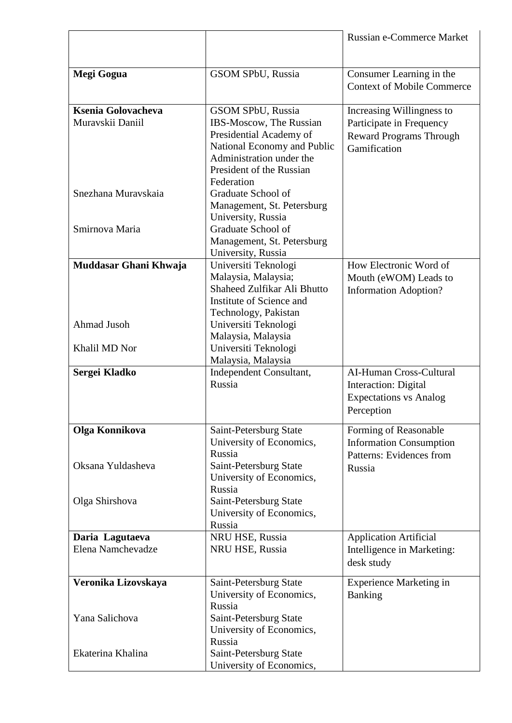|                                                                                        |                                                                                                                                                                                                                                                                                     | <b>Russian e-Commerce Market</b>                                                                        |
|----------------------------------------------------------------------------------------|-------------------------------------------------------------------------------------------------------------------------------------------------------------------------------------------------------------------------------------------------------------------------------------|---------------------------------------------------------------------------------------------------------|
| Megi Gogua                                                                             | GSOM SPbU, Russia                                                                                                                                                                                                                                                                   | Consumer Learning in the<br><b>Context of Mobile Commerce</b>                                           |
| <b>Ksenia Golovacheva</b><br>Muravskii Daniil<br>Snezhana Muravskaia<br>Smirnova Maria | <b>GSOM SPbU, Russia</b><br>IBS-Moscow, The Russian<br>Presidential Academy of<br>National Economy and Public<br>Administration under the<br>President of the Russian<br>Federation<br>Graduate School of<br>Management, St. Petersburg<br>University, Russia<br>Graduate School of | Increasing Willingness to<br>Participate in Frequency<br><b>Reward Programs Through</b><br>Gamification |
|                                                                                        | Management, St. Petersburg<br>University, Russia                                                                                                                                                                                                                                    |                                                                                                         |
| Muddasar Ghani Khwaja<br>Ahmad Jusoh<br>Khalil MD Nor                                  | Universiti Teknologi<br>Malaysia, Malaysia;<br>Shaheed Zulfikar Ali Bhutto<br>Institute of Science and<br>Technology, Pakistan<br>Universiti Teknologi<br>Malaysia, Malaysia<br>Universiti Teknologi<br>Malaysia, Malaysia                                                          | How Electronic Word of<br>Mouth (eWOM) Leads to<br><b>Information Adoption?</b>                         |
| Sergei Kladko                                                                          | Independent Consultant,<br>Russia                                                                                                                                                                                                                                                   | AI-Human Cross-Cultural<br>Interaction: Digital<br><b>Expectations vs Analog</b><br>Perception          |
| Olga Konnikova                                                                         | Saint-Petersburg State<br>University of Economics,<br>Russia                                                                                                                                                                                                                        | Forming of Reasonable<br><b>Information Consumption</b><br>Patterns: Evidences from                     |
| Oksana Yuldasheva<br>Olga Shirshova                                                    | Saint-Petersburg State<br>University of Economics,<br>Russia<br>Saint-Petersburg State<br>University of Economics,<br>Russia                                                                                                                                                        | Russia                                                                                                  |
| Daria Lagutaeva                                                                        | NRU HSE, Russia                                                                                                                                                                                                                                                                     | <b>Application Artificial</b>                                                                           |
| Elena Namchevadze                                                                      | NRU HSE, Russia                                                                                                                                                                                                                                                                     | Intelligence in Marketing:<br>desk study                                                                |
| Veronika Lizovskaya<br>Yana Salichova                                                  | Saint-Petersburg State<br>University of Economics,<br>Russia<br>Saint-Petersburg State<br>University of Economics,                                                                                                                                                                  | <b>Experience Marketing in</b><br>Banking                                                               |
| Ekaterina Khalina                                                                      | Russia<br>Saint-Petersburg State<br>University of Economics,                                                                                                                                                                                                                        |                                                                                                         |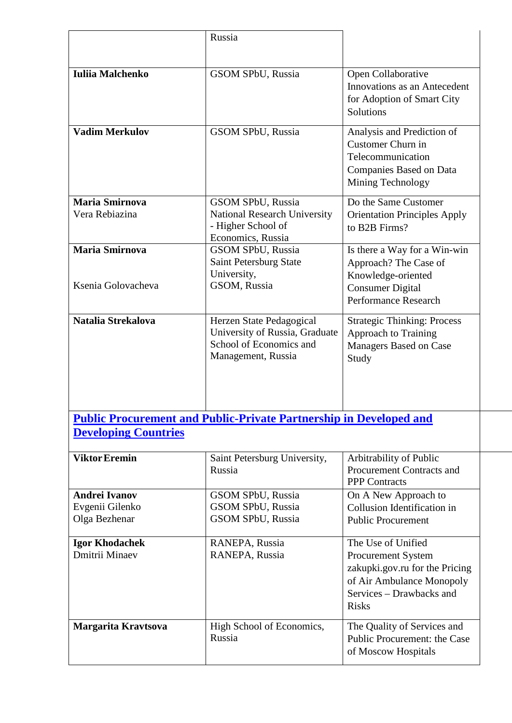|                                             | Russia                                                                                                      |                                                                                                                                       |
|---------------------------------------------|-------------------------------------------------------------------------------------------------------------|---------------------------------------------------------------------------------------------------------------------------------------|
|                                             |                                                                                                             |                                                                                                                                       |
| <b>Iuliia Malchenko</b>                     | GSOM SPbU, Russia                                                                                           | Open Collaborative<br>Innovations as an Antecedent<br>for Adoption of Smart City<br>Solutions                                         |
| <b>Vadim Merkulov</b>                       | GSOM SPbU, Russia                                                                                           | Analysis and Prediction of<br>Customer Churn in<br>Telecommunication<br>Companies Based on Data<br>Mining Technology                  |
| <b>Maria Smirnova</b><br>Vera Rebiazina     | GSOM SPbU, Russia<br><b>National Research University</b><br>- Higher School of<br>Economics, Russia         | Do the Same Customer<br><b>Orientation Principles Apply</b><br>to B2B Firms?                                                          |
| <b>Maria Smirnova</b><br>Ksenia Golovacheva | GSOM SPbU, Russia<br>Saint Petersburg State<br>University,<br>GSOM, Russia                                  | Is there a Way for a Win-win<br>Approach? The Case of<br>Knowledge-oriented<br><b>Consumer Digital</b><br><b>Performance Research</b> |
| Natalia Strekalova                          | Herzen State Pedagogical<br>University of Russia, Graduate<br>School of Economics and<br>Management, Russia | <b>Strategic Thinking: Process</b><br><b>Approach to Training</b><br>Managers Based on Case<br>Study                                  |
| <b>Developing Countries</b>                 | <b>Public Procurement and Public-Private Partnership in Developed and</b>                                   |                                                                                                                                       |
| <b>Viktor Eremin</b>                        | Saint Petersburg University,<br>Russia                                                                      | Arbitrability of Public<br><b>Procurement Contracts and</b><br><b>PPP</b> Contracts                                                   |
| <b>Andrei Ivanov</b>                        | <b>GSOM SPbU, Russia</b>                                                                                    | On A New Approach to                                                                                                                  |
| Evgenii Gilenko                             | <b>GSOM SPbU, Russia</b>                                                                                    | Collusion Identification in                                                                                                           |
| Olga Bezhenar                               | <b>GSOM SPbU, Russia</b>                                                                                    | <b>Public Procurement</b>                                                                                                             |
| <b>Igor Khodachek</b>                       | RANEPA, Russia                                                                                              | The Use of Unified                                                                                                                    |
| Dmitrii Minaev                              | RANEPA, Russia                                                                                              | Procurement System<br>zakupki.gov.ru for the Pricing<br>of Air Ambulance Monopoly<br>Services - Drawbacks and<br><b>Risks</b>         |
| Margarita Kravtsova                         | High School of Economics,<br>Russia                                                                         | The Quality of Services and<br>Public Procurement: the Case<br>of Moscow Hospitals                                                    |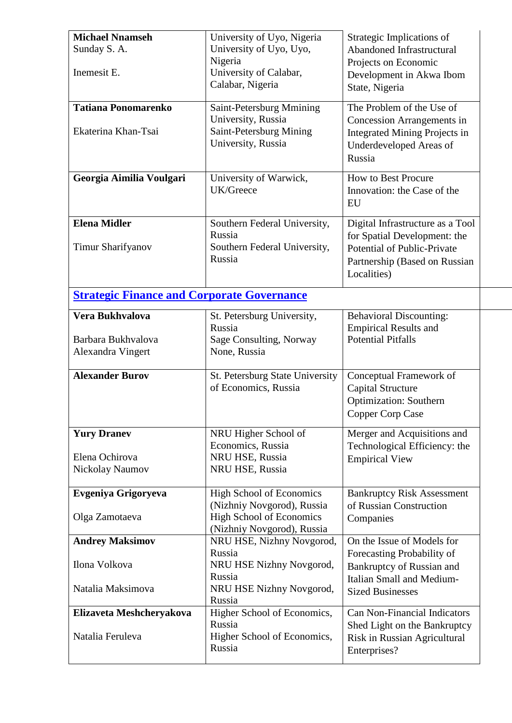| <b>Michael Nnamseh</b>                            | University of Uyo, Nigeria                              | Strategic Implications of            |
|---------------------------------------------------|---------------------------------------------------------|--------------------------------------|
| Sunday S. A.                                      | University of Uyo, Uyo,                                 | <b>Abandoned Infrastructural</b>     |
|                                                   | Nigeria                                                 | Projects on Economic                 |
| Inemesit E.                                       | University of Calabar,                                  | Development in Akwa Ibom             |
|                                                   | Calabar, Nigeria                                        | State, Nigeria                       |
| <b>Tatiana Ponomarenko</b>                        | Saint-Petersburg Mmining                                | The Problem of the Use of            |
|                                                   | University, Russia                                      | <b>Concession Arrangements in</b>    |
| Ekaterina Khan-Tsai                               | Saint-Petersburg Mining                                 | <b>Integrated Mining Projects in</b> |
|                                                   | University, Russia                                      | Underdeveloped Areas of              |
|                                                   |                                                         | Russia                               |
|                                                   |                                                         |                                      |
| Georgia Aimilia Voulgari                          | University of Warwick,                                  | <b>How to Best Procure</b>           |
|                                                   | UK/Greece                                               | Innovation: the Case of the          |
|                                                   |                                                         | EU                                   |
| <b>Elena Midler</b>                               | Southern Federal University,                            | Digital Infrastructure as a Tool     |
|                                                   | Russia                                                  | for Spatial Development: the         |
| <b>Timur Sharifyanov</b>                          | Southern Federal University,                            | <b>Potential of Public-Private</b>   |
|                                                   | Russia                                                  | Partnership (Based on Russian        |
|                                                   |                                                         | Localities)                          |
| <b>Strategic Finance and Corporate Governance</b> |                                                         |                                      |
|                                                   |                                                         |                                      |
| Vera Bukhvalova                                   | St. Petersburg University,                              | <b>Behavioral Discounting:</b>       |
|                                                   | Russia                                                  | <b>Empirical Results and</b>         |
| Barbara Bukhvalova                                | Sage Consulting, Norway                                 | <b>Potential Pitfalls</b>            |
| Alexandra Vingert                                 | None, Russia                                            |                                      |
| <b>Alexander Burov</b>                            | St. Petersburg State University                         | Conceptual Framework of              |
|                                                   | of Economics, Russia                                    | <b>Capital Structure</b>             |
|                                                   |                                                         | <b>Optimization: Southern</b>        |
|                                                   |                                                         | Copper Corp Case                     |
| <b>Yury Dranev</b>                                | NRU Higher School of                                    | Merger and Acquisitions and          |
|                                                   | Economics, Russia                                       | Technological Efficiency: the        |
| Elena Ochirova                                    | NRU HSE, Russia                                         | <b>Empirical View</b>                |
| Nickolay Naumov                                   | NRU HSE, Russia                                         |                                      |
|                                                   |                                                         |                                      |
| Evgeniya Grigoryeva                               | <b>High School of Economics</b>                         | <b>Bankruptcy Risk Assessment</b>    |
|                                                   | (Nizhniy Novgorod), Russia                              | of Russian Construction              |
| Olga Zamotaeva                                    | <b>High School of Economics</b>                         | Companies                            |
| <b>Andrey Maksimov</b>                            | (Nizhniy Novgorod), Russia<br>NRU HSE, Nizhny Novgorod, | On the Issue of Models for           |
|                                                   | Russia                                                  | Forecasting Probability of           |
| Ilona Volkova                                     | NRU HSE Nizhny Novgorod,                                | Bankruptcy of Russian and            |
|                                                   | Russia                                                  | Italian Small and Medium-            |
| Natalia Maksimova                                 | NRU HSE Nizhny Novgorod,                                | <b>Sized Businesses</b>              |
|                                                   | Russia                                                  |                                      |
| Elizaveta Meshcheryakova                          | Higher School of Economics,                             | <b>Can Non-Financial Indicators</b>  |
|                                                   | Russia                                                  | Shed Light on the Bankruptcy         |
| Natalia Feruleva                                  | Higher School of Economics,                             | Risk in Russian Agricultural         |
|                                                   | Russia                                                  | Enterprises?                         |
|                                                   |                                                         |                                      |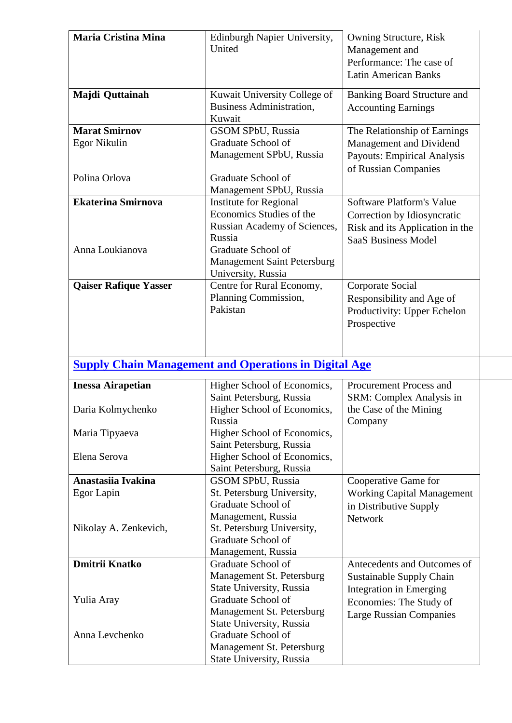| <b>Maria Cristina Mina</b>   | Edinburgh Napier University,<br>United                                         | Owning Structure, Risk<br>Management and<br>Performance: The case of<br><b>Latin American Banks</b> |
|------------------------------|--------------------------------------------------------------------------------|-----------------------------------------------------------------------------------------------------|
| Majdi Quttainah              | Kuwait University College of<br>Business Administration,<br>Kuwait             | <b>Banking Board Structure and</b><br><b>Accounting Earnings</b>                                    |
| <b>Marat Smirnov</b>         | <b>GSOM SPbU, Russia</b>                                                       | The Relationship of Earnings                                                                        |
| <b>Egor Nikulin</b>          | Graduate School of<br>Management SPbU, Russia                                  | Management and Dividend<br><b>Payouts: Empirical Analysis</b><br>of Russian Companies               |
| Polina Orlova                | Graduate School of<br>Management SPbU, Russia                                  |                                                                                                     |
| <b>Ekaterina Smirnova</b>    | <b>Institute for Regional</b>                                                  | Software Platform's Value                                                                           |
|                              | Economics Studies of the                                                       | Correction by Idiosyncratic                                                                         |
|                              | Russian Academy of Sciences,                                                   | Risk and its Application in the                                                                     |
|                              | Russia                                                                         | <b>SaaS Business Model</b>                                                                          |
| Anna Loukianova              | Graduate School of<br><b>Management Saint Petersburg</b><br>University, Russia |                                                                                                     |
| <b>Qaiser Rafique Yasser</b> | Centre for Rural Economy,                                                      | Corporate Social                                                                                    |
|                              | Planning Commission,                                                           | Responsibility and Age of                                                                           |
|                              | Pakistan                                                                       | Productivity: Upper Echelon                                                                         |
|                              |                                                                                | Prospective                                                                                         |
|                              |                                                                                |                                                                                                     |
|                              |                                                                                |                                                                                                     |
|                              | <b>Supply Chain Management and Operations in Digital Age</b>                   |                                                                                                     |
| <b>Inessa Airapetian</b>     | Higher School of Economics,<br>Saint Petersburg, Russia                        | Procurement Process and<br>SRM: Complex Analysis in                                                 |
| Daria Kolmychenko            | Higher School of Economics,<br>Russia                                          | the Case of the Mining<br>Company                                                                   |
| Maria Tipyaeva               | Higher School of Economics,<br>Saint Petersburg, Russia                        |                                                                                                     |
| Elena Serova                 | Higher School of Economics,                                                    |                                                                                                     |
|                              | Saint Petersburg, Russia                                                       |                                                                                                     |
| Anastasiia Ivakina           | <b>GSOM SPbU, Russia</b>                                                       | Cooperative Game for                                                                                |
| Egor Lapin                   | St. Petersburg University,                                                     | <b>Working Capital Management</b>                                                                   |
|                              | Graduate School of                                                             | in Distributive Supply                                                                              |
|                              | Management, Russia                                                             | <b>Network</b>                                                                                      |
| Nikolay A. Zenkevich,        | St. Petersburg University,<br>Graduate School of                               |                                                                                                     |
|                              | Management, Russia                                                             |                                                                                                     |
| <b>Dmitrii Knatko</b>        | Graduate School of                                                             | Antecedents and Outcomes of                                                                         |
|                              | Management St. Petersburg                                                      | Sustainable Supply Chain                                                                            |
|                              | State University, Russia                                                       | Integration in Emerging                                                                             |
| Yulia Aray                   | Graduate School of                                                             | Economies: The Study of                                                                             |
|                              | Management St. Petersburg                                                      | <b>Large Russian Companies</b>                                                                      |
|                              | State University, Russia                                                       |                                                                                                     |
| Anna Levchenko               | Graduate School of                                                             |                                                                                                     |
|                              |                                                                                |                                                                                                     |
|                              | Management St. Petersburg                                                      |                                                                                                     |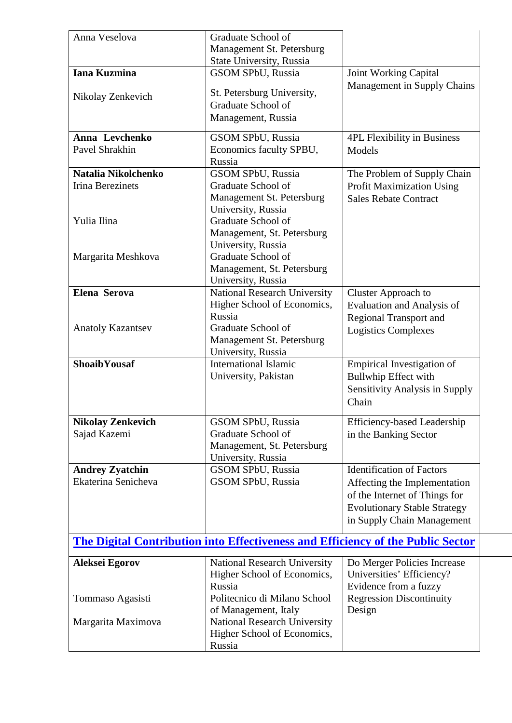| Anna Veselova                                 | Graduate School of                                                              |                                                                 |
|-----------------------------------------------|---------------------------------------------------------------------------------|-----------------------------------------------------------------|
|                                               | Management St. Petersburg<br>State University, Russia                           |                                                                 |
| <b>Iana Kuzmina</b>                           | <b>GSOM SPbU, Russia</b>                                                        | <b>Joint Working Capital</b>                                    |
|                                               |                                                                                 | Management in Supply Chains                                     |
| Nikolay Zenkevich                             | St. Petersburg University,<br>Graduate School of                                |                                                                 |
|                                               | Management, Russia                                                              |                                                                 |
|                                               |                                                                                 |                                                                 |
| Anna Levchenko                                | <b>GSOM SPbU, Russia</b>                                                        | <b>4PL Flexibility in Business</b>                              |
| Pavel Shrakhin                                | Economics faculty SPBU,                                                         | Models                                                          |
| Natalia Nikolchenko                           | Russia<br><b>GSOM SPbU, Russia</b>                                              |                                                                 |
| <b>Irina Berezinets</b>                       | Graduate School of                                                              | The Problem of Supply Chain<br><b>Profit Maximization Using</b> |
|                                               | Management St. Petersburg                                                       | <b>Sales Rebate Contract</b>                                    |
|                                               | University, Russia                                                              |                                                                 |
| Yulia Ilina                                   | Graduate School of                                                              |                                                                 |
|                                               | Management, St. Petersburg                                                      |                                                                 |
|                                               | University, Russia                                                              |                                                                 |
| Margarita Meshkova                            | Graduate School of<br>Management, St. Petersburg                                |                                                                 |
|                                               | University, Russia                                                              |                                                                 |
| <b>Elena Serova</b>                           | <b>National Research University</b>                                             | Cluster Approach to                                             |
|                                               | Higher School of Economics,                                                     | Evaluation and Analysis of                                      |
|                                               | Russia                                                                          | <b>Regional Transport and</b>                                   |
| <b>Anatoly Kazantsev</b>                      | Graduate School of                                                              | <b>Logistics Complexes</b>                                      |
|                                               | Management St. Petersburg                                                       |                                                                 |
| <b>ShoaibYousaf</b>                           | University, Russia<br><b>International Islamic</b>                              | Empirical Investigation of                                      |
|                                               | University, Pakistan                                                            | <b>Bullwhip Effect with</b>                                     |
|                                               |                                                                                 | Sensitivity Analysis in Supply                                  |
|                                               |                                                                                 | Chain                                                           |
| <b>Nikolay Zenkevich</b>                      | <b>GSOM SPbU, Russia</b>                                                        | <b>Efficiency-based Leadership</b>                              |
| Sajad Kazemi                                  | Graduate School of                                                              | in the Banking Sector                                           |
|                                               | Management, St. Petersburg                                                      |                                                                 |
|                                               | University, Russia                                                              |                                                                 |
| <b>Andrey Zyatchin</b><br>Ekaterina Senicheva | GSOM SPbU, Russia<br>GSOM SPbU, Russia                                          | <b>Identification of Factors</b>                                |
|                                               |                                                                                 | Affecting the Implementation<br>of the Internet of Things for   |
|                                               |                                                                                 | <b>Evolutionary Stable Strategy</b>                             |
|                                               |                                                                                 | in Supply Chain Management                                      |
|                                               |                                                                                 |                                                                 |
|                                               | The Digital Contribution into Effectiveness and Efficiency of the Public Sector |                                                                 |
| <b>Aleksei Egorov</b>                         | National Research University                                                    | Do Merger Policies Increase                                     |
|                                               | Higher School of Economics,                                                     | Universities' Efficiency?                                       |
|                                               | Russia                                                                          | Evidence from a fuzzy                                           |
| Tommaso Agasisti                              | Politecnico di Milano School                                                    | <b>Regression Discontinuity</b>                                 |
| Margarita Maximova                            | of Management, Italy<br><b>National Research University</b>                     | Design                                                          |
|                                               | Higher School of Economics,                                                     |                                                                 |
|                                               | Russia                                                                          |                                                                 |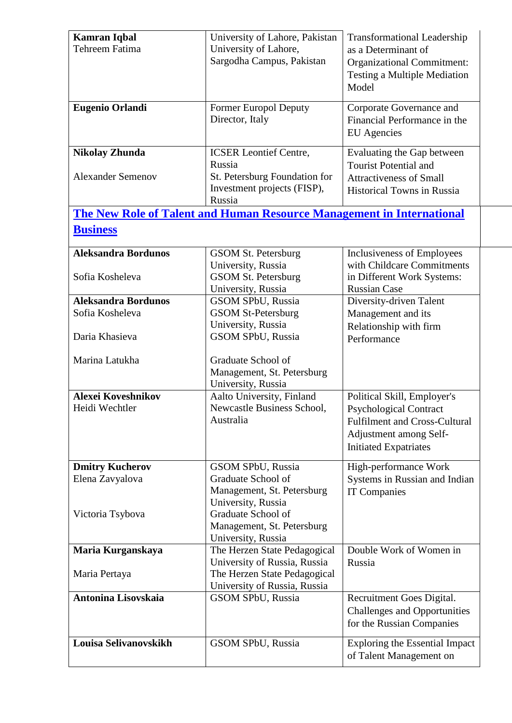| <b>Kamran Iqbal</b>        | University of Lahore, Pakistan                                               | <b>Transformational Leadership</b>    |
|----------------------------|------------------------------------------------------------------------------|---------------------------------------|
| Tehreem Fatima             | University of Lahore,                                                        | as a Determinant of                   |
|                            | Sargodha Campus, Pakistan                                                    | <b>Organizational Commitment:</b>     |
|                            |                                                                              | <b>Testing a Multiple Mediation</b>   |
|                            |                                                                              | Model                                 |
|                            |                                                                              |                                       |
| <b>Eugenio Orlandi</b>     | <b>Former Europol Deputy</b>                                                 | Corporate Governance and              |
|                            | Director, Italy                                                              | Financial Performance in the          |
|                            |                                                                              | <b>EU</b> Agencies                    |
|                            |                                                                              |                                       |
| <b>Nikolay Zhunda</b>      | <b>ICSER Leontief Centre,</b>                                                | Evaluating the Gap between            |
|                            | Russia                                                                       | <b>Tourist Potential and</b>          |
| <b>Alexander Semenov</b>   | St. Petersburg Foundation for                                                | <b>Attractiveness of Small</b>        |
|                            | Investment projects (FISP),                                                  | <b>Historical Towns in Russia</b>     |
|                            | Russia                                                                       |                                       |
|                            | <b>The New Role of Talent and Human Resource Management in International</b> |                                       |
| <b>Business</b>            |                                                                              |                                       |
|                            |                                                                              |                                       |
| <b>Aleksandra Bordunos</b> | GSOM St. Petersburg                                                          | Inclusiveness of Employees            |
|                            | University, Russia                                                           | with Childcare Commitments            |
| Sofia Kosheleva            | <b>GSOM St. Petersburg</b>                                                   | in Different Work Systems:            |
|                            | University, Russia                                                           | <b>Russian Case</b>                   |
| <b>Aleksandra Bordunos</b> | GSOM SPbU, Russia                                                            | Diversity-driven Talent               |
| Sofia Kosheleva            | <b>GSOM St-Petersburg</b>                                                    | Management and its                    |
|                            | University, Russia                                                           | Relationship with firm                |
| Daria Khasieva             | GSOM SPbU, Russia                                                            | Performance                           |
|                            |                                                                              |                                       |
| Marina Latukha             | Graduate School of                                                           |                                       |
|                            | Management, St. Petersburg                                                   |                                       |
|                            | University, Russia                                                           |                                       |
| <b>Alexei Koveshnikov</b>  | Aalto University, Finland                                                    | Political Skill, Employer's           |
| Heidi Wechtler             | Newcastle Business School,                                                   | <b>Psychological Contract</b>         |
|                            | Australia                                                                    | <b>Fulfilment and Cross-Cultural</b>  |
|                            |                                                                              | Adjustment among Self-                |
|                            |                                                                              | <b>Initiated Expatriates</b>          |
|                            |                                                                              |                                       |
| <b>Dmitry Kucherov</b>     | GSOM SPbU, Russia                                                            | High-performance Work                 |
| Elena Zavyalova            | Graduate School of                                                           | Systems in Russian and Indian         |
|                            | Management, St. Petersburg                                                   | <b>IT Companies</b>                   |
|                            | University, Russia                                                           |                                       |
| Victoria Tsybova           | Graduate School of                                                           |                                       |
|                            | Management, St. Petersburg                                                   |                                       |
|                            | University, Russia                                                           |                                       |
| Maria Kurganskaya          | The Herzen State Pedagogical                                                 | Double Work of Women in               |
|                            | University of Russia, Russia                                                 | Russia                                |
| Maria Pertaya              | The Herzen State Pedagogical                                                 |                                       |
|                            | University of Russia, Russia                                                 |                                       |
| <b>Antonina Lisovskaia</b> | GSOM SPbU, Russia                                                            | Recruitment Goes Digital.             |
|                            |                                                                              | <b>Challenges and Opportunities</b>   |
|                            |                                                                              | for the Russian Companies             |
| Louisa Selivanovskikh      | GSOM SPbU, Russia                                                            | <b>Exploring the Essential Impact</b> |
|                            |                                                                              |                                       |
|                            |                                                                              | of Talent Management on               |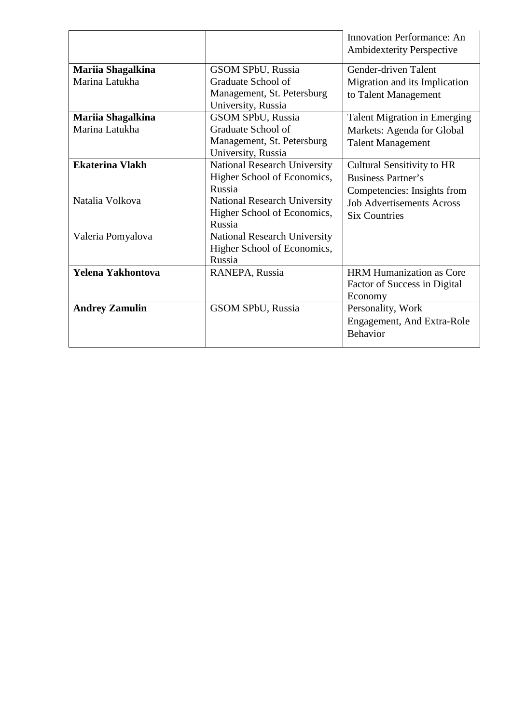<span id="page-18-0"></span>

|                        |                                     | <b>Innovation Performance: An</b>   |
|------------------------|-------------------------------------|-------------------------------------|
|                        |                                     | <b>Ambidexterity Perspective</b>    |
| Mariia Shagalkina      | <b>GSOM SPbU, Russia</b>            | Gender-driven Talent                |
| Marina Latukha         | Graduate School of                  | Migration and its Implication       |
|                        | Management, St. Petersburg          | to Talent Management                |
|                        | University, Russia                  |                                     |
| Mariia Shagalkina      | <b>GSOM SPbU, Russia</b>            | <b>Talent Migration in Emerging</b> |
| Marina Latukha         | Graduate School of                  | Markets: Agenda for Global          |
|                        | Management, St. Petersburg          | <b>Talent Management</b>            |
|                        | University, Russia                  |                                     |
| <b>Ekaterina Vlakh</b> | <b>National Research University</b> | <b>Cultural Sensitivity to HR</b>   |
|                        | Higher School of Economics,         | <b>Business Partner's</b>           |
|                        | Russia                              | Competencies: Insights from         |
| Natalia Volkova        | <b>National Research University</b> | <b>Job Advertisements Across</b>    |
|                        | Higher School of Economics,         | <b>Six Countries</b>                |
|                        | Russia                              |                                     |
| Valeria Pomyalova      | <b>National Research University</b> |                                     |
|                        | Higher School of Economics,         |                                     |
|                        | Russia                              |                                     |
| Yelena Yakhontova      | RANEPA, Russia                      | <b>HRM Humanization as Core</b>     |
|                        |                                     | Factor of Success in Digital        |
|                        |                                     | Economy                             |
| <b>Andrey Zamulin</b>  | GSOM SPbU, Russia                   | Personality, Work                   |
|                        |                                     | Engagement, And Extra-Role          |
|                        |                                     | <b>Behavior</b>                     |
|                        |                                     |                                     |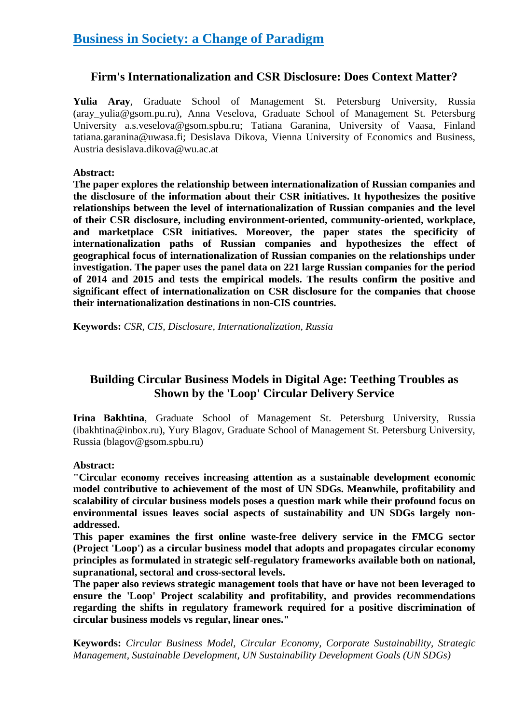# **Firm's Internationalization and CSR Disclosure: Does Context Matter?**

**Yulia Aray**, Graduate School of Management St. Petersburg University, Russia (aray\_yulia@gsom.pu.ru), Anna Veselova, Graduate School of Management St. Petersburg University a.s.veselova@gsom.spbu.ru; Tatiana Garanina, University of Vaasa, Finland tatiana.garanina@uwasa.fi; Desislava Dikova, Vienna University of Economics and Business, Austria desislava.dikova@wu.ac.at

#### **Abstract:**

**The paper explores the relationship between internationalization of Russian companies and the disclosure of the information about their CSR initiatives. It hypothesizes the positive relationships between the level of internationalization of Russian companies and the level of their CSR disclosure, including environment-oriented, community-oriented, workplace, and marketplace CSR initiatives. Moreover, the paper states the specificity of internationalization paths of Russian companies and hypothesizes the effect of geographical focus of internationalization of Russian companies on the relationships under investigation. The paper uses the panel data on 221 large Russian companies for the period of 2014 and 2015 and tests the empirical models. The results confirm the positive and significant effect of internationalization on CSR disclosure for the companies that choose their internationalization destinations in non-CIS countries.**

**Keywords:** *CSR, CIS, Disclosure, Internationalization, Russia*

# **Building Circular Business Models in Digital Age: Teething Troubles as Shown by the 'Loop' Circular Delivery Service**

**Irina Bakhtina**, Graduate School of Management St. Petersburg University, Russia (ibakhtina@inbox.ru), Yury Blagov, Graduate School of Management St. Petersburg University, Russia (blagov@gsom.spbu.ru)

#### **Abstract:**

**"Circular economy receives increasing attention as a sustainable development economic model contributive to achievement of the most of UN SDGs. Meanwhile, profitability and scalability of circular business models poses a question mark while their profound focus on environmental issues leaves social aspects of sustainability and UN SDGs largely nonaddressed.**

**This paper examines the first online waste-free delivery service in the FMCG sector (Project 'Loop') as a circular business model that adopts and propagates circular economy principles as formulated in strategic self-regulatory frameworks available both on national, supranational, sectoral and cross-sectoral levels.**

**The paper also reviews strategic management tools that have or have not been leveraged to ensure the 'Loop' Project scalability and profitability, and provides recommendations regarding the shifts in regulatory framework required for a positive discrimination of circular business models vs regular, linear ones."**

**Keywords:** *Circular Business Model, Circular Economy, Corporate Sustainability, Strategic Management, Sustainable Development, UN Sustainability Development Goals (UN SDGs)*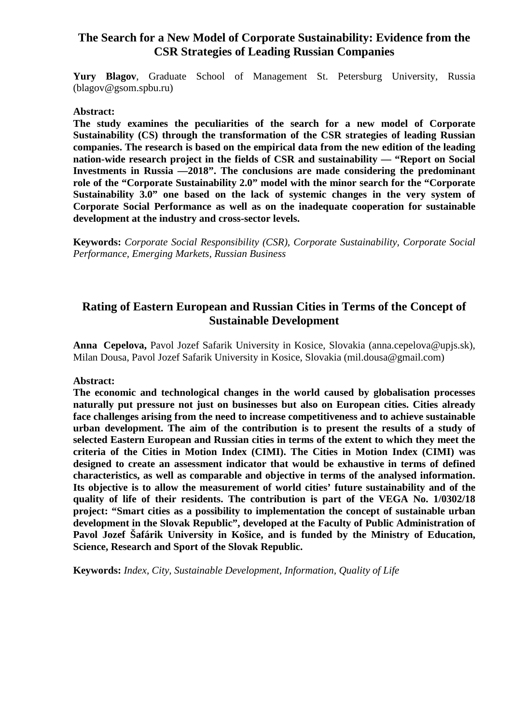# **The Search for a New Model of Corporate Sustainability: Evidence from the CSR Strategies of Leading Russian Companies**

**Yury Blagov**, Graduate School of Management St. Petersburg University, Russia (blagov@gsom.spbu.ru)

#### **Abstract:**

**The study examines the peculiarities of the search for a new model of Corporate Sustainability (CS) through the transformation of the CSR strategies of leading Russian companies. The research is based on the empirical data from the new edition of the leading nation-wide research project in the fields of CSR and sustainability — "Report on Social Investments in Russia —2018". The conclusions are made considering the predominant role of the "Corporate Sustainability 2.0" model with the minor search for the "Corporate Sustainability 3.0" one based on the lack of systemic changes in the very system of Corporate Social Performance as well as on the inadequate cooperation for sustainable development at the industry and cross-sector levels.**

**Keywords:** *Corporate Social Responsibility (CSR), Corporate Sustainability, Corporate Social Performance, Emerging Markets, Russian Business*

# **Rating of Eastern European and Russian Cities in Terms of the Concept of Sustainable Development**

**Anna Cepelova,** Pavol Jozef Safarik University in Kosice, Slovakia (anna.cepelova@upjs.sk), Milan Dousa, Pavol Jozef Safarik University in Kosice, Slovakia (mil.dousa@gmail.com)

#### **Abstract:**

**The economic and technological changes in the world caused by globalisation processes naturally put pressure not just on businesses but also on European cities. Cities already face challenges arising from the need to increase competitiveness and to achieve sustainable urban development. The aim of the contribution is to present the results of a study of selected Eastern European and Russian cities in terms of the extent to which they meet the criteria of the Cities in Motion Index (CIMI). The Cities in Motion Index (CIMI) was designed to create an assessment indicator that would be exhaustive in terms of defined characteristics, as well as comparable and objective in terms of the analysed information. Its objective is to allow the measurement of world cities' future sustainability and of the quality of life of their residents. The contribution is part of the VEGA No. 1/0302/18 project: "Smart cities as a possibility to implementation the concept of sustainable urban development in the Slovak Republic", developed at the Faculty of Public Administration of Pavol Jozef Šafárik University in Košice, and is funded by the Ministry of Education, Science, Research and Sport of the Slovak Republic.**

**Keywords:** *Index, City, Sustainable Development, Information, Quality of Life*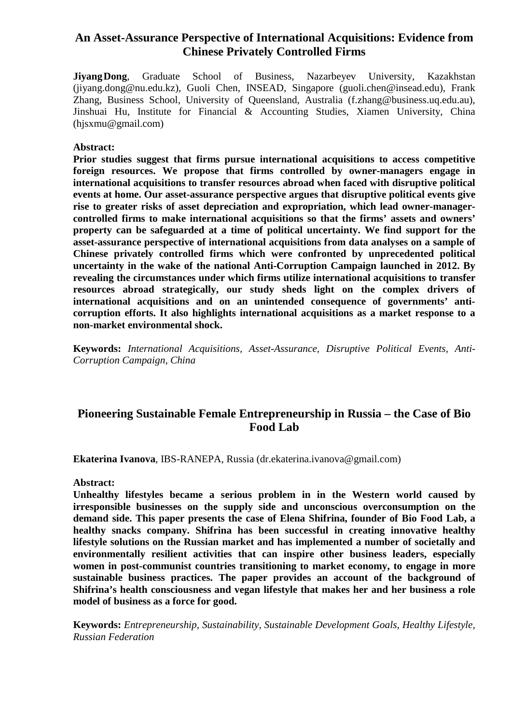# **An Asset-Assurance Perspective of International Acquisitions: Evidence from Chinese Privately Controlled Firms**

**Jiyang Dong**, Graduate School of Business, Nazarbeyev University, Kazakhstan (jiyang.dong@nu.edu.kz), Guoli Chen, INSEAD, Singapore (guoli.chen@insead.edu), Frank Zhang, Business School, University of Queensland, Australia (f.zhang@business.uq.edu.au), Jinshuai Hu, Institute for Financial & Accounting Studies, Xiamen University, China (hjsxmu@gmail.com)

#### **Abstract:**

**Prior studies suggest that firms pursue international acquisitions to access competitive foreign resources. We propose that firms controlled by owner-managers engage in international acquisitions to transfer resources abroad when faced with disruptive political events at home. Our asset-assurance perspective argues that disruptive political events give rise to greater risks of asset depreciation and expropriation, which lead owner-managercontrolled firms to make international acquisitions so that the firms' assets and owners' property can be safeguarded at a time of political uncertainty. We find support for the asset-assurance perspective of international acquisitions from data analyses on a sample of Chinese privately controlled firms which were confronted by unprecedented political uncertainty in the wake of the national Anti-Corruption Campaign launched in 2012. By revealing the circumstances under which firms utilize international acquisitions to transfer resources abroad strategically, our study sheds light on the complex drivers of international acquisitions and on an unintended consequence of governments' anticorruption efforts. It also highlights international acquisitions as a market response to a non-market environmental shock.**

**Keywords:** *International Acquisitions, Asset-Assurance, Disruptive Political Events, Anti-Corruption Campaign, China*

# **Pioneering Sustainable Female Entrepreneurship in Russia – the Case of Bio Food Lab**

**Ekaterina Ivanova**, IBS-RANEPA, Russia (dr.ekaterina.ivanova@gmail.com)

#### **Abstract:**

**Unhealthy lifestyles became a serious problem in in the Western world caused by irresponsible businesses on the supply side and unconscious overconsumption on the demand side. This paper presents the case of Elena Shifrina, founder of Bio Food Lab, a healthy snacks company. Shifrina has been successful in creating innovative healthy lifestyle solutions on the Russian market and has implemented a number of societally and environmentally resilient activities that can inspire other business leaders, especially women in post-communist countries transitioning to market economy, to engage in more sustainable business practices. The paper provides an account of the background of Shifrina's health consciousness and vegan lifestyle that makes her and her business a role model of business as a force for good.**

**Keywords:** *Entrepreneurship, Sustainability, Sustainable Development Goals, Healthy Lifestyle, Russian Federation*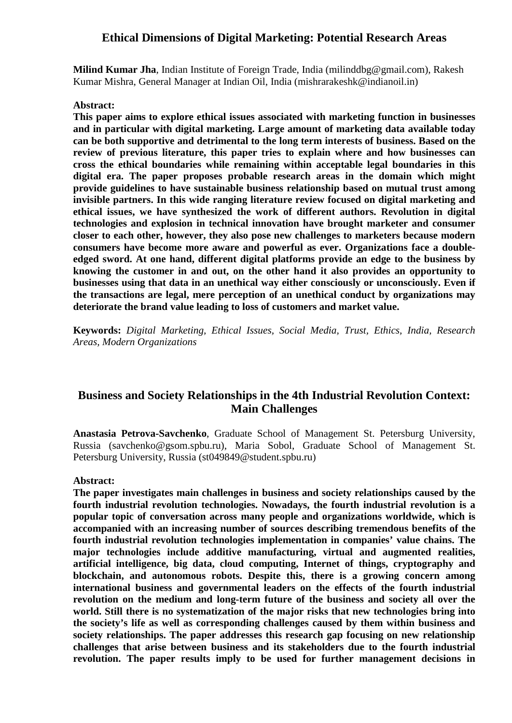#### **Ethical Dimensions of Digital Marketing: Potential Research Areas**

**Milind Kumar Jha**, Indian Institute of Foreign Trade, India (milinddbg@gmail.com), Rakesh Kumar Mishra, General Manager at Indian Oil, India (mishrarakeshk@indianoil.in)

#### **Abstract:**

**This paper aims to explore ethical issues associated with marketing function in businesses and in particular with digital marketing. Large amount of marketing data available today can be both supportive and detrimental to the long term interests of business. Based on the review of previous literature, this paper tries to explain where and how businesses can cross the ethical boundaries while remaining within acceptable legal boundaries in this digital era. The paper proposes probable research areas in the domain which might provide guidelines to have sustainable business relationship based on mutual trust among invisible partners. In this wide ranging literature review focused on digital marketing and ethical issues, we have synthesized the work of different authors. Revolution in digital technologies and explosion in technical innovation have brought marketer and consumer closer to each other, however, they also pose new challenges to marketers because modern consumers have become more aware and powerful as ever. Organizations face a doubleedged sword. At one hand, different digital platforms provide an edge to the business by knowing the customer in and out, on the other hand it also provides an opportunity to businesses using that data in an unethical way either consciously or unconsciously. Even if the transactions are legal, mere perception of an unethical conduct by organizations may deteriorate the brand value leading to loss of customers and market value.**

**Keywords:** *Digital Marketing, Ethical Issues, Social Media, Trust, Ethics, India, Research Areas, Modern Organizations*

# **Business and Society Relationships in the 4th Industrial Revolution Context: Main Challenges**

**Anastasia Petrova-Savchenko**, Graduate School of Management St. Petersburg University, Russia (savchenko@gsom.spbu.ru), Maria Sobol, Graduate School of Management St. Petersburg University, Russia (st049849@student.spbu.ru)

#### **Abstract:**

**The paper investigates main challenges in business and society relationships caused by the fourth industrial revolution technologies. Nowadays, the fourth industrial revolution is a popular topic of conversation across many people and organizations worldwide, which is accompanied with an increasing number of sources describing tremendous benefits of the fourth industrial revolution technologies implementation in companies' value chains. The major technologies include additive manufacturing, virtual and augmented realities, artificial intelligence, big data, cloud computing, Internet of things, cryptography and blockchain, and autonomous robots. Despite this, there is a growing concern among international business and governmental leaders on the effects of the fourth industrial revolution on the medium and long-term future of the business and society all over the world. Still there is no systematization of the major risks that new technologies bring into the society's life as well as corresponding challenges caused by them within business and society relationships. The paper addresses this research gap focusing on new relationship challenges that arise between business and its stakeholders due to the fourth industrial revolution. The paper results imply to be used for further management decisions in**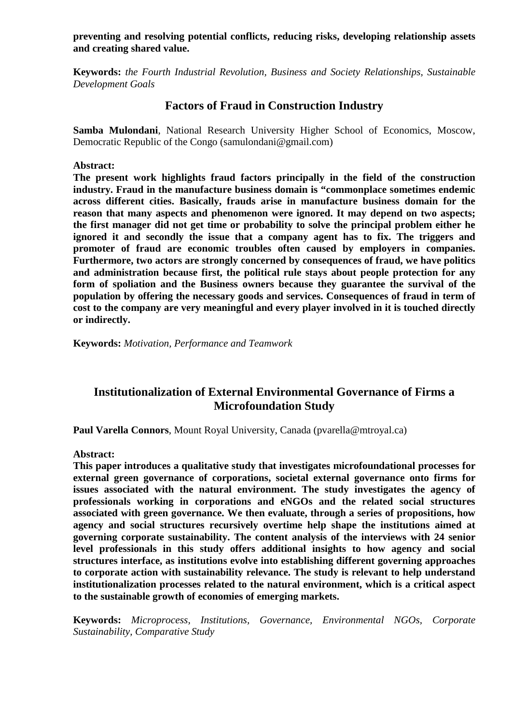**preventing and resolving potential conflicts, reducing risks, developing relationship assets and creating shared value.**

**Keywords:** *the Fourth Industrial Revolution, Business and Society Relationships, Sustainable Development Goals*

# **Factors of Fraud in Construction Industry**

**Samba Mulondani**, National Research University Higher School of Economics, Moscow, Democratic Republic of the Congo (samulondani@gmail.com)

**Abstract:**

**The present work highlights fraud factors principally in the field of the construction industry. Fraud in the manufacture business domain is "commonplace sometimes endemic across different cities. Basically, frauds arise in manufacture business domain for the reason that many aspects and phenomenon were ignored. It may depend on two aspects; the first manager did not get time or probability to solve the principal problem either he ignored it and secondly the issue that a company agent has to fix. The triggers and promoter of fraud are economic troubles often caused by employers in companies. Furthermore, two actors are strongly concerned by consequences of fraud, we have politics and administration because first, the political rule stays about people protection for any form of spoliation and the Business owners because they guarantee the survival of the population by offering the necessary goods and services. Consequences of fraud in term of cost to the company are very meaningful and every player involved in it is touched directly or indirectly.**

**Keywords:** *Motivation, Performance and Teamwork*

# **Institutionalization of External Environmental Governance of Firms a Microfoundation Study**

**Paul Varella Connors**, Mount Royal University, Canada (pvarella@mtroyal.ca)

**Abstract:**

**This paper introduces a qualitative study that investigates microfoundational processes for external green governance of corporations, societal external governance onto firms for issues associated with the natural environment. The study investigates the agency of professionals working in corporations and eNGOs and the related social structures associated with green governance. We then evaluate, through a series of propositions, how agency and social structures recursively overtime help shape the institutions aimed at governing corporate sustainability. The content analysis of the interviews with 24 senior level professionals in this study offers additional insights to how agency and social structures interface, as institutions evolve into establishing different governing approaches to corporate action with sustainability relevance. The study is relevant to help understand institutionalization processes related to the natural environment, which is a critical aspect to the sustainable growth of economies of emerging markets.**

**Keywords:** *Microprocess, Institutions, Governance, Environmental NGOs, Corporate Sustainability, Comparative Study*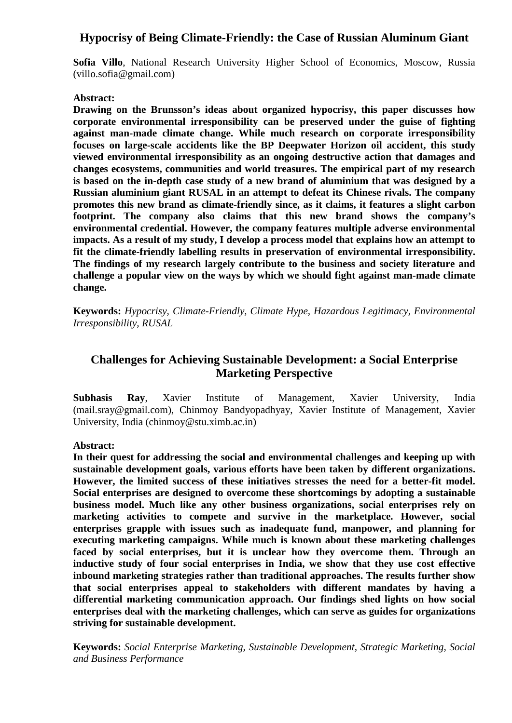# <span id="page-24-0"></span>**Hypocrisy of Being Climate-Friendly: the Case of Russian Aluminum Giant**

**Sofia Villo**, National Research University Higher School of Economics, Moscow, Russia (villo.sofia@gmail.com)

#### **Abstract:**

**Drawing on the Brunsson's ideas about organized hypocrisy, this paper discusses how corporate environmental irresponsibility can be preserved under the guise of fighting against man-made climate change. While much research on corporate irresponsibility focuses on large-scale accidents like the BP Deepwater Horizon oil accident, this study viewed environmental irresponsibility as an ongoing destructive action that damages and changes ecosystems, communities and world treasures. The empirical part of my research is based on the in-depth case study of a new brand of aluminium that was designed by a Russian aluminium giant RUSAL in an attempt to defeat its Chinese rivals. The company promotes this new brand as climate-friendly since, as it claims, it features a slight carbon footprint. The company also claims that this new brand shows the company's environmental credential. However, the company features multiple adverse environmental impacts. As a result of my study, I develop a process model that explains how an attempt to fit the climate-friendly labelling results in preservation of environmental irresponsibility. The findings of my research largely contribute to the business and society literature and challenge a popular view on the ways by which we should fight against man-made climate change.**

**Keywords:** *Hypocrisy, Climate-Friendly, Climate Hype, Hazardous Legitimacy, Environmental Irresponsibility, RUSAL*

# **Challenges for Achieving Sustainable Development: a Social Enterprise Marketing Perspective**

**Subhasis Ray**, Xavier Institute of Management, Xavier University, India (mail.sray@gmail.com), Chinmoy Bandyopadhyay, Xavier Institute of Management, Xavier University, India (chinmoy@stu.ximb.ac.in)

#### **Abstract:**

**In their quest for addressing the social and environmental challenges and keeping up with sustainable development goals, various efforts have been taken by different organizations. However, the limited success of these initiatives stresses the need for a better-fit model. Social enterprises are designed to overcome these shortcomings by adopting a sustainable business model. Much like any other business organizations, social enterprises rely on marketing activities to compete and survive in the marketplace. However, social enterprises grapple with issues such as inadequate fund, manpower, and planning for executing marketing campaigns. While much is known about these marketing challenges faced by social enterprises, but it is unclear how they overcome them. Through an inductive study of four social enterprises in India, we show that they use cost effective inbound marketing strategies rather than traditional approaches. The results further show that social enterprises appeal to stakeholders with different mandates by having a differential marketing communication approach. Our findings shed lights on how social enterprises deal with the marketing challenges, which can serve as guides for organizations striving for sustainable development.**

**Keywords:** *Social Enterprise Marketing, Sustainable Development, Strategic Marketing, Social and Business Performance*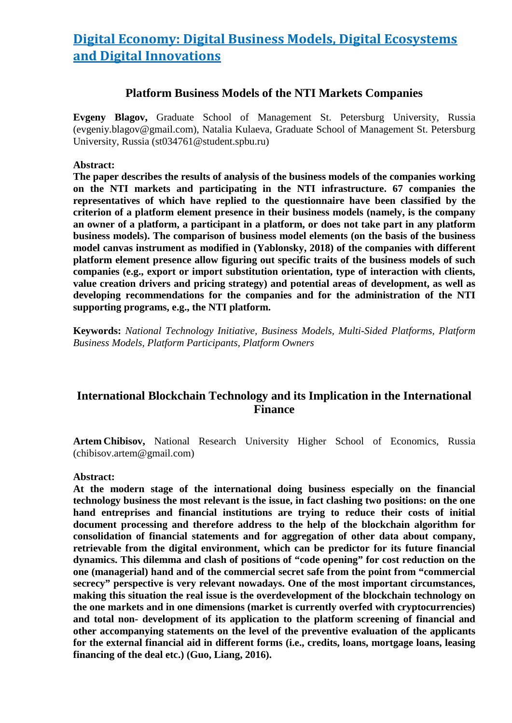# **Digital Economy: Digital Business Models, Digital Ecosystems and Digital Innovations**

#### **Platform Business Models of the NTI Markets Companies**

**Evgeny Blagov,** Graduate School of Management St. Petersburg University, Russia (evgeniy.blagov@gmail.com), Natalia Kulaeva, Graduate School of Management St. Petersburg University, Russia (st034761@student.spbu.ru)

#### **Abstract:**

**The paper describes the results of analysis of the business models of the companies working on the NTI markets and participating in the NTI infrastructure. 67 companies the representatives of which have replied to the questionnaire have been classified by the criterion of a platform element presence in their business models (namely, is the company an owner of a platform, a participant in a platform, or does not take part in any platform business models). The comparison of business model elements (on the basis of the business model canvas instrument as modified in (Yablonsky, 2018) of the companies with different platform element presence allow figuring out specific traits of the business models of such companies (e.g., export or import substitution orientation, type of interaction with clients, value creation drivers and pricing strategy) and potential areas of development, as well as developing recommendations for the companies and for the administration of the NTI supporting programs, e.g., the NTI platform.**

**Keywords:** *National Technology Initiative, Business Models, Multi-Sided Platforms, Platform Business Models, Platform Participants, Platform Owners*

# **International Blockchain Technology and its Implication in the International Finance**

**Artem Chibisov,** National Research University Higher School of Economics, Russia (chibisov.artem@gmail.com)

#### **Abstract:**

**At the modern stage of the international doing business especially on the financial technology business the most relevant is the issue, in fact clashing two positions: on the one hand entreprises and financial institutions are trying to reduce their costs of initial document processing and therefore address to the help of the blockchain algorithm for consolidation of financial statements and for aggregation of other data about company, retrievable from the digital environment, which can be predictor for its future financial dynamics. This dilemma and clash of positions of "code opening" for cost reduction on the one (managerial) hand and of the commercial secret safe from the point from "commercial secrecy" perspective is very relevant nowadays. One of the most important circumstances, making this situation the real issue is the overdevelopment of the blockchain technology on the one markets and in one dimensions (market is currently overfed with cryptocurrencies) and total non- development of its application to the platform screening of financial and other accompanying statements on the level of the preventive evaluation of the applicants for the external financial aid in different forms (i.e., credits, loans, mortgage loans, leasing financing of the deal etc.) (Guo, Liang, 2016).**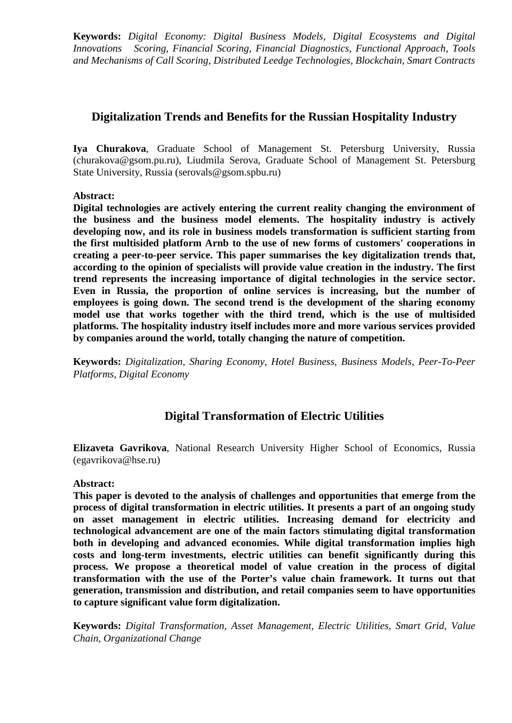**Keywords:** *Digital Economy: Digital Business Models, Digital Ecosystems and Digital Innovations Scoring, Financial Scoring, Financial Diagnostics, Functional Approach, Tools and Mechanisms of Call Scoring, Distributed Leedge Technologies, Blockchain, Smart Contracts*

# **Digitalization Trends and Benefits for the Russian Hospitality Industry**

**Iya Churakova**, Graduate School of Management St. Petersburg University, Russia (churakova@gsom.pu.ru), Liudmila Serova, Graduate School of Management St. Petersburg State University, Russia (serovals@gsom.spbu.ru)

#### **Abstract:**

**Digital technologies are actively entering the current reality changing the environment of the business and the business model elements. The hospitality industry is actively developing now, and its role in business models transformation is sufficient starting from the first multisided platform Arnb to the use of new forms of customers' cooperations in creating a peer-to-peer service. This paper summarises the key digitalization trends that, according to the opinion of specialists will provide value creation in the industry. The first trend represents the increasing importance of digital technologies in the service sector. Even in Russia, the proportion of online services is increasing, but the number of employees is going down. The second trend is the development of the sharing economy model use that works together with the third trend, which is the use of multisided platforms. The hospitality industry itself includes more and more various services provided by companies around the world, totally changing the nature of competition.**

**Keywords:** *Digitalization, Sharing Economy, Hotel Business, Business Models, Peer-To-Peer Platforms, Digital Economy*

# **Digital Transformation of Electric Utilities**

**Elizaveta Gavrikova**, National Research University Higher School of Economics, Russia (egavrikova@hse.ru)

#### **Abstract:**

**This paper is devoted to the analysis of challenges and opportunities that emerge from the process of digital transformation in electric utilities. It presents a part of an ongoing study on asset management in electric utilities. Increasing demand for electricity and technological advancement are one of the main factors stimulating digital transformation both in developing and advanced economies. While digital transformation implies high costs and long-term investments, electric utilities can benefit significantly during this process. We propose a theoretical model of value creation in the process of digital transformation with the use of the Porter's value chain framework. It turns out that generation, transmission and distribution, and retail companies seem to have opportunities to capture significant value form digitalization.**

**Keywords:** *Digital Transformation, Asset Management, Electric Utilities, Smart Grid, Value Chain, Organizational Change*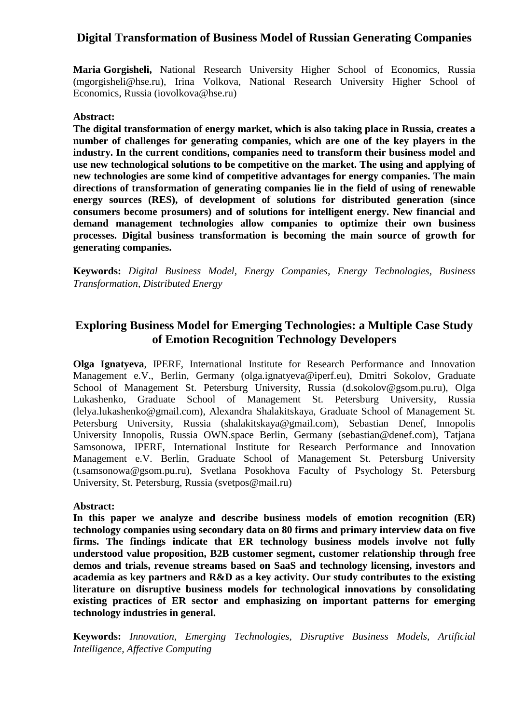# **Digital Transformation of Business Model of Russian Generating Companies**

**Maria Gorgisheli,** National Research University Higher School of Economics, Russia (mgorgisheli@hse.ru), Irina Volkova, National Research University Higher School of Economics, Russia (iovolkova@hse.ru)

#### **Abstract:**

**The digital transformation of energy market, which is also taking place in Russia, creates a number of challenges for generating companies, which are one of the key players in the industry. In the current conditions, companies need to transform their business model and use new technological solutions to be competitive on the market. The using and applying of new technologies are some kind of competitive advantages for energy companies. The main directions of transformation of generating companies lie in the field of using of renewable energy sources (RES), of development of solutions for distributed generation (since consumers become prosumers) and of solutions for intelligent energy. New financial and demand management technologies allow companies to optimize their own business processes. Digital business transformation is becoming the main source of growth for generating companies.**

**Keywords:** *Digital Business Model, Energy Companies, Energy Technologies, Business Transformation, Distributed Energy*

# **Exploring Business Model for Emerging Technologies: a Multiple Case Study of Emotion Recognition Technology Developers**

**Olga Ignatyeva**, IPERF, International Institute for Research Performance and Innovation Management e.V., Berlin, Germany (olga.ignatyeva@iperf.eu), Dmitri Sokolov, Graduate School of Management St. Petersburg University, Russia (d.sokolov@gsom.pu.ru), Olga Lukashenko, Graduate School of Management St. Petersburg University, Russia (lelya.lukashenko@gmail.com), Alexandra Shalakitskaya, Graduate School of Management St. Petersburg University, Russia (shalakitskaya@gmail.com), Sebastian Denef, Innopolis University Innopolis, Russia OWN.space Berlin, Germany (sebastian@denef.com), Tatjana Samsonowa, IPERF, International Institute for Research Performance and Innovation Management e.V. Berlin, Graduate School of Management St. Petersburg University (t.samsonowa@gsom.pu.ru), Svetlana Posokhova Faculty of Psychology St. Petersburg University, St. Petersburg, Russia (svetpos@mail.ru)

#### **Abstract:**

**In this paper we analyze and describe business models of emotion recognition (ER) technology companies using secondary data on 80 firms and primary interview data on five firms. The findings indicate that ER technology business models involve not fully understood value proposition, B2B customer segment, customer relationship through free demos and trials, revenue streams based on SaaS and technology licensing, investors and academia as key partners and R&D as a key activity. Our study contributes to the existing literature on disruptive business models for technological innovations by consolidating existing practices of ER sector and emphasizing on important patterns for emerging technology industries in general.**

**Keywords:** *Innovation, Emerging Technologies, Disruptive Business Models, Artificial Intelligence, Affective Computing*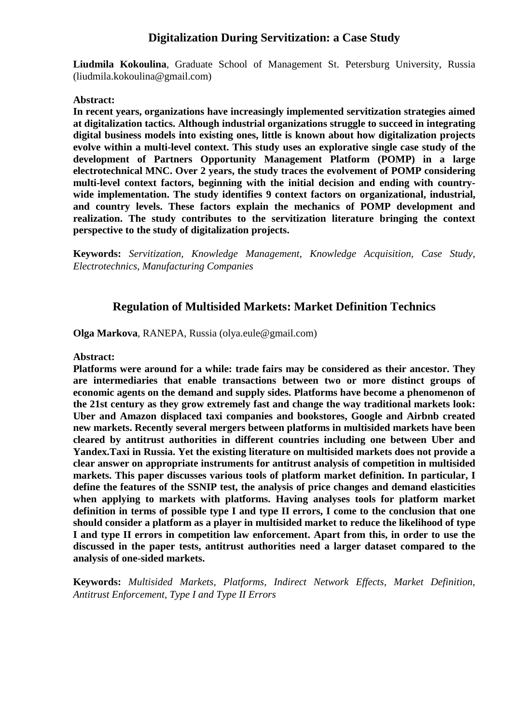# **Digitalization During Servitization: a Case Study**

**Liudmila Kokoulina**, Graduate School of Management St. Petersburg University, Russia (liudmila.kokoulina@gmail.com)

#### **Abstract:**

**In recent years, organizations have increasingly implemented servitization strategies aimed at digitalization tactics. Although industrial organizations struggle to succeed in integrating digital business models into existing ones, little is known about how digitalization projects evolve within a multi-level context. This study uses an explorative single case study of the development of Partners Opportunity Management Platform (POMP) in a large electrotechnical MNC. Over 2 years, the study traces the evolvement of POMP considering multi-level context factors, beginning with the initial decision and ending with countrywide implementation. The study identifies 9 context factors on organizational, industrial, and country levels. These factors explain the mechanics of POMP development and realization. The study contributes to the servitization literature bringing the context perspective to the study of digitalization projects.**

**Keywords:** *Servitization, Knowledge Management, Knowledge Acquisition, Case Study, Electrotechnics, Manufacturing Companies*

# **Regulation of Multisided Markets: Market Definition Technics**

**Olga Markova**, RANEPA, Russia (olya.eule@gmail.com)

#### **Abstract:**

**Platforms were around for a while: trade fairs may be considered as their ancestor. They are intermediaries that enable transactions between two or more distinct groups of economic agents on the demand and supply sides. Platforms have become a phenomenon of the 21st century as they grow extremely fast and change the way traditional markets look: Uber and Amazon displaced taxi companies and bookstores, Google and Airbnb created new markets. Recently several mergers between platforms in multisided markets have been cleared by antitrust authorities in different countries including one between Uber and Yandex.Taxi in Russia. Yet the existing literature on multisided markets does not provide a clear answer on appropriate instruments for antitrust analysis of competition in multisided markets. This paper discusses various tools of platform market definition. In particular, I define the features of the SSNIP test, the analysis of price changes and demand elasticities when applying to markets with platforms. Having analyses tools for platform market definition in terms of possible type I and type II errors, I come to the conclusion that one should consider a platform as a player in multisided market to reduce the likelihood of type I and type II errors in competition law enforcement. Apart from this, in order to use the discussed in the paper tests, antitrust authorities need a larger dataset compared to the analysis of one-sided markets.**

**Keywords:** *Multisided Markets, Platforms, Indirect Network Effects, Market Definition, Antitrust Enforcement, Type I and Type II Errors*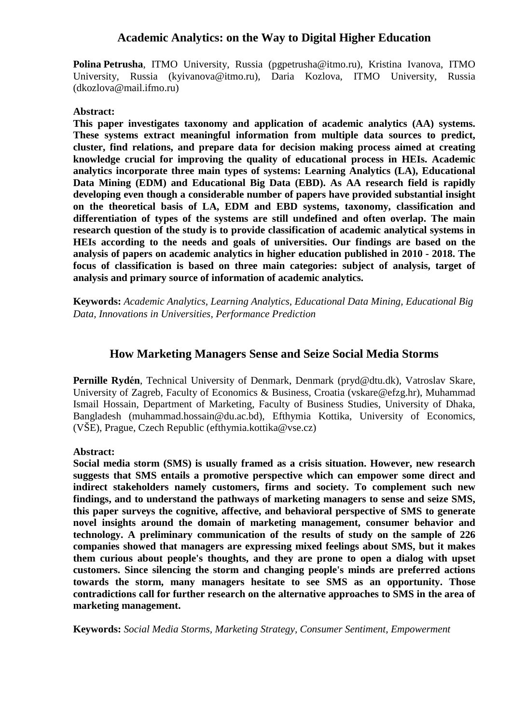# **Academic Analytics: on the Way to Digital Higher Education**

**Polina Petrusha**, ITMO University, Russia (pgpetrusha@itmo.ru), Kristina Ivanova, ITMO University, Russia (kyivanova@itmo.ru), Daria Kozlova, ITMO University, Russia (dkozlova@mail.ifmo.ru)

#### **Abstract:**

**This paper investigates taxonomy and application of academic analytics (AA) systems. These systems extract meaningful information from multiple data sources to predict, cluster, find relations, and prepare data for decision making process aimed at creating knowledge crucial for improving the quality of educational process in HEIs. Academic analytics incorporate three main types of systems: Learning Analytics (LA), Educational Data Mining (EDM) and Educational Big Data (EBD). As AA research field is rapidly developing even though a considerable number of papers have provided substantial insight on the theoretical basis of LA, EDM and EBD systems, taxonomy, classification and differentiation of types of the systems are still undefined and often overlap. The main research question of the study is to provide classification of academic analytical systems in HEIs according to the needs and goals of universities. Our findings are based on the analysis of papers on academic analytics in higher education published in 2010 - 2018. The focus of classification is based on three main categories: subject of analysis, target of analysis and primary source of information of academic analytics.**

**Keywords:** *Academic Analytics, Learning Analytics, Educational Data Mining, Educational Big Data, Innovations in Universities, Performance Prediction*

#### **How Marketing Managers Sense and Seize Social Media Storms**

**Pernille Rydе́ n**, Technical University of Denmark, Denmark (pryd@dtu.dk), Vatroslav Skare, University of Zagreb, Faculty of Economics & Business, Croatia (vskare@efzg.hr), Muhammad Ismail Hossain, Department of Marketing, Faculty of Business Studies, University of Dhaka, Bangladesh (muhammad.hossain@du.ac.bd), Efthymia Kottika, University of Economics, (VŠE), Prague, Czech Republic (efthymia.kottika@vse.cz)

#### **Abstract:**

**Social media storm (SMS) is usually framed as a crisis situation. However, new research suggests that SMS entails a promotive perspective which can empower some direct and indirect stakeholders namely customers, firms and society. To complement such new findings, and to understand the pathways of marketing managers to sense and seize SMS, this paper surveys the cognitive, affective, and behavioral perspective of SMS to generate novel insights around the domain of marketing management, consumer behavior and technology. A preliminary communication of the results of study on the sample of 226 companies showed that managers are expressing mixed feelings about SMS, but it makes them curious about people's thoughts, and they are prone to open a dialog with upset customers. Since silencing the storm and changing people's minds are preferred actions towards the storm, many managers hesitate to see SMS as an opportunity. Those contradictions call for further research on the alternative approaches to SMS in the area of marketing management.**

**Keywords:** *Social Media Storms, Marketing Strategy, Consumer Sentiment, Empowerment*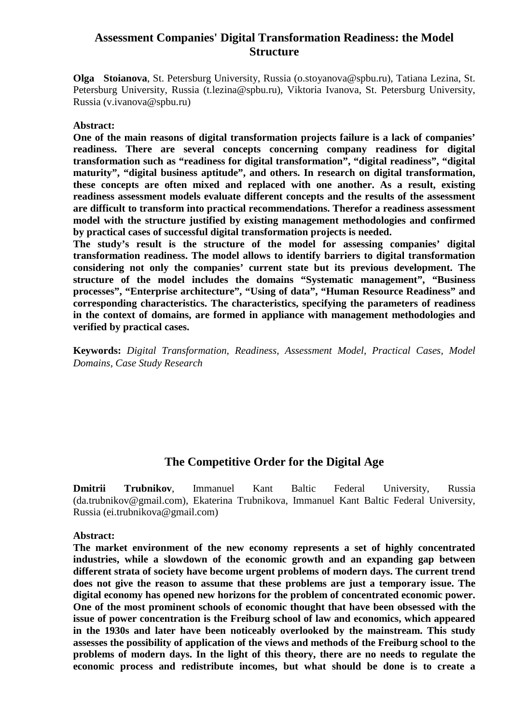# **Assessment Companies' Digital Transformation Readiness: the Model Structure**

**Olga Stoianova**, St. Petersburg University, Russia (o.stoyanova@spbu.ru), Tatiana Lezina, St. Petersburg University, Russia (t.lezina@spbu.ru), Viktoria Ivanova, St. Petersburg University, Russia (v.ivanova@spbu.ru)

#### **Abstract:**

**One of the main reasons of digital transformation projects failure is a lack of companies' readiness. There are several concepts concerning company readiness for digital transformation such as "readiness for digital transformation", "digital readiness", "digital maturity", "digital business aptitude", and others. In research on digital transformation, these concepts are often mixed and replaced with one another. As a result, existing readiness assessment models evaluate different concepts and the results of the assessment are difficult to transform into practical recommendations. Therefor a readiness assessment model with the structure justified by existing management methodologies and confirmed by practical cases of successful digital transformation projects is needed.**

**The study's result is the structure of the model for assessing companies' digital transformation readiness. The model allows to identify barriers to digital transformation considering not only the companies' current state but its previous development. The structure of the model includes the domains "Systematic management", "Business processes", "Enterprise architecture", "Using of data", "Human Resource Readiness" and corresponding characteristics. The characteristics, specifying the parameters of readiness in the context of domains, are formed in appliance with management methodologies and verified by practical cases.**

**Keywords:** *Digital Transformation, Readiness, Assessment Model, Practical Cases, Model Domains, Case Study Research*

# **The Competitive Order for the Digital Age**

**Dmitrii Trubnikov**, Immanuel Kant Baltic Federal University, Russia (da.trubnikov@gmail.com), Ekaterina Trubnikova, Immanuel Kant Baltic Federal University, Russia (ei.trubnikova@gmail.com)

#### **Abstract:**

**The market environment of the new economy represents a set of highly concentrated industries, while a slowdown of the economic growth and an expanding gap between different strata of society have become urgent problems of modern days. The current trend does not give the reason to assume that these problems are just a temporary issue. The digital economy has opened new horizons for the problem of concentrated economic power. One of the most prominent schools of economic thought that have been obsessed with the issue of power concentration is the Freiburg school of law and economics, which appeared in the 1930s and later have been noticeably overlooked by the mainstream. This study assesses the possibility of application of the views and methods of the Freiburg school to the problems of modern days. In the light of this theory, there are no needs to regulate the economic process and redistribute incomes, but what should be done is to create a**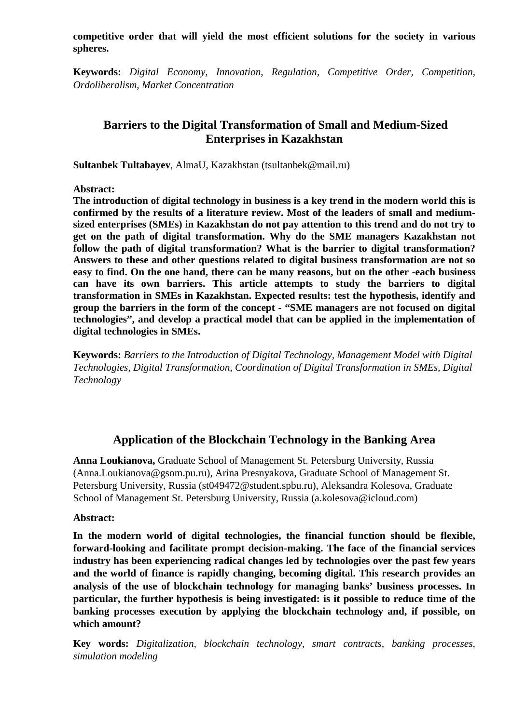**competitive order that will yield the most efficient solutions for the society in various spheres.**

**Keywords:** *Digital Economy, Innovation, Regulation, Competitive Order, Competition, Ordoliberalism, Market Concentration*

# **Barriers to the Digital Transformation of Small and Medium-Sized Enterprises in Kazakhstan**

**Sultanbek Tultabayev**, AlmaU, Kazakhstan (tsultanbek@mail.ru)

**Abstract:**

**The introduction of digital technology in business is a key trend in the modern world this is confirmed by the results of a literature review. Most of the leaders of small and mediumsized enterprises (SMEs) in Kazakhstan do not pay attention to this trend and do not try to get on the path of digital transformation. Why do the SME managers Kazakhstan not follow the path of digital transformation? What is the barrier to digital transformation? Answers to these and other questions related to digital business transformation are not so easy to find. On the one hand, there can be many reasons, but on the other -each business can have its own barriers. This article attempts to study the barriers to digital transformation in SMEs in Kazakhstan. Expected results: test the hypothesis, identify and group the barriers in the form of the concept - "SME managers are not focused on digital technologies", and develop a practical model that can be applied in the implementation of digital technologies in SMEs.**

**Keywords:** *Barriers to the Introduction of Digital Technology, Management Model with Digital Technologies, Digital Transformation, Coordination of Digital Transformation in SMEs, Digital Technology*

# **Application of the Blockchain Technology in the Banking Area**

**Anna Loukianova,** Graduate School of Management St. Petersburg University, Russia (Anna.Loukianova@gsom.pu.ru), Arina Presnyakova, Graduate School of Management St. Petersburg University, Russia (st049472@student.spbu.ru), Aleksandra Kolesova, Graduate School of Management St. Petersburg University, Russia (a.kolesova@icloud.com)

#### **Abstract:**

**In the modern world of digital technologies, the financial function should be flexible, forward-looking and facilitate prompt decision-making. The face of the financial services industry has been experiencing radical changes led by technologies over the past few years and the world of finance is rapidly changing, becoming digital. This research provides an analysis of the use of blockchain technology for managing banks' business processes. In particular, the further hypothesis is being investigated: is it possible to reduce time of the banking processes execution by applying the blockchain technology and, if possible, on which amount?**

**Key words:** *Digitalization, blockchain technology, smart contracts, banking processes, simulation modeling*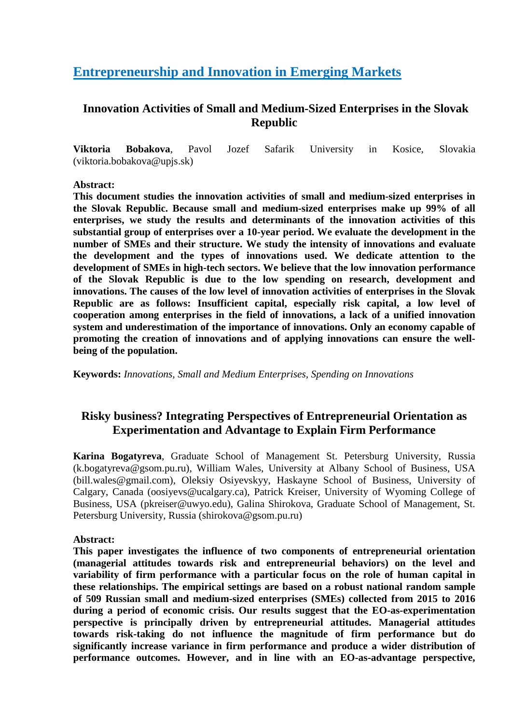# <span id="page-32-0"></span>**Entrepreneurship and Innovation in Emerging Markets**

# **Innovation Activities of Small and Medium-Sized Enterprises in the Slovak Republic**

**Viktoria Bobakova**, Pavol Jozef Safarik University in Kosice, Slovakia (viktoria.bobakova@upjs.sk)

#### **Abstract:**

**This document studies the innovation activities of small and medium-sized enterprises in the Slovak Republic. Because small and medium-sized enterprises make up 99% of all enterprises, we study the results and determinants of the innovation activities of this substantial group of enterprises over a 10-year period. We evaluate the development in the number of SMEs and their structure. We study the intensity of innovations and evaluate the development and the types of innovations used. We dedicate attention to the development of SMEs in high-tech sectors. We believe that the low innovation performance of the Slovak Republic is due to the low spending on research, development and innovations. The causes of the low level of innovation activities of enterprises in the Slovak Republic are as follows: Insufficient capital, especially risk capital, a low level of cooperation among enterprises in the field of innovations, a lack of a unified innovation system and underestimation of the importance of innovations. Only an economy capable of promoting the creation of innovations and of applying innovations can ensure the wellbeing of the population.**

**Keywords:** *Innovations, Small and Medium Enterprises, Spending on Innovations*

# **Risky business? Integrating Perspectives of Entrepreneurial Orientation as Experimentation and Advantage to Explain Firm Performance**

**Karina Bogatyreva**, Graduate School of Management St. Petersburg University, Russia (k.bogatyreva@gsom.pu.ru), William Wales, University at Albany School of Business, USA (bill.wales@gmail.com), Oleksiy Osiyevskyy, Haskayne School of Business, University of Calgary, Canada (oosiyevs@ucalgary.ca), Patrick Kreiser, University of Wyoming College of Business, USA (pkreiser@uwyo.edu), Galina Shirokova, Graduate School of Management, St. Petersburg University, Russia (shirokova@gsom.pu.ru)

#### **Abstract:**

**This paper investigates the influence of two components of entrepreneurial orientation (managerial attitudes towards risk and entrepreneurial behaviors) on the level and variability of firm performance with a particular focus on the role of human capital in these relationships. The empirical settings are based on a robust national random sample of 509 Russian small and medium-sized enterprises (SMEs) collected from 2015 to 2016 during a period of economic crisis. Our results suggest that the EO-as-experimentation perspective is principally driven by entrepreneurial attitudes. Managerial attitudes towards risk-taking do not influence the magnitude of firm performance but do significantly increase variance in firm performance and produce a wider distribution of performance outcomes. However, and in line with an EO-as-advantage perspective,**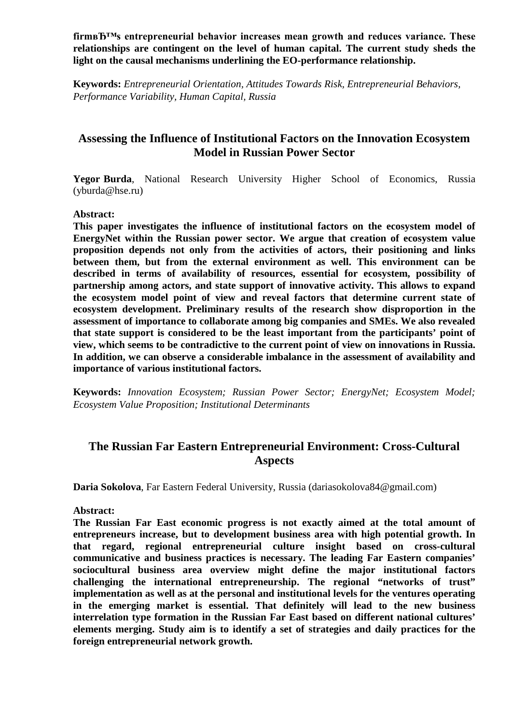firm<sub>B</sub>T<sup>M</sup>s entrepreneurial behavior increases mean growth and reduces variance. These **relationships are contingent on the level of human capital. The current study sheds the light on the causal mechanisms underlining the EO-performance relationship.**

**Keywords:** *Entrepreneurial Orientation, Attitudes Towards Risk, Entrepreneurial Behaviors, Performance Variability, Human Capital, Russia*

# **Assessing the Influence of Institutional Factors on the Innovation Ecosystem Model in Russian Power Sector**

Yegor Burda, National Research University Higher School of Economics, Russia (yburda@hse.ru)

#### **Abstract:**

**This paper investigates the influence of institutional factors on the ecosystem model of EnergyNet within the Russian power sector. We argue that creation of ecosystem value proposition depends not only from the activities of actors, their positioning and links between them, but from the external environment as well. This environment can be described in terms of availability of resources, essential for ecosystem, possibility of partnership among actors, and state support of innovative activity. This allows to expand the ecosystem model point of view and reveal factors that determine current state of ecosystem development. Preliminary results of the research show disproportion in the assessment of importance to collaborate among big companies and SMEs. We also revealed that state support is considered to be the least important from the participants' point of view, which seems to be contradictive to the current point of view on innovations in Russia. In addition, we can observe a considerable imbalance in the assessment of availability and importance of various institutional factors.**

**Keywords:** *Innovation Ecosystem; Russian Power Sector; EnergyNet; Ecosystem Model; Ecosystem Value Proposition; Institutional Determinants*

# **The Russian Far Eastern Entrepreneurial Environment: Cross-Cultural Aspects**

**Daria Sokolova**, Far Eastern Federal University, Russia (dariasokolova84@gmail.com)

#### **Abstract:**

**The Russian Far East economic progress is not exactly aimed at the total amount of entrepreneurs increase, but to development business area with high potential growth. In that regard, regional entrepreneurial culture insight based on cross-cultural communicative and business practices is necessary. The leading Far Eastern companies' sociocultural business area overview might define the major institutional factors challenging the international entrepreneurship. The regional "networks of trust" implementation as well as at the personal and institutional levels for the ventures operating in the emerging market is essential. That definitely will lead to the new business interrelation type formation in the Russian Far East based on different national cultures' elements merging. Study aim is to identify a set of strategies and daily practices for the foreign entrepreneurial network growth.**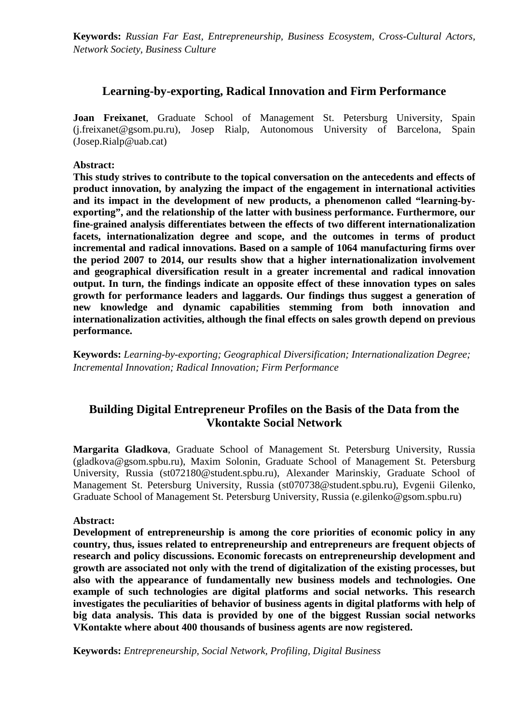**Keywords:** *Russian Far East, Entrepreneurship, Business Ecosystem, Cross-Cultural Actors, Network Society, Business Culture*

#### **Learning-by-exporting, Radical Innovation and Firm Performance**

**Joan Freixanet**, Graduate School of Management St. Petersburg University, Spain (j.freixanet@gsom.pu.ru), Josep Rialp, Autonomous University of Barcelona, Spain (Josep.Rialp@uab.cat)

#### **Abstract:**

**This study strives to contribute to the topical conversation on the antecedents and effects of product innovation, by analyzing the impact of the engagement in international activities and its impact in the development of new products, a phenomenon called "learning-byexporting", and the relationship of the latter with business performance. Furthermore, our fine-grained analysis differentiates between the effects of two different internationalization facets, internationalization degree and scope, and the outcomes in terms of product incremental and radical innovations. Based on a sample of 1064 manufacturing firms over the period 2007 to 2014, our results show that a higher internationalization involvement and geographical diversification result in a greater incremental and radical innovation output. In turn, the findings indicate an opposite effect of these innovation types on sales growth for performance leaders and laggards. Our findings thus suggest a generation of new knowledge and dynamic capabilities stemming from both innovation and internationalization activities, although the final effects on sales growth depend on previous performance.**

**Keywords:** *Learning-by-exporting; Geographical Diversification; Internationalization Degree; Incremental Innovation; Radical Innovation; Firm Performance*

# **Building Digital Entrepreneur Profiles on the Basis of the Data from the Vkontakte Social Network**

**Margarita Gladkova**, Graduate School of Management St. Petersburg University, Russia (gladkova@gsom.spbu.ru), Maxim Solonin, Graduate School of Management St. Petersburg University, Russia (st072180@student.spbu.ru), Alexander Marinskiy, Graduate School of Management St. Petersburg University, Russia (st070738@student.spbu.ru), Evgenii Gilenko, Graduate School of Management St. Petersburg University, Russia (e.gilenko@gsom.spbu.ru)

#### **Abstract:**

**Development of entrepreneurship is among the core priorities of economic policy in any country, thus, issues related to entrepreneurship and entrepreneurs are frequent objects of research and policy discussions. Economic forecasts on entrepreneurship development and growth are associated not only with the trend of digitalization of the existing processes, but also with the appearance of fundamentally new business models and technologies. One example of such technologies are digital platforms and social networks. This research investigates the peculiarities of behavior of business agents in digital platforms with help of big data analysis. This data is provided by one of the biggest Russian social networks VKontakte where about 400 thousands of business agents are now registered.**

**Keywords:** *Entrepreneurship, Social Network, Profiling, Digital Business*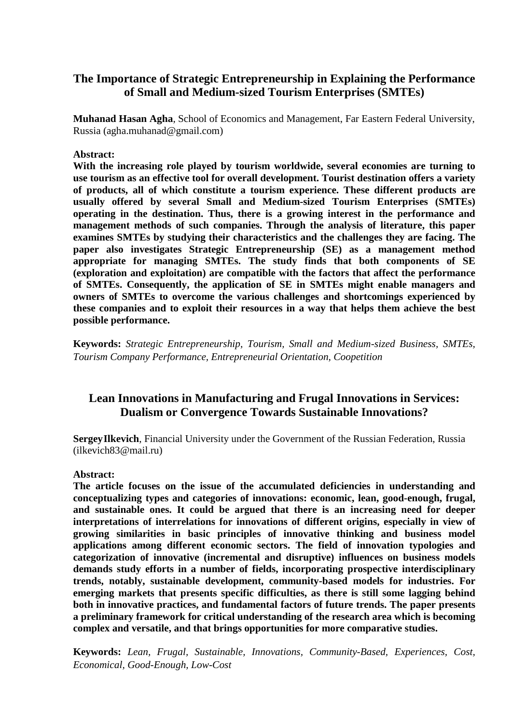# **The Importance of Strategic Entrepreneurship in Explaining the Performance of Small and Medium-sized Tourism Enterprises (SMTEs)**

**Muhanad Hasan Agha**, School of Economics and Management, Far Eastern Federal University, Russia (agha.muhanad@gmail.com)

#### **Abstract:**

**With the increasing role played by tourism worldwide, several economies are turning to use tourism as an effective tool for overall development. Tourist destination offers a variety of products, all of which constitute a tourism experience. These different products are usually offered by several Small and Medium-sized Tourism Enterprises (SMTEs) operating in the destination. Thus, there is a growing interest in the performance and management methods of such companies. Through the analysis of literature, this paper examines SMTEs by studying their characteristics and the challenges they are facing. The paper also investigates Strategic Entrepreneurship (SE) as a management method appropriate for managing SMTEs. The study finds that both components of SE (exploration and exploitation) are compatible with the factors that affect the performance of SMTEs. Consequently, the application of SE in SMTEs might enable managers and owners of SMTEs to overcome the various challenges and shortcomings experienced by these companies and to exploit their resources in a way that helps them achieve the best possible performance.**

**Keywords:** *Strategic Entrepreneurship, Tourism, Small and Medium-sized Business, SMTEs, Tourism Company Performance, Entrepreneurial Orientation, Coopetition*

# **Lean Innovations in Manufacturing and Frugal Innovations in Services: Dualism or Convergence Towards Sustainable Innovations?**

**SergeyIlkevich**, Financial University under the Government of the Russian Federation, Russia (ilkevich83@mail.ru)

#### **Abstract:**

**The article focuses on the issue of the accumulated deficiencies in understanding and conceptualizing types and categories of innovations: economic, lean, good-enough, frugal, and sustainable ones. It could be argued that there is an increasing need for deeper interpretations of interrelations for innovations of different origins, especially in view of growing similarities in basic principles of innovative thinking and business model applications among different economic sectors. The field of innovation typologies and categorization of innovative (incremental and disruptive) influences on business models demands study efforts in a number of fields, incorporating prospective interdisciplinary trends, notably, sustainable development, community-based models for industries. For emerging markets that presents specific difficulties, as there is still some lagging behind both in innovative practices, and fundamental factors of future trends. The paper presents a preliminary framework for critical understanding of the research area which is becoming complex and versatile, and that brings opportunities for more comparative studies.** 

**Keywords:** *Lean, Frugal, Sustainable, Innovations, Community-Based, Experiences, Cost, Economical, Good-Enough, Low-Cost*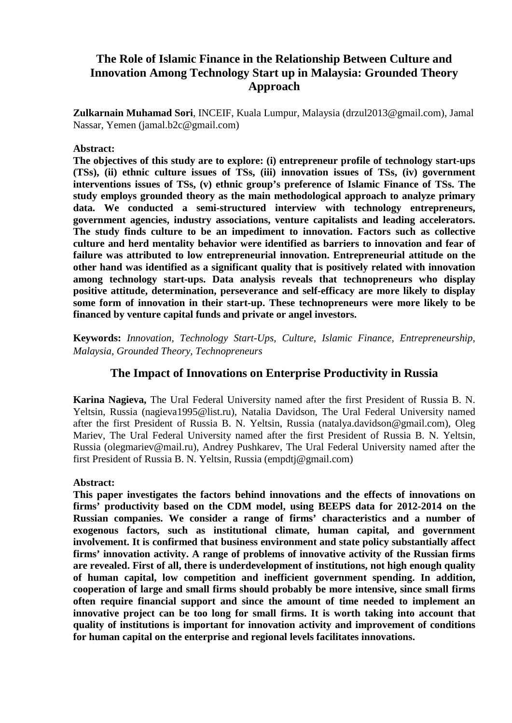# **The Role of Islamic Finance in the Relationship Between Culture and Innovation Among Technology Start up in Malaysia: Grounded Theory Approach**

**Zulkarnain Muhamad Sori**, INCEIF, Kuala Lumpur, Malaysia (drzul2013@gmail.com), Jamal Nassar, Yemen (jamal.b2c@gmail.com)

#### **Abstract:**

**The objectives of this study are to explore: (i) entrepreneur profile of technology start-ups (TSs), (ii) ethnic culture issues of TSs, (iii) innovation issues of TSs, (iv) government interventions issues of TSs, (v) ethnic group's preference of Islamic Finance of TSs. The study employs grounded theory as the main methodological approach to analyze primary data. We conducted a semi-structured interview with technology entrepreneurs, government agencies, industry associations, venture capitalists and leading accelerators. The study finds culture to be an impediment to innovation. Factors such as collective culture and herd mentality behavior were identified as barriers to innovation and fear of failure was attributed to low entrepreneurial innovation. Entrepreneurial attitude on the other hand was identified as a significant quality that is positively related with innovation among technology start-ups. Data analysis reveals that technopreneurs who display positive attitude, determination, perseverance and self-efficacy are more likely to display some form of innovation in their start-up. These technopreneurs were more likely to be financed by venture capital funds and private or angel investors.**

**Keywords:** *Innovation, Technology Start-Ups, Culture, Islamic Finance, Entrepreneurship, Malaysia, Grounded Theory, Technopreneurs*

### **The Impact of Innovations on Enterprise Productivity in Russia**

**Karina Nagieva,** The Ural Federal University named after the first President of Russia B. N. Yeltsin, Russia (nagieva1995@list.ru), Natalia Davidson, The Ural Federal University named after the first President of Russia B. N. Yeltsin, Russia (natalya.davidson@gmail.com), Oleg Mariev, The Ural Federal University named after the first President of Russia B. N. Yeltsin, Russia (olegmariev@mail.ru), Andrey Pushkarev, The Ural Federal University named after the first President of Russia B. N. Yeltsin, Russia (empdtj@gmail.com)

#### **Abstract:**

**This paper investigates the factors behind innovations and the effects of innovations on firms' productivity based on the CDM model, using BEEPS data for 2012-2014 on the Russian companies. We consider a range of firms' characteristics and a number of exogenous factors, such as institutional climate, human capital, and government involvement. It is confirmed that business environment and state policy substantially affect firms' innovation activity. A range of problems of innovative activity of the Russian firms are revealed. First of all, there is underdevelopment of institutions, not high enough quality of human capital, low competition and inefficient government spending. In addition, cooperation of large and small firms should probably be more intensive, since small firms often require financial support and since the amount of time needed to implement an innovative project can be too long for small firms. It is worth taking into account that quality of institutions is important for innovation activity and improvement of conditions for human capital on the enterprise and regional levels facilitates innovations.**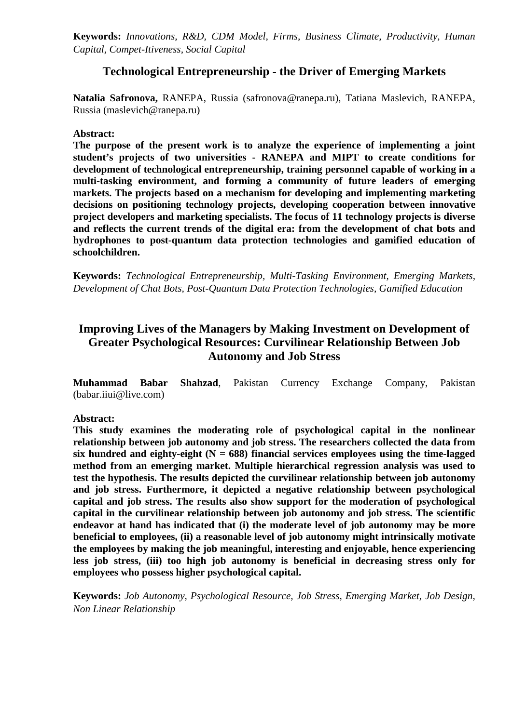**Keywords:** *Innovations, R&D, CDM Model, Firms, Business Climate, Productivity, Human Capital, Compet-Itiveness, Social Capital*

### **Technological Entrepreneurship - the Driver of Emerging Markets**

**Natalia Safronova,** RANEPA, Russia (safronova@ranepa.ru), Tatiana Maslevich, RANEPA, Russia (maslevich@ranepa.ru)

#### **Abstract:**

**The purpose of the present work is to analyze the experience of implementing a joint student's projects of two universities - RANEPA and MIPT to create conditions for development of technological entrepreneurship, training personnel capable of working in a multi-tasking environment, and forming a community of future leaders of emerging markets. The projects based on a mechanism for developing and implementing marketing decisions on positioning technology projects, developing cooperation between innovative project developers and marketing specialists. The focus of 11 technology projects is diverse and reflects the current trends of the digital era: from the development of chat bots and hydrophones to post-quantum data protection technologies and gamified education of schoolchildren.**

**Keywords:** *Technological Entrepreneurship, Multi-Tasking Environment, Emerging Markets, Development of Chat Bots, Post-Quantum Data Protection Technologies, Gamified Education*

# **Improving Lives of the Managers by Making Investment on Development of Greater Psychological Resources: Curvilinear Relationship Between Job Autonomy and Job Stress**

**Muhammad Babar Shahzad**, Pakistan Currency Exchange Company, Pakistan (babar.iiui@live.com)

#### **Abstract:**

**This study examines the moderating role of psychological capital in the nonlinear relationship between job autonomy and job stress. The researchers collected the data from**  six hundred and eighty-eight  $(N = 688)$  financial services employees using the time-lagged **method from an emerging market. Multiple hierarchical regression analysis was used to test the hypothesis. The results depicted the curvilinear relationship between job autonomy and job stress. Furthermore, it depicted a negative relationship between psychological capital and job stress. The results also show support for the moderation of psychological capital in the curvilinear relationship between job autonomy and job stress. The scientific endeavor at hand has indicated that (i) the moderate level of job autonomy may be more beneficial to employees, (ii) a reasonable level of job autonomy might intrinsically motivate the employees by making the job meaningful, interesting and enjoyable, hence experiencing less job stress, (iii) too high job autonomy is beneficial in decreasing stress only for employees who possess higher psychological capital.**

**Keywords:** *Job Autonomy, Psychological Resource, Job Stress, Emerging Market, Job Design, Non Linear Relationship*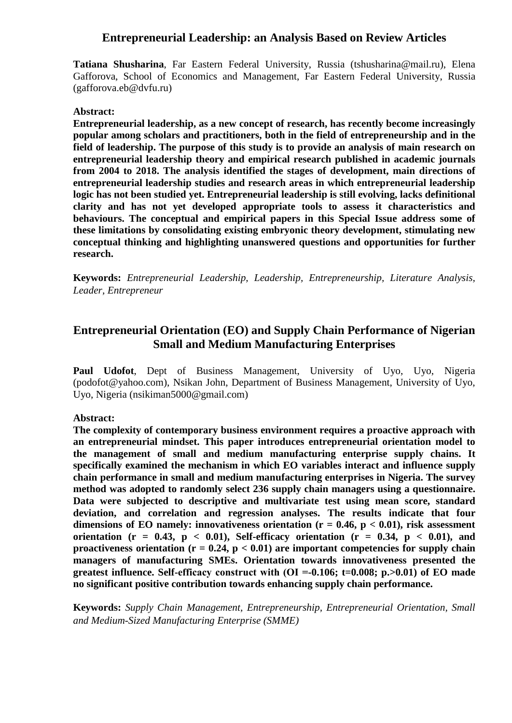### **Entrepreneurial Leadership: an Analysis Based on Review Articles**

**Tatiana Shusharina**, Far Eastern Federal University, Russia (tshusharina@mail.ru), Elena Gafforova, School of Economics and Management, Far Eastern Federal University, Russia (gafforova.eb@dvfu.ru)

#### **Abstract:**

**Entrepreneurial leadership, as a new concept of research, has recently become increasingly popular among scholars and practitioners, both in the field of entrepreneurship and in the field of leadership. The purpose of this study is to provide an analysis of main research on entrepreneurial leadership theory and empirical research published in academic journals from 2004 to 2018. The analysis identified the stages of development, main directions of entrepreneurial leadership studies and research areas in which entrepreneurial leadership logic has not been studied yet. Entrepreneurial leadership is still evolving, lacks definitional clarity and has not yet developed appropriate tools to assess it characteristics and behaviours. The conceptual and empirical papers in this Special Issue address some of these limitations by consolidating existing embryonic theory development, stimulating new conceptual thinking and highlighting unanswered questions and opportunities for further research.**

**Keywords:** *Entrepreneurial Leadership, Leadership, Entrepreneurship, Literature Analysis, Leader, Entrepreneur*

# **Entrepreneurial Orientation (EO) and Supply Chain Performance of Nigerian Small and Medium Manufacturing Enterprises**

**Paul Udofot**, Dept of Business Management, University of Uyo, Uyo, Nigeria (podofot@yahoo.com), Nsikan John, Department of Business Management, University of Uyo, Uyo, Nigeria (nsikiman5000@gmail.com)

#### **Abstract:**

**The complexity of contemporary business environment requires a proactive approach with an entrepreneurial mindset. This paper introduces entrepreneurial orientation model to the management of small and medium manufacturing enterprise supply chains. It specifically examined the mechanism in which EO variables interact and influence supply chain performance in small and medium manufacturing enterprises in Nigeria. The survey method was adopted to randomly select 236 supply chain managers using a questionnaire. Data were subjected to descriptive and multivariate test using mean score, standard deviation, and correlation and regression analyses. The results indicate that four**  dimensions of EO namely: innovativeness orientation  $(r = 0.46, p < 0.01)$ , risk assessment orientation ( $r = 0.43$ ,  $p < 0.01$ ), Self-efficacy orientation ( $r = 0.34$ ,  $p < 0.01$ ), and proactiveness orientation  $(r = 0.24, p < 0.01)$  are important competencies for supply chain **managers of manufacturing SMEs. Orientation towards innovativeness presented the greatest influence. Self-efficacy construct with (ОІ =-0.106; t=0.008; p.>0.01) of EO made no significant positive contribution towards enhancing supply chain performance.**

**Keywords:** *Supply Chain Management, Entrepreneurship, Entrepreneurial Orientation, Small and Medium-Sized Manufacturing Enterprise (SMME)*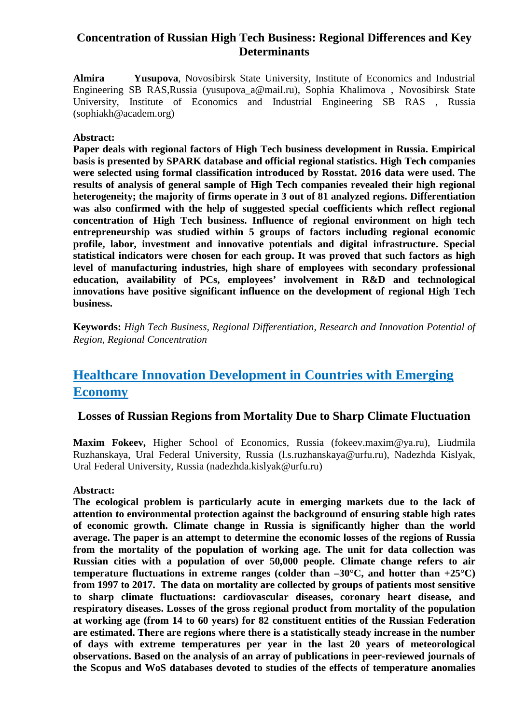# **Concentration of Russian High Tech Business: Regional Differences and Key Determinants**

**Almira Yusupova**, Novosibirsk State University, Institute of Economics and Industrial Engineering SB RAS,Russia (yusupova\_a@mail.ru), Sophia Khalimova , Novosibirsk State University, Institute of Economics and Industrial Engineering SB RAS , Russia (sophiakh@academ.org)

#### **Abstract:**

**Paper deals with regional factors of High Tech business development in Russia. Empirical basis is presented by SPARK database and official regional statistics. High Tech companies were selected using formal classification introduced by Rosstat. 2016 data were used. The results of analysis of general sample of High Tech companies revealed their high regional heterogeneity; the majority of firms operate in 3 out of 81 analyzed regions. Differentiation was also confirmed with the help of suggested special coefficients which reflect regional concentration of High Tech business. Influence of regional environment on high tech entrepreneurship was studied within 5 groups of factors including regional economic profile, labor, investment and innovative potentials and digital infrastructure. Special statistical indicators were chosen for each group. It was proved that such factors as high level of manufacturing industries, high share of employees with secondary professional education, availability of PCs, employees' involvement in R&D and technological innovations have positive significant influence on the development of regional High Tech business.**

**Keywords:** *High Tech Business, Regional Differentiation, Research and Innovation Potential of Region, Regional Concentration*

# **Healthcare Innovation Development in Countries with Emerging Economy**

### **Losses of Russian Regions from Mortality Due to Sharp Climate Fluctuation**

**Maxim Fokeev,** Higher School of Economics, Russia (fokeev.maxim@ya.ru), Liudmila Ruzhanskaya, Ural Federal University, Russia (l.s.ruzhanskaya@urfu.ru), Nadezhda Kislyak, Ural Federal University, Russia (nadezhda.kislyak@urfu.ru)

#### **Abstract:**

**The ecological problem is particularly acute in emerging markets due to the lack of attention to environmental protection against the background of ensuring stable high rates of economic growth. Climate change in Russia is significantly higher than the world average. The paper is an attempt to determine the economic losses of the regions of Russia from the mortality of the population of working age. The unit for data collection was Russian cities with a population of over 50,000 people. Climate change refers to air temperature fluctuations in extreme ranges (colder than**  $-30^{\circ}$ **C, and hotter than**  $+25^{\circ}$ **C) from 1997 to 2017. The data on mortality are collected by groups of patients most sensitive to sharp climate fluctuations: cardiovascular diseases, coronary heart disease, and respiratory diseases. Losses of the gross regional product from mortality of the population at working age (from 14 to 60 years) for 82 constituent entities of the Russian Federation are estimated. There are regions where there is a statistically steady increase in the number of days with extreme temperatures per year in the last 20 years of meteorological observations. Based on the analysis of an array of publications in peer-reviewed journals of the Scopus and WoS databases devoted to studies of the effects of temperature anomalies**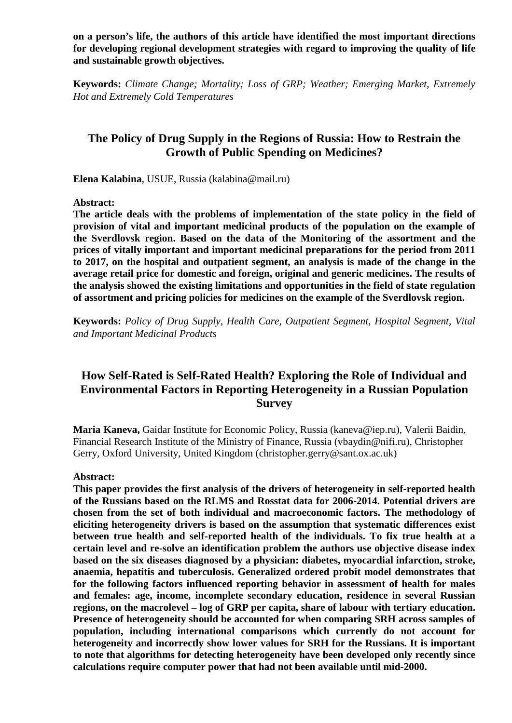**on a person's life, the authors of this article have identified the most important directions for developing regional development strategies with regard to improving the quality of life and sustainable growth objectives.**

**Keywords:** *Climate Change; Mortality; Loss of GRP; Weather; Emerging Market, Extremely Hot and Extremely Cold Temperatures*

### **The Policy of Drug Supply in the Regions of Russia: How to Restrain the Growth of Public Spending on Medicines?**

**Elena Kalabina**, USUE, Russia (kalabina@mail.ru)

**Abstract:**

**The article deals with the problems of implementation of the state policy in the field of provision of vital and important medicinal products of the population on the example of the Sverdlovsk region. Based on the data of the Monitoring of the assortment and the prices of vitally important and important medicinal preparations for the period from 2011 to 2017, on the hospital and outpatient segment, an analysis is made of the change in the average retail price for domestic and foreign, original and generic medicines. The results of the analysis showed the existing limitations and opportunities in the field of state regulation of assortment and pricing policies for medicines on the example of the Sverdlovsk region.**

**Keywords:** *Policy of Drug Supply, Health Care, Outpatient Segment, Hospital Segment, Vital and Important Medicinal Products*

### **How Self-Rated is Self-Rated Health? Exploring the Role of Individual and Environmental Factors in Reporting Heterogeneity in a Russian Population Survey**

**Maria Kaneva,** Gaidar Institute for Economic Policy, Russia (kaneva@iep.ru), Valerii Baidin, Financial Research Institute of the Ministry of Finance, Russia (vbaydin@nifi.ru), Christopher Gerry, Oxford University, United Kingdom (christopher.gerry@sant.ox.ac.uk)

#### **Abstract:**

**This paper provides the first analysis of the drivers of heterogeneity in self-reported health of the Russians based on the RLMS and Rosstat data for 2006-2014. Potential drivers are chosen from the set of both individual and macroeconomic factors. The methodology of eliciting heterogeneity drivers is based on the assumption that systematic differences exist between true health and self-reported health of the individuals. To fix true health at a certain level and re-solve an identification problem the authors use objective disease index based on the six diseases diagnosed by a physician: diabetes, myocardial infarction, stroke, anaemia, hepatitis and tuberculosis. Generalized ordered probit model demonstrates that for the following factors influenced reporting behavior in assessment of health for males and females: age, income, incomplete secondary education, residence in several Russian regions, on the macrolevel – log of GRP per capita, share of labour with tertiary education. Presence of heterogeneity should be accounted for when comparing SRH across samples of population, including international comparisons which currently do not account for heterogeneity and incorrectly show lower values for SRH for the Russians. It is important to note that algorithms for detecting heterogeneity have been developed only recently since calculations require computer power that had not been available until mid-2000.**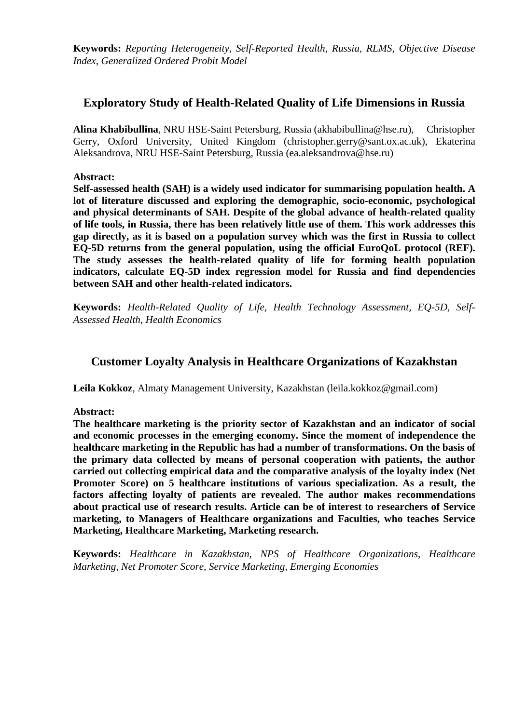**Keywords:** *Reporting Heterogeneity, Self-Reported Health, Russia, RLMS, Objective Disease Index, Generalized Ordered Probit Model*

### **Exploratory Study of Health-Related Quality of Life Dimensions in Russia**

**Alina Khabibullina**, NRU HSE-Saint Petersburg, Russia (akhabibullina@hse.ru), Christopher Gerry, Oxford University, United Kingdom (christopher.gerry@sant.ox.ac.uk), Ekaterina Aleksandrova, NRU HSE-Saint Petersburg, Russia (ea.aleksandrova@hse.ru)

#### **Abstract:**

**Self-assessed health (SAH) is a widely used indicator for summarising population health. A lot of literature discussed and exploring the demographic, socio-economic, psychological and physical determinants of SAH. Despite of the global advance of health-related quality of life tools, in Russia, there has been relatively little use of them. This work addresses this gap directly, as it is based on a population survey which was the first in Russia to collect EQ-5D returns from the general population, using the official EuroQoL protocol (REF). The study assesses the health-related quality of life for forming health population indicators, calculate EQ-5D index regression model for Russia and find dependencies between SAH and other health-related indicators.**

**Keywords:** *Health-Related Quality of Life, Health Technology Assessment, EQ-5D, Self-Assessed Health, Health Economics*

### **Customer Loyalty Analysis in Healthcare Organizations of Kazakhstan**

**Leila Kokkoz**, Almaty Management University, Kazakhstan (leila.kokkoz@gmail.com)

**Abstract:**

**The healthcare marketing is the priority sector of Kazakhstan and an indicator of social and economic processes in the emerging economy. Since the moment of independence the healthcare marketing in the Republic has had a number of transformations. On the basis of the primary data collected by means of personal cooperation with patients, the author carried out collecting empirical data and the comparative analysis of the loyalty index (Net Promoter Score) on 5 healthcare institutions of various specialization. As a result, the factors affecting loyalty of patients are revealed. The author makes recommendations about practical use of research results. Article can be of interest to researchers of Service marketing, to Managers of Healthcare organizations and Faculties, who teaches Service Marketing, Healthcare Marketing, Marketing research.**

**Keywords:** *Healthcare in Kazakhstan, NPS of Healthcare Organizations, Healthcare Marketing, Net Promoter Score, Service Marketing, Emerging Economies*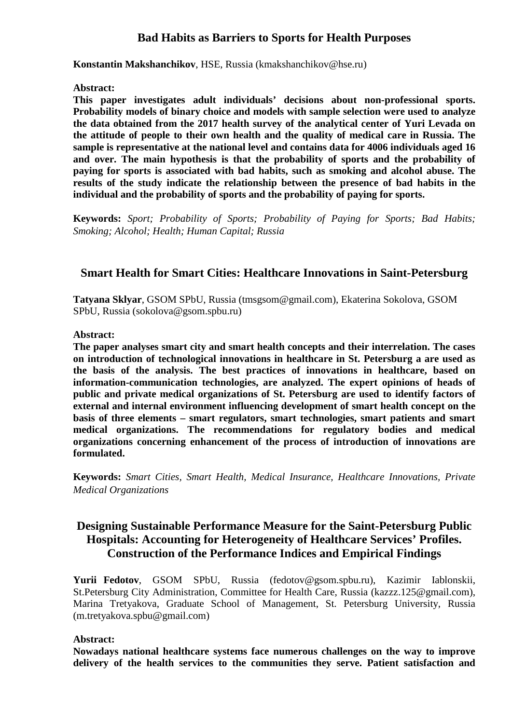### **Bad Habits as Barriers to Sports for Health Purposes**

**Konstantin Makshanchikov**, HSE, Russia (kmakshanchikov@hse.ru)

#### **Abstract:**

**This paper investigates adult individuals' decisions about non-professional sports. Probability models of binary choice and models with sample selection were used to analyze the data obtained from the 2017 health survey of the analytical center of Yuri Levada on the attitude of people to their own health and the quality of medical care in Russia. The sample is representative at the national level and contains data for 4006 individuals aged 16 and over. The main hypothesis is that the probability of sports and the probability of paying for sports is associated with bad habits, such as smoking and alcohol abuse. The results of the study indicate the relationship between the presence of bad habits in the individual and the probability of sports and the probability of paying for sports.**

**Keywords:** *Sport; Probability of Sports; Probability of Paying for Sports; Bad Habits; Smoking; Alcohol; Health; Human Capital; Russia*

### **Smart Health for Smart Cities: Healthcare Innovations in Saint-Petersburg**

**Tatyana Sklyar**, GSOM SPbU, Russia (tmsgsom@gmail.com), Ekaterina Sokolova, GSOM SPbU, Russia (sokolova@gsom.spbu.ru)

#### **Abstract:**

**The paper analyses smart city and smart health concepts and their interrelation. The cases on introduction of technological innovations in healthcare in St. Petersburg a are used as the basis of the analysis. The best practices of innovations in healthcare, based on information-communication technologies, are analyzed. The expert opinions of heads of public and private medical organizations of St. Petersburg are used to identify factors of external and internal environment influencing development of smart health concept on the basis of three elements – smart regulators, smart technologies, smart patients and smart medical organizations. The recommendations for regulatory bodies and medical organizations concerning enhancement of the process of introduction of innovations are formulated.**

**Keywords:** *Smart Cities, Smart Health, Medical Insurance, Healthcare Innovations, Private Medical Organizations*

### **Designing Sustainable Performance Measure for the Saint-Petersburg Public Hospitals: Accounting for Heterogeneity of Healthcare Services' Profiles. Construction of the Performance Indices and Empirical Findings**

**Yurii Fedotov**, GSOM SPbU, Russia (fedotov@gsom.spbu.ru), Kazimir Iablonskii, St.Petersburg City Administration, Committee for Health Care, Russia (kazzz.125@gmail.com), Marina Tretyakova, Graduate School of Management, St. Petersburg University, Russia (m.tretyakova.spbu@gmail.com)

#### **Abstract:**

**Nowadays national healthcare systems face numerous challenges on the way to improve delivery of the health services to the communities they serve. Patient satisfaction and**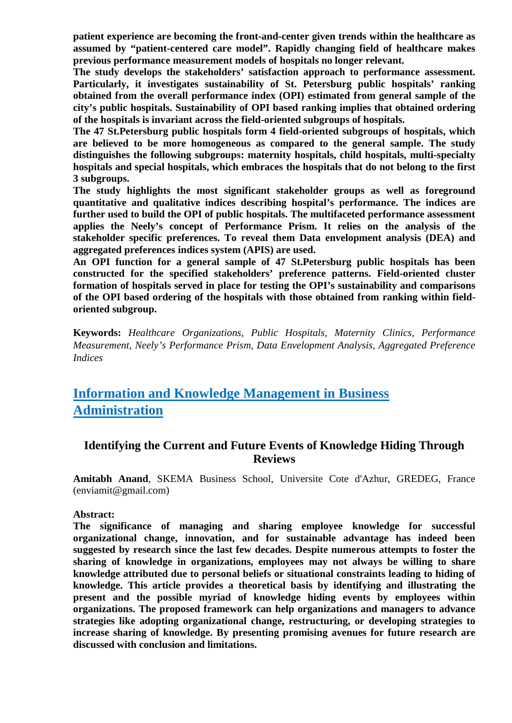**patient experience are becoming the front-and-center given trends within the healthcare as assumed by "patient-centered care model". Rapidly changing field of healthcare makes previous performance measurement models of hospitals no longer relevant.**

**The study develops the stakeholders' satisfaction approach to performance assessment. Particularly, it investigates sustainability of St. Petersburg public hospitals' ranking obtained from the overall performance index (OPI) estimated from general sample of the city's public hospitals. Sustainability of OPI based ranking implies that obtained ordering of the hospitals is invariant across the field-oriented subgroups of hospitals.**

**The 47 St.Petersburg public hospitals form 4 field-oriented subgroups of hospitals, which are believed to be more homogeneous as compared to the general sample. The study distinguishes the following subgroups: maternity hospitals, child hospitals, multi-specialty hospitals and special hospitals, which embraces the hospitals that do not belong to the first 3 subgroups.**

**The study highlights the most significant stakeholder groups as well as foreground quantitative and qualitative indices describing hospital's performance. The indices are**  further used to build the OPI of public hospitals. The multifaceted performance assessment **applies the Neely's concept of Performance Prism. It relies on the analysis of the stakeholder specific preferences. To reveal them Data envelopment analysis (DEA) and aggregated preferences indices system (APIS) are used.** 

**An OPI function for a general sample of 47 St.Petersburg public hospitals has been constructed for the specified stakeholders' preference patterns. Field-oriented cluster formation of hospitals served in place for testing the OPI's sustainability and comparisons of the OPI based ordering of the hospitals with those obtained from ranking within fieldoriented subgroup.**

**Keywords:** *Healthcare Organizations, Public Hospitals, Maternity Clinics, Performance Measurement, Neely's Performance Prism, Data Envelopment Analysis, Aggregated Preference Indices*

# **Information and Knowledge Management in Business Administration**

# **Identifying the Current and Future Events of Knowledge Hiding Through Reviews**

**Amitabh Anand**, SKEMA Business School, Universite Cote d'Azhur, GREDEG, France (enviamit@gmail.com)

#### **Abstract:**

**The significance of managing and sharing employee knowledge for successful organizational change, innovation, and for sustainable advantage has indeed been suggested by research since the last few decades. Despite numerous attempts to foster the sharing of knowledge in organizations, employees may not always be willing to share knowledge attributed due to personal beliefs or situational constraints leading to hiding of knowledge. This article provides a theoretical basis by identifying and illustrating the present and the possible myriad of knowledge hiding events by employees within organizations. The proposed framework can help organizations and managers to advance strategies like adopting organizational change, restructuring, or developing strategies to increase sharing of knowledge. By presenting promising avenues for future research are discussed with conclusion and limitations.**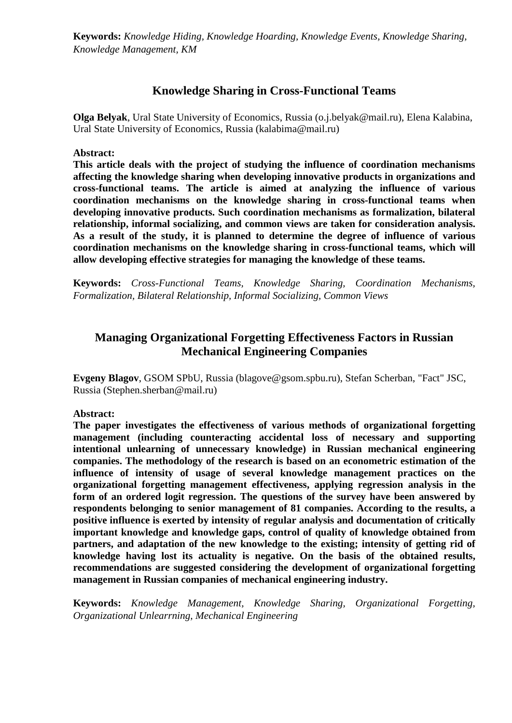**Keywords:** *Knowledge Hiding, Knowledge Hoarding, Knowledge Events, Knowledge Sharing, Knowledge Management, KM*

### **Knowledge Sharing in Cross-Functional Teams**

**Olga Belyak**, Ural State University of Economics, Russia (o.j.belyak@mail.ru), Elena Kalabina, Ural State University of Economics, Russia (kalabima@mail.ru)

**Abstract:**

**This article deals with the project of studying the influence of coordination mechanisms affecting the knowledge sharing when developing innovative products in organizations and cross-functional teams. The article is aimed at analyzing the influence of various coordination mechanisms on the knowledge sharing in cross-functional teams when developing innovative products. Such coordination mechanisms as formalization, bilateral relationship, informal socializing, and common views are taken for consideration analysis. As a result of the study, it is planned to determine the degree of influence of various coordination mechanisms on the knowledge sharing in cross-functional teams, which will allow developing effective strategies for managing the knowledge of these teams.**

**Keywords:** *Cross-Functional Teams, Knowledge Sharing, Coordination Mechanisms, Formalization, Bilateral Relationship, Informal Socializing, Common Views*

# **Managing Organizational Forgetting Effectiveness Factors in Russian Mechanical Engineering Companies**

**Evgeny Blagov**, GSOM SPbU, Russia (blagove@gsom.spbu.ru), Stefan Scherban, "Fact" JSC, Russia (Stephen.sherban@mail.ru)

#### **Abstract:**

**The paper investigates the effectiveness of various methods of organizational forgetting management (including counteracting accidental loss of necessary and supporting intentional unlearning of unnecessary knowledge) in Russian mechanical engineering companies. The methodology of the research is based on an econometric estimation of the influence of intensity of usage of several knowledge management practices on the organizational forgetting management effectiveness, applying regression analysis in the form of an ordered logit regression. The questions of the survey have been answered by respondents belonging to senior management of 81 companies. According to the results, a positive influence is exerted by intensity of regular analysis and documentation of critically important knowledge and knowledge gaps, control of quality of knowledge obtained from partners, and adaptation of the new knowledge to the existing; intensity of getting rid of knowledge having lost its actuality is negative. On the basis of the obtained results, recommendations are suggested considering the development of organizational forgetting management in Russian companies of mechanical engineering industry.**

**Keywords:** *Knowledge Management, Knowledge Sharing, Organizational Forgetting, Organizational Unlearrning, Mechanical Engineering*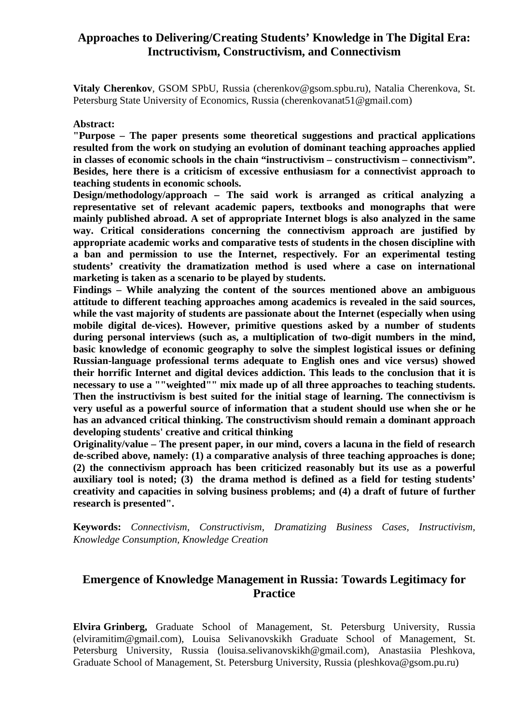### **Approaches to Delivering/Creating Students' Knowledge in The Digital Era: Inctructivism, Constructivism, and Connectivism**

**Vitaly Cherenkov**, GSOM SPbU, Russia (cherenkov@gsom.spbu.ru), Natalia Cherenkova, St. Petersburg State University of Economics, Russia (cherenkovanat51@gmail.com)

#### **Abstract:**

**"Purpose – The paper presents some theoretical suggestions and practical applications resulted from the work on studying an evolution of dominant teaching approaches applied in classes of economic schools in the chain "instructivism – constructivism – connectivism". Besides, here there is a criticism of excessive enthusiasm for a connectivist approach to teaching students in economic schools.**

**Design/methodology/approach – The said work is arranged as critical analyzing a representative set of relevant academic papers, textbooks and monographs that were mainly published abroad. A set of appropriate Internet blogs is also analyzed in the same way. Critical considerations concerning the connectivism approach are justified by appropriate academic works and comparative tests of students in the chosen discipline with a ban and permission to use the Internet, respectively. For an experimental testing students' creativity the dramatization method is used where a case on international marketing is taken as a scenario to be played by students.**

**Findings – While analyzing the content of the sources mentioned above an ambiguous attitude to different teaching approaches among academics is revealed in the said sources, while the vast majority of students are passionate about the Internet (especially when using mobile digital de-vices). However, primitive questions asked by a number of students during personal interviews (such as, a multiplication of two-digit numbers in the mind, basic knowledge of economic geography to solve the simplest logistical issues or defining Russian-language professional terms adequate to English ones and vice versus) showed their horrific Internet and digital devices addiction. This leads to the conclusion that it is necessary to use a ""weighted"" mix made up of all three approaches to teaching students. Then the instructivism is best suited for the initial stage of learning. The connectivism is very useful as a powerful source of information that a student should use when she or he has an advanced critical thinking. The constructivism should remain a dominant approach developing students' creative and critical thinking**

**Originality/value – The present paper, in our mind, covers a lacuna in the field of research de-scribed above, namely: (1) a comparative analysis of three teaching approaches is done; (2) the connectivism approach has been criticized reasonably but its use as a powerful auxiliary tool is noted; (3) the drama method is defined as a field for testing students' creativity and capacities in solving business problems; and (4) a draft of future of further research is presented".**

**Keywords:** *Connectivism, Constructivism, Dramatizing Business Cases, Instructivism, Knowledge Consumption, Knowledge Creation*

# **Emergence of Knowledge Management in Russia: Towards Legitimacy for Practice**

**Elvira Grinberg,** Graduate School of Management, St. Petersburg University, Russia (elviramitim@gmail.com), Louisa Selivanovskikh Graduate School of Management, St. Petersburg University, Russia (louisa.selivanovskikh@gmail.com), Anastasiia Pleshkova, Graduate School of Management, St. Petersburg University, Russia (pleshkova@gsom.pu.ru)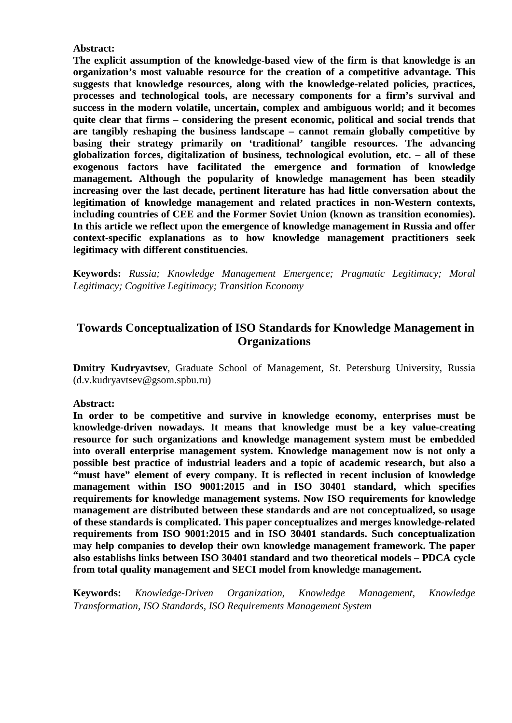#### **Abstract:**

**The explicit assumption of the knowledge-based view of the firm is that knowledge is an organization's most valuable resource for the creation of a competitive advantage. This suggests that knowledge resources, along with the knowledge-related policies, practices, processes and technological tools, are necessary components for a firm's survival and success in the modern volatile, uncertain, complex and ambiguous world; and it becomes quite clear that firms – considering the present economic, political and social trends that are tangibly reshaping the business landscape – cannot remain globally competitive by basing their strategy primarily on 'traditional' tangible resources. The advancing globalization forces, digitalization of business, technological evolution, etc. – all of these exogenous factors have facilitated the emergence and formation of knowledge management. Although the popularity of knowledge management has been steadily increasing over the last decade, pertinent literature has had little conversation about the legitimation of knowledge management and related practices in non-Western contexts, including countries of CEE and the Former Soviet Union (known as transition economies). In this article we reflect upon the emergence of knowledge management in Russia and offer context-specific explanations as to how knowledge management practitioners seek legitimacy with different constituencies.**

**Keywords:** *Russia; Knowledge Management Emergence; Pragmatic Legitimacy; Moral Legitimacy; Cognitive Legitimacy; Transition Economy*

### **Towards Conceptualization of ISO Standards for Knowledge Management in Organizations**

**Dmitry Kudryavtsev**, Graduate School of Management, St. Petersburg University, Russia (d.v.kudryavtsev@gsom.spbu.ru)

#### **Abstract:**

**In order to be competitive and survive in knowledge economy, enterprises must be knowledge-driven nowadays. It means that knowledge must be a key value-creating resource for such organizations and knowledge management system must be embedded into overall enterprise management system. Knowledge management now is not only a possible best practice of industrial leaders and a topic of academic research, but also a "must have" element of every company. It is reflected in recent inclusion of knowledge management within ISO 9001:2015 and in ISO 30401 standard, which specifies requirements for knowledge management systems. Now ISO requirements for knowledge management are distributed between these standards and are not conceptualized, so usage of these standards is complicated. This paper conceptualizes and merges knowledge-related requirements from ISO 9001:2015 and in ISO 30401 standards. Such conceptualization may help companies to develop their own knowledge management framework. The paper also establishs links between ISO 30401 standard and two theoretical models – PDCA cycle from total quality management and SECI model from knowledge management.**

**Keywords:** *Knowledge-Driven Organization, Knowledge Management, Knowledge Transformation, ISO Standards, ISO Requirements Management System*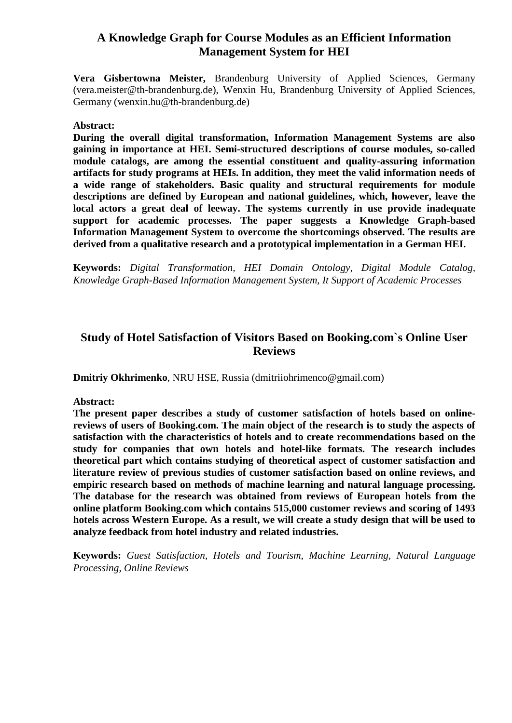### **A Knowledge Graph for Course Modules as an Efficient Information Management System for HEI**

**Vera Gisbertowna Meister,** Brandenburg University of Applied Sciences, Germany (vera.meister@th-brandenburg.de), Wenxin Hu, Brandenburg University of Applied Sciences, Germany (wenxin.hu@th-brandenburg.de)

#### **Abstract:**

**During the overall digital transformation, Information Management Systems are also gaining in importance at HEI. Semi-structured descriptions of course modules, so-called module catalogs, are among the essential constituent and quality-assuring information artifacts for study programs at HEIs. In addition, they meet the valid information needs of a wide range of stakeholders. Basic quality and structural requirements for module descriptions are defined by European and national guidelines, which, however, leave the local actors a great deal of leeway. The systems currently in use provide inadequate support for academic processes. The paper suggests a Knowledge Graph-based Information Management System to overcome the shortcomings observed. The results are derived from a qualitative research and a prototypical implementation in a German HEI.**

**Keywords:** *Digital Transformation, HEI Domain Ontology, Digital Module Catalog, Knowledge Graph-Based Information Management System, It Support of Academic Processes*

### **Study of Hotel Satisfaction of Visitors Based on Booking.com`s Online User Reviews**

**Dmitriy Okhrimenko**, NRU HSE, Russia (dmitriiohrimenco@gmail.com)

#### **Abstract:**

**The present paper describes a study of customer satisfaction of hotels based on onlinereviews of users of Booking.com. The main object of the research is to study the aspects of satisfaction with the characteristics of hotels and to create recommendations based on the study for companies that own hotels and hotel-like formats. The research includes theoretical part which contains studying of theoretical aspect of customer satisfaction and literature review of previous studies of customer satisfaction based on online reviews, and empiric research based on methods of machine learning and natural language processing. The database for the research was obtained from reviews of European hotels from the online platform Booking.com which contains 515,000 customer reviews and scoring of 1493 hotels across Western Europe. As a result, we will create a study design that will be used to analyze feedback from hotel industry and related industries.**

**Keywords:** *Guest Satisfaction, Hotels and Tourism, Machine Learning, Natural Language Processing, Online Reviews*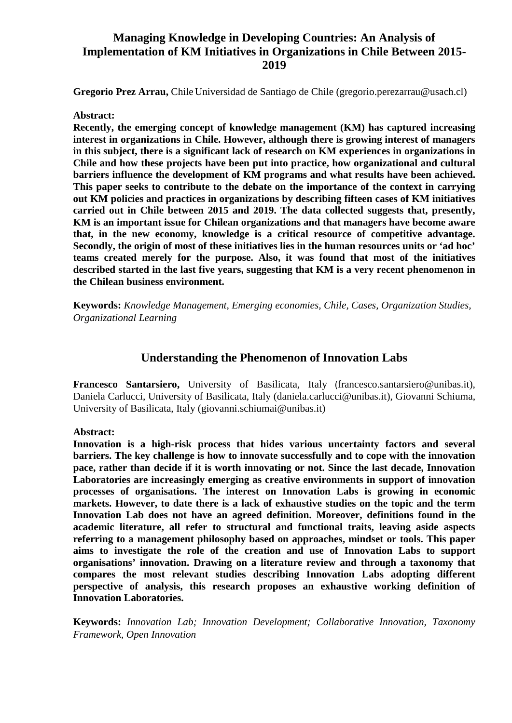### **Managing Knowledge in Developing Countries: An Analysis of Implementation of KM Initiatives in Organizations in Chile Between 2015- 2019**

**Gregorio Prez Arrau,** ChileUniversidad de Santiago de Chile (gregorio.perezarrau@usach.cl)

#### **Abstract:**

**Recently, the emerging concept of knowledge management (KM) has captured increasing interest in organizations in Chile. However, although there is growing interest of managers in this subject, there is a significant lack of research on KM experiences in organizations in Chile and how these projects have been put into practice, how organizational and cultural barriers influence the development of KM programs and what results have been achieved. This paper seeks to contribute to the debate on the importance of the context in carrying out KM policies and practices in organizations by describing fifteen cases of KM initiatives carried out in Chile between 2015 and 2019. The data collected suggests that, presently, KM is an important issue for Chilean organizations and that managers have become aware that, in the new economy, knowledge is a critical resource of competitive advantage. Secondly, the origin of most of these initiatives lies in the human resources units or 'ad hoc' teams created merely for the purpose. Also, it was found that most of the initiatives described started in the last five years, suggesting that KM is a very recent phenomenon in the Chilean business environment.**

**Keywords:** *Knowledge Management, Emerging economies, Chile, Cases, Organization Studies, Organizational Learning*

### **Understanding the Phenomenon of Innovation Labs**

**Francesco Santarsiero,** University of Basilicata, Italy (francesco.santarsiero@unibas.it), Daniela Carlucci, University of Basilicata, Italy (daniela.carlucci@unibas.it), Giovanni Schiuma, University of Basilicata, Italy (giovanni.schiumai@unibas.it)

#### **Abstract:**

**Innovation is a high-risk process that hides various uncertainty factors and several barriers. The key challenge is how to innovate successfully and to cope with the innovation pace, rather than decide if it is worth innovating or not. Since the last decade, Innovation Laboratories are increasingly emerging as creative environments in support of innovation processes of organisations. The interest on Innovation Labs is growing in economic markets. However, to date there is a lack of exhaustive studies on the topic and the term Innovation Lab does not have an agreed definition. Moreover, definitions found in the academic literature, all refer to structural and functional traits, leaving aside aspects referring to a management philosophy based on approaches, mindset or tools. This paper aims to investigate the role of the creation and use of Innovation Labs to support organisations' innovation. Drawing on a literature review and through a taxonomy that compares the most relevant studies describing Innovation Labs adopting different perspective of analysis, this research proposes an exhaustive working definition of Innovation Laboratories.**

**Keywords:** *Innovation Lab; Innovation Development; Collaborative Innovation, Taxonomy Framework, Open Innovation*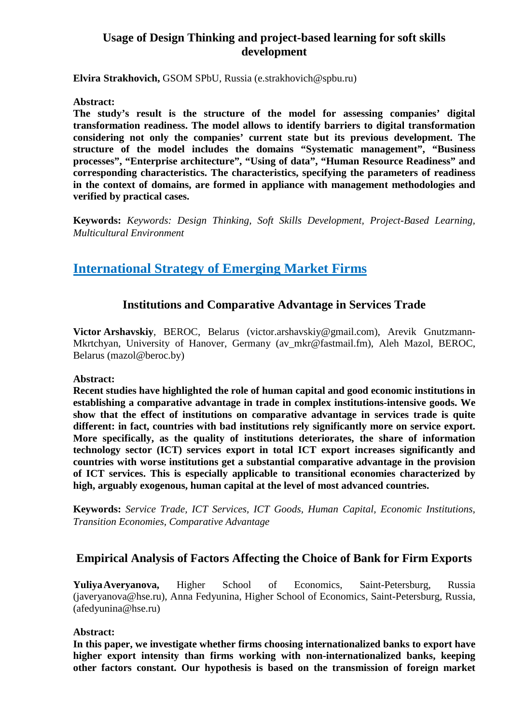# **Usage of Design Thinking and project-based learning for soft skills development**

**Elvira Strakhovich,** GSOM SPbU, Russia (e.strakhovich@spbu.ru)

#### **Abstract:**

**The study's result is the structure of the model for assessing companies' digital transformation readiness. The model allows to identify barriers to digital transformation considering not only the companies' current state but its previous development. The structure of the model includes the domains "Systematic management", "Business processes", "Enterprise architecture", "Using of data", "Human Resource Readiness" and corresponding characteristics. The characteristics, specifying the parameters of readiness in the context of domains, are formed in appliance with management methodologies and verified by practical cases.**

**Keywords:** *Keywords: Design Thinking, Soft Skills Development, Project-Based Learning, Multicultural Environment*

# **International Strategy of Emerging Market Firms**

### **Institutions and Comparative Advantage in Services Trade**

**Victor Arshavskiy**, BEROC, Belarus (victor.arshavskiy@gmail.com), Arevik Gnutzmann-Mkrtchyan, University of Hanover, Germany (av mkr@fastmail.fm), Aleh Mazol, BEROC, Belarus (mazol@beroc.by)

### **Abstract:**

**Recent studies have highlighted the role of human capital and good economic institutions in establishing a comparative advantage in trade in complex institutions-intensive goods. We show that the effect of institutions on comparative advantage in services trade is quite different: in fact, countries with bad institutions rely significantly more on service export. More specifically, as the quality of institutions deteriorates, the share of information technology sector (ICT) services export in total ICT export increases significantly and countries with worse institutions get a substantial comparative advantage in the provision of ICT services. This is especially applicable to transitional economies characterized by high, arguably exogenous, human capital at the level of most advanced countries.**

**Keywords:** *Service Trade, ICT Services, ICT Goods, Human Capital, Economic Institutions, Transition Economies, Comparative Advantage*

### **Empirical Analysis of Factors Affecting the Choice of Bank for Firm Exports**

**YuliyaAveryanova,** Higher School of Economics, Saint-Petersburg, Russia (javeryanova@hse.ru), Anna Fedyunina, Higher School of Economics, Saint-Petersburg, Russia, (afedyunina@hse.ru)

### **Abstract:**

**In this paper, we investigate whether firms choosing internationalized banks to export have higher export intensity than firms working with non-internationalized banks, keeping other factors constant. Our hypothesis is based on the transmission of foreign market**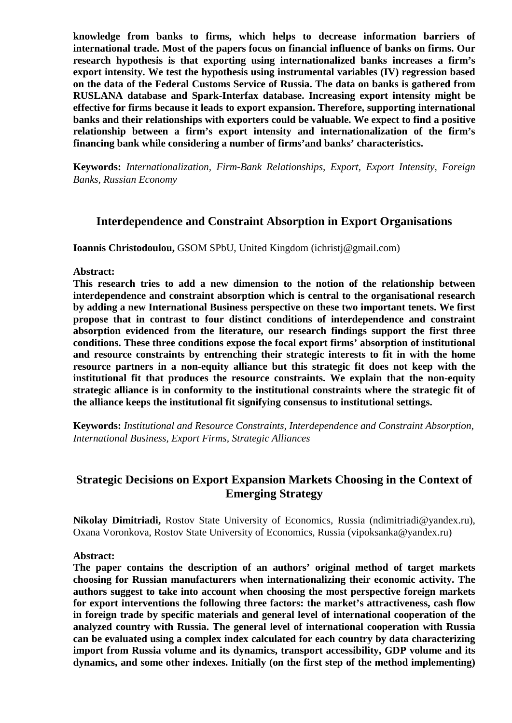**knowledge from banks to firms, which helps to decrease information barriers of international trade. Most of the papers focus on financial influence of banks on firms. Our research hypothesis is that exporting using internationalized banks increases a firm's export intensity. We test the hypothesis using instrumental variables (IV) regression based on the data of the Federal Customs Service of Russia. The data on banks is gathered from RUSLANA database and Spark-Interfax database. Increasing export intensity might be effective for firms because it leads to export expansion. Therefore, supporting international banks and their relationships with exporters could be valuable. We expect to find a positive relationship between a firm's export intensity and internationalization of the firm's financing bank while considering a number of firms'and banks' characteristics.**

**Keywords:** *Internationalization, Firm-Bank Relationships, Export, Export Intensity, Foreign Banks, Russian Economy*

### **Interdependence and Constraint Absorption in Export Organisations**

**Ioannis Christodoulou,** GSOM SPbU, United Kingdom (ichristj@gmail.com)

**Abstract:**

**This research tries to add a new dimension to the notion of the relationship between interdependence and constraint absorption which is central to the organisational research by adding a new International Business perspective on these two important tenets. We first propose that in contrast to four distinct conditions of interdependence and constraint absorption evidenced from the literature, our research findings support the first three conditions. These three conditions expose the focal export firms' absorption of institutional and resource constraints by entrenching their strategic interests to fit in with the home resource partners in a non-equity alliance but this strategic fit does not keep with the institutional fit that produces the resource constraints. We explain that the non-equity strategic alliance is in conformity to the institutional constraints where the strategic fit of the alliance keeps the institutional fit signifying consensus to institutional settings.**

**Keywords:** *Institutional and Resource Constraints, Interdependence and Constraint Absorption, International Business, Export Firms, Strategic Alliances*

### **Strategic Decisions on Export Expansion Markets Choosing in the Context of Emerging Strategy**

**Nikolay Dimitriadi,** Rostov State University of Economics, Russia (ndimitriadi@yandex.ru), Oxana Voronkova, Rostov State University of Economics, Russia (vipoksanka@yandex.ru)

**Abstract:**

**The paper contains the description of an authors' original method of target markets choosing for Russian manufacturers when internationalizing their economic activity. The authors suggest to take into account when choosing the most perspective foreign markets for export interventions the following three factors: the market's attractiveness, cash flow in foreign trade by specific materials and general level of international cooperation of the analyzed country with Russia. The general level of international cooperation with Russia can be evaluated using a complex index calculated for each country by data characterizing import from Russia volume and its dynamics, transport accessibility, GDP volume and its dynamics, and some other indexes. Initially (on the first step of the method implementing)**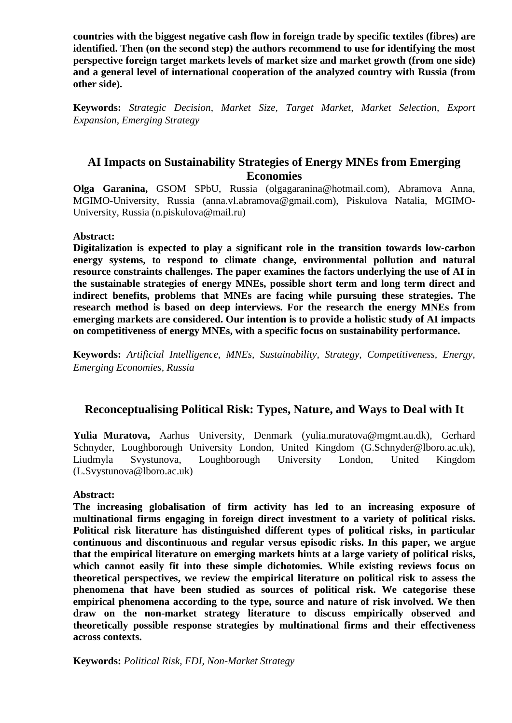**countries with the biggest negative cash flow in foreign trade by specific textiles (fibres) are identified. Then (on the second step) the authors recommend to use for identifying the most perspective foreign target markets levels of market size and market growth (from one side) and a general level of international cooperation of the analyzed country with Russia (from other side).**

**Keywords:** *Strategic Decision, Market Size, Target Market, Market Selection, Export Expansion, Emerging Strategy*

### **AI Impacts on Sustainability Strategies of Energy MNEs from Emerging Economies**

**Olga Garanina,** GSOM SPbU, Russia (olgagaranina@hotmail.com), Abramova Anna, MGIMO-University, Russia (anna.vl.abramova@gmail.com), Piskulova Natalia, MGIMO-University, Russia (n.piskulova@mail.ru)

#### **Abstract:**

**Digitalization is expected to play a significant role in the transition towards low-carbon energy systems, to respond to climate change, environmental pollution and natural resource constraints challenges. The paper examines the factors underlying the use of AI in the sustainable strategies of energy MNEs, possible short term and long term direct and indirect benefits, problems that MNEs are facing while pursuing these strategies. The research method is based on deep interviews. For the research the energy MNEs from emerging markets are considered. Our intention is to provide a holistic study of AI impacts on competitiveness of energy MNEs, with a specific focus on sustainability performance.**

**Keywords:** *Artificial Intelligence, MNEs, Sustainability, Strategy, Competitiveness, Energy, Emerging Economies, Russia*

### **Reconceptualising Political Risk: Types, Nature, and Ways to Deal with It**

**Yulia Muratova,** Aarhus University, Denmark (yulia.muratova@mgmt.au.dk), Gerhard Schnyder, Loughborough University London, United Kingdom (G.Schnyder@lboro.ac.uk),<br>Liudmyla Svystunova, Loughborough University London. United Kingdom Liudmyla Svystunova, Loughborough University London, United Kingdom (L.Svystunova@lboro.ac.uk)

#### **Abstract:**

**The increasing globalisation of firm activity has led to an increasing exposure of multinational firms engaging in foreign direct investment to a variety of political risks. Political risk literature has distinguished different types of political risks, in particular continuous and discontinuous and regular versus episodic risks. In this paper, we argue that the empirical literature on emerging markets hints at a large variety of political risks, which cannot easily fit into these simple dichotomies. While existing reviews focus on theoretical perspectives, we review the empirical literature on political risk to assess the phenomena that have been studied as sources of political risk. We categorise these empirical phenomena according to the type, source and nature of risk involved. We then draw on the non-market strategy literature to discuss empirically observed and theoretically possible response strategies by multinational firms and their effectiveness across contexts.**

**Keywords:** *Political Risk, FDI, Non-Market Strategy*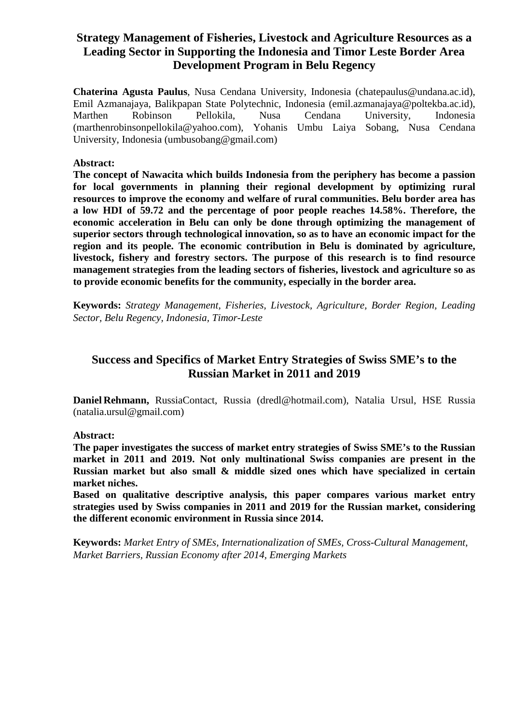# **Strategy Management of Fisheries, Livestock and Agriculture Resources as a Leading Sector in Supporting the Indonesia and Timor Leste Border Area Development Program in Belu Regency**

**Chaterina Agusta Paulus**, Nusa Cendana University, Indonesia (chatepaulus@undana.ac.id), Emil Azmanajaya, Balikpapan State Polytechnic, Indonesia (emil.azmanajaya@poltekba.ac.id), Marthen Robinson Pellokila, Nusa Cendana University, Indonesia (marthenrobinsonpellokila@yahoo.com), Yohanis Umbu Laiya Sobang, Nusa Cendana University, Indonesia (umbusobang@gmail.com)

#### **Abstract:**

**The concept of Nawacita which builds Indonesia from the periphery has become a passion for local governments in planning their regional development by optimizing rural resources to improve the economy and welfare of rural communities. Belu border area has a low HDI of 59.72 and the percentage of poor people reaches 14.58%. Therefore, the economic acceleration in Belu can only be done through optimizing the management of superior sectors through technological innovation, so as to have an economic impact for the region and its people. The economic contribution in Belu is dominated by agriculture, livestock, fishery and forestry sectors. The purpose of this research is to find resource management strategies from the leading sectors of fisheries, livestock and agriculture so as to provide economic benefits for the community, especially in the border area.**

**Keywords:** *Strategy Management, Fisheries, Livestock, Agriculture, Border Region, Leading Sector, Belu Regency, Indonesia, Timor-Leste*

# **Success and Specifics of Market Entry Strategies of Swiss SME's to the Russian Market in 2011 and 2019**

**Daniel Rehmann,** RussiaContact, Russia (dredl@hotmail.com), Natalia Ursul, HSE Russia (natalia.ursul@gmail.com)

**Abstract:**

**The paper investigates the success of market entry strategies of Swiss SME's to the Russian market in 2011 and 2019. Not only multinational Swiss companies are present in the Russian market but also small & middle sized ones which have specialized in certain market niches.**

**Based on qualitative descriptive analysis, this paper compares various market entry strategies used by Swiss companies in 2011 and 2019 for the Russian market, considering the different economic environment in Russia since 2014.**

**Keywords:** *Market Entry of SMEs, Internationalization of SMEs, Cross-Cultural Management, Market Barriers, Russian Economy after 2014, Emerging Markets*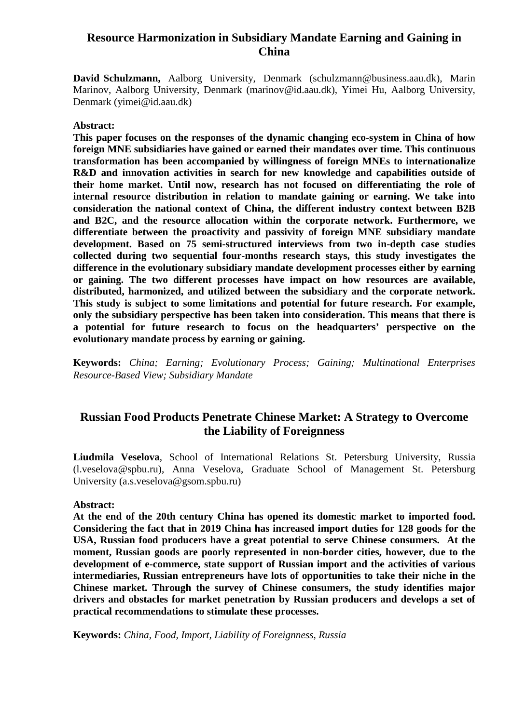### **Resource Harmonization in Subsidiary Mandate Earning and Gaining in China**

**David Schulzmann,** Aalborg University, Denmark (schulzmann@business.aau.dk), Marin Marinov, Aalborg University, Denmark (marinov@id.aau.dk), Yimei Hu, Aalborg University, Denmark (yimei@id.aau.dk)

#### **Abstract:**

**This paper focuses on the responses of the dynamic changing eco-system in China of how foreign MNE subsidiaries have gained or earned their mandates over time. This continuous transformation has been accompanied by willingness of foreign MNEs to internationalize R&D and innovation activities in search for new knowledge and capabilities outside of their home market. Until now, research has not focused on differentiating the role of internal resource distribution in relation to mandate gaining or earning. We take into consideration the national context of China, the different industry context between B2B and B2C, and the resource allocation within the corporate network. Furthermore, we differentiate between the proactivity and passivity of foreign MNE subsidiary mandate development. Based on 75 semi-structured interviews from two in-depth case studies collected during two sequential four-months research stays, this study investigates the difference in the evolutionary subsidiary mandate development processes either by earning or gaining. The two different processes have impact on how resources are available, distributed, harmonized, and utilized between the subsidiary and the corporate network. This study is subject to some limitations and potential for future research. For example, only the subsidiary perspective has been taken into consideration. This means that there is a potential for future research to focus on the headquarters' perspective on the evolutionary mandate process by earning or gaining.**

**Keywords:** *China; Earning; Evolutionary Process; Gaining; Multinational Enterprises Resource-Based View; Subsidiary Mandate*

### **Russian Food Products Penetrate Chinese Market: A Strategy to Overcome the Liability of Foreignness**

**Liudmila Veselova**, School of International Relations St. Petersburg University, Russia (l.veselova@spbu.ru), Anna Veselova, Graduate School of Management St. Petersburg University (a.s.veselova@gsom.spbu.ru)

#### **Abstract:**

**At the end of the 20th century China has opened its domestic market to imported food. Considering the fact that in 2019 China has increased import duties for 128 goods for the USA, Russian food producers have a great potential to serve Chinese consumers. At the moment, Russian goods are poorly represented in non-border cities, however, due to the development of e-commerce, state support of Russian import and the activities of various intermediaries, Russian entrepreneurs have lots of opportunities to take their niche in the Chinese market. Through the survey of Chinese consumers, the study identifies major drivers and obstacles for market penetration by Russian producers and develops a set of practical recommendations to stimulate these processes.**

**Keywords:** *China, Food, Import, Liability of Foreignness, Russia*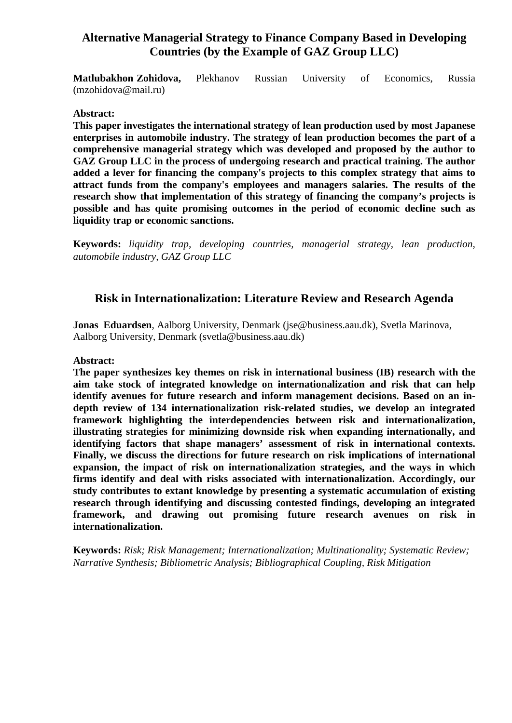# **Alternative Managerial Strategy to Finance Company Based in Developing Countries (by the Example of GAZ Group LLC)**

**Matlubakhon Zohidova,** Plekhanov Russian University of Economics, Russia (mzohidova@mail.ru)

#### **Abstract:**

**This paper investigates the international strategy of lean production used by most Japanese enterprises in automobile industry. The strategy of lean production becomes the part of a comprehensive managerial strategy which was developed and proposed by the author to GAZ Group LLC in the process of undergoing research and practical training. The author added a lever for financing the company's projects to this complex strategy that aims to attract funds from the company's employees and managers salaries. The results of the research show that implementation of this strategy of financing the company's projects is possible and has quite promising outcomes in the period of economic decline such as liquidity trap or economic sanctions.**

**Keywords:** *liquidity trap, developing countries, managerial strategy, lean production, automobile industry, GAZ Group LLC*

### **Risk in Internationalization: Literature Review and Research Agenda**

**Jonas Eduardsen**, Aalborg University, Denmark (jse@business.aau.dk), Svetla Marinova, Aalborg University, Denmark (svetla@business.aau.dk)

#### **Abstract:**

**The paper synthesizes key themes on risk in international business (IB) research with the aim take stock of integrated knowledge on internationalization and risk that can help identify avenues for future research and inform management decisions. Based on an indepth review of 134 internationalization risk-related studies, we develop an integrated framework highlighting the interdependencies between risk and internationalization, illustrating strategies for minimizing downside risk when expanding internationally, and identifying factors that shape managers' assessment of risk in international contexts. Finally, we discuss the directions for future research on risk implications of international expansion, the impact of risk on internationalization strategies, and the ways in which firms identify and deal with risks associated with internationalization. Accordingly, our study contributes to extant knowledge by presenting a systematic accumulation of existing research through identifying and discussing contested findings, developing an integrated framework, and drawing out promising future research avenues on risk in internationalization.**

**Keywords:** *Risk; Risk Management; Internationalization; Multinationality; Systematic Review; Narrative Synthesis; Bibliometric Analysis; Bibliographical Coupling, Risk Mitigation*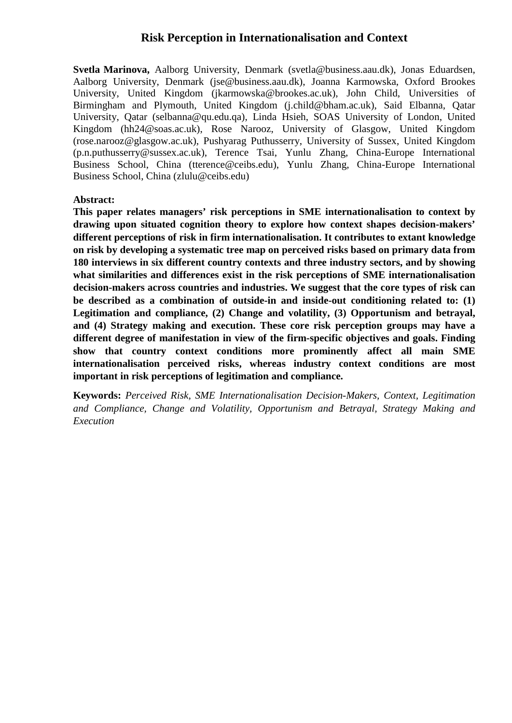### **Risk Perception in Internationalisation and Context**

**Svetla Marinova,** Aalborg University, Denmark (svetla@business.aau.dk), Jonas Eduardsen, Aalborg University, Denmark (jse@business.aau.dk), Joanna Karmowska, Oxford Brookes University, United Kingdom (jkarmowska@brookes.ac.uk), John Child, Universities of Birmingham and Plymouth, United Kingdom (j.child@bham.ac.uk), Said Elbanna, Qatar University, Qatar (selbanna@qu.edu.qa), Linda Hsieh, SOAS University of London, United Kingdom (hh24@soas.ac.uk), Rose Narooz, University of Glasgow, United Kingdom (rose.narooz@glasgow.ac.uk), Pushyarag Puthusserry, University of Sussex, United Kingdom (p.n.puthusserry@sussex.ac.uk), Terence Tsai, Yunlu Zhang, China-Europe International Business School, China (tterence@ceibs.edu), Yunlu Zhang, China-Europe International Business School, China (zlulu@ceibs.edu)

#### **Abstract:**

**This paper relates managers' risk perceptions in SME internationalisation to context by drawing upon situated cognition theory to explore how context shapes decision-makers' different perceptions of risk in firm internationalisation. It contributes to extant knowledge on risk by developing a systematic tree map on perceived risks based on primary data from 180 interviews in six different country contexts and three industry sectors, and by showing what similarities and differences exist in the risk perceptions of SME internationalisation decision-makers across countries and industries. We suggest that the core types of risk can be described as a combination of outside-in and inside-out conditioning related to: (1) Legitimation and compliance, (2) Change and volatility, (3) Opportunism and betrayal, and (4) Strategy making and execution. These core risk perception groups may have a different degree of manifestation in view of the firm-specific objectives and goals. Finding show that country context conditions more prominently affect all main SME internationalisation perceived risks, whereas industry context conditions are most important in risk perceptions of legitimation and compliance.**

**Keywords:** *Perceived Risk, SME Internationalisation Decision-Makers, Context, Legitimation and Compliance, Change and Volatility, Opportunism and Betrayal, Strategy Making and Execution*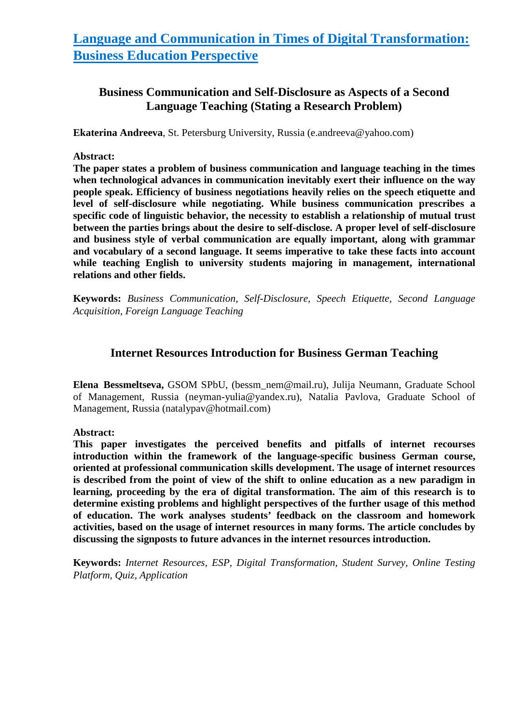# **Language and Communication in Times of Digital Transformation: Business Education Perspective**

# **Business Communication and Self-Disclosure as Aspects of a Second Language Teaching (Stating a Research Problem)**

**Ekaterina Andreeva**, St. Petersburg University, Russia (e.andreeva@yahoo.com)

#### **Abstract:**

**The paper states a problem of business communication and language teaching in the times when technological advances in communication inevitably exert their influence on the way people speak. Efficiency of business negotiations heavily relies on the speech etiquette and level of self-disclosure while negotiating. While business communication prescribes a specific code of linguistic behavior, the necessity to establish a relationship of mutual trust between the parties brings about the desire to self-disclose. A proper level of self-disclosure and business style of verbal communication are equally important, along with grammar and vocabulary of a second language. It seems imperative to take these facts into account while teaching English to university students majoring in management, international relations and other fields.**

**Keywords:** *Business Communication, Self-Disclosure, Speech Etiquette, Second Language Acquisition, Foreign Language Teaching*

### **Internet Resources Introduction for Business German Teaching**

**Elena Bessmeltseva,** GSOM SPbU, (bessm\_nem@mail.ru), Julija Neumann, Graduate School of Management, Russia (neyman-yulia@yandex.ru), Natalia Pavlova, Graduate School of Management, Russia (natalypav@hotmail.com)

**Abstract:**

**This paper investigates the perceived benefits and pitfalls of internet recourses introduction within the framework of the language-specific business German course, oriented at professional communication skills development. The usage of internet resources is described from the point of view of the shift to online education as a new paradigm in learning, proceeding by the era of digital transformation. The aim of this research is to determine existing problems and highlight perspectives of the further usage of this method of education. The work analyses students' feedback on the classroom and homework activities, based on the usage of internet resources in many forms. The article concludes by discussing the signposts to future advances in the internet resources introduction.**

**Keywords:** *Internet Resources, ESP, Digital Transformation, Student Survey, Online Testing Platform, Quiz, Application*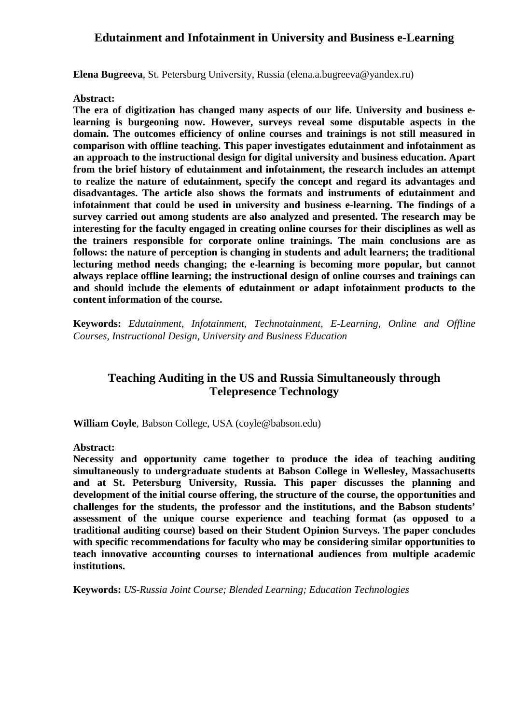### **Edutainment and Infotainment in University and Business e-Learning**

**Elena Bugreeva**, St. Petersburg University, Russia (elena.a.bugreeva@yandex.ru)

#### **Abstract:**

**The era of digitization has changed many aspects of our life. University and business elearning is burgeoning now. However, surveys reveal some disputable aspects in the domain. The outcomes efficiency of online courses and trainings is not still measured in comparison with offline teaching. This paper investigates edutainment and infotainment as an approach to the instructional design for digital university and business education. Apart from the brief history of edutainment and infotainment, the research includes an attempt to realize the nature of edutainment, specify the concept and regard its advantages and disadvantages. The article also shows the formats and instruments of edutainment and infotainment that could be used in university and business e-learning. The findings of a survey carried out among students are also analyzed and presented. The research may be interesting for the faculty engaged in creating online courses for their disciplines as well as the trainers responsible for corporate online trainings. The main conclusions are as follows: the nature of perception is changing in students and adult learners; the traditional lecturing method needs changing; the e-learning is becoming more popular, but cannot always replace offline learning; the instructional design of online courses and trainings can and should include the elements of edutainment or adapt infotainment products to the content information of the course.**

**Keywords:** *Edutainment, Infotainment, Technotainment, E-Learning, Online and Offline Courses, Instructional Design, University and Business Education*

# **Teaching Auditing in the US and Russia Simultaneously through Telepresence Technology**

**William Coyle**, Babson College, USA (coyle@babson.edu)

#### **Abstract:**

**Necessity and opportunity came together to produce the idea of teaching auditing simultaneously to undergraduate students at Babson College in Wellesley, Massachusetts and at St. Petersburg University, Russia. This paper discusses the planning and development of the initial course offering, the structure of the course, the opportunities and challenges for the students, the professor and the institutions, and the Babson students' assessment of the unique course experience and teaching format (as opposed to a traditional auditing course) based on their Student Opinion Surveys. The paper concludes with specific recommendations for faculty who may be considering similar opportunities to teach innovative accounting courses to international audiences from multiple academic institutions.**

**Keywords:** *US-Russia Joint Course; Blended Learning; Education Technologies*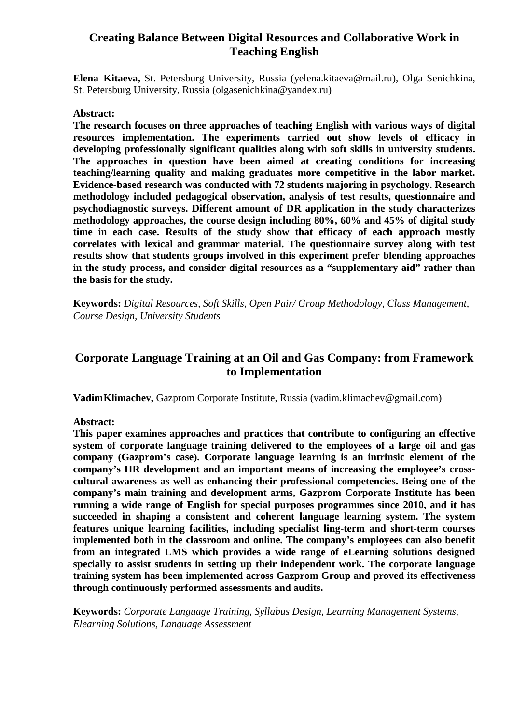### **Creating Balance Between Digital Resources and Collaborative Work in Teaching English**

**Elena Kitaeva,** St. Petersburg University, Russia (yelena.kitaeva@mail.ru), Olga Senichkina, St. Petersburg University, Russia (olgasenichkina@yandex.ru)

#### **Abstract:**

**The research focuses on three approaches of teaching English with various ways of digital resources implementation. The experiments carried out show levels of efficacy in developing professionally significant qualities along with soft skills in university students. The approaches in question have been aimed at creating conditions for increasing teaching/learning quality and making graduates more competitive in the labor market. Evidence-based research was conducted with 72 students majoring in psychology. Research methodology included pedagogical observation, analysis of test results, questionnaire and psychodiagnostic surveys. Different amount of DR application in the study characterizes methodology approaches, the course design including 80%, 60% and 45% of digital study time in each case. Results of the study show that efficacy of each approach mostly correlates with lexical and grammar material. The questionnaire survey along with test results show that students groups involved in this experiment prefer blending approaches in the study process, and consider digital resources as a "supplementary aid" rather than the basis for the study.**

**Keywords:** *Digital Resources, Soft Skills, Open Pair/ Group Methodology, Class Management, Course Design, University Students*

### **Corporate Language Training at an Oil and Gas Company: from Framework to Implementation**

**VadimKlimachev,** Gazprom Corporate Institute, Russia (vadim.klimachev@gmail.com)

**Abstract:**

**This paper examines approaches and practices that contribute to configuring an effective system of corporate language training delivered to the employees of a large oil and gas company (Gazprom's case). Corporate language learning is an intrinsic element of the company's HR development and an important means of increasing the employee's crosscultural awareness as well as enhancing their professional competencies. Being one of the company's main training and development arms, Gazprom Corporate Institute has been running a wide range of English for special purposes programmes since 2010, and it has succeeded in shaping a consistent and coherent language learning system. The system features unique learning facilities, including specialist ling-term and short-term courses implemented both in the classroom and online. The company's employees can also benefit from an integrated LMS which provides a wide range of eLearning solutions designed specially to assist students in setting up their independent work. The corporate language training system has been implemented across Gazprom Group and proved its effectiveness through continuously performed assessments and audits.**

**Keywords:** *Corporate Language Training, Syllabus Design, Learning Management Systems, Elearning Solutions, Language Assessment*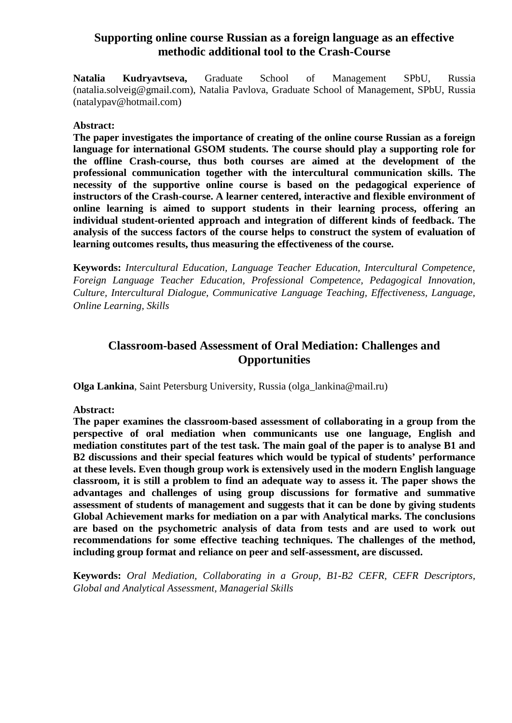### **Supporting online course Russian as a foreign language as an effective methodic additional tool to the Crash-Course**

**Natalia Kudryavtseva,** Graduate School of Management SPbU, Russia (natalia.solveig@gmail.com), Natalia Pavlova, Graduate School of Management, SPbU, Russia (natalypav@hotmail.com)

#### **Abstract:**

**The paper investigates the importance of creating of the online course Russian as a foreign language for international GSOM students. The course should play a supporting role for the offline Crash-course, thus both courses are aimed at the development of the professional communication together with the intercultural communication skills. The necessity of the supportive online course is based on the pedagogical experience of instructors of the Crash-course. A learner centered, interactive and flexible environment of online learning is aimed to support students in their learning process, offering an individual student-oriented approach and integration of different kinds of feedback. The analysis of the success factors of the course helps to construct the system of evaluation of learning outcomes results, thus measuring the effectiveness of the course.**

**Keywords:** *Intercultural Education, Language Teacher Education, Intercultural Competence, Foreign Language Teacher Education, Professional Competence, Pedagogical Innovation, Culture, Intercultural Dialogue, Communicative Language Teaching, Effectiveness, Language, Online Learning, Skills*

# **Classroom-based Assessment of Oral Mediation: Challenges and Opportunities**

**Olga Lankina**, Saint Petersburg University, Russia (olga\_lankina@mail.ru)

#### **Abstract:**

**The paper examines the classroom-based assessment of collaborating in a group from the perspective of oral mediation when communicants use one language, English and mediation constitutes part of the test task. The main goal of the paper is to analyse B1 and B2 discussions and their special features which would be typical of students' performance at these levels. Even though group work is extensively used in the modern English language classroom, it is still a problem to find an adequate way to assess it. The paper shows the advantages and challenges of using group discussions for formative and summative assessment of students of management and suggests that it can be done by giving students Global Achievement marks for mediation on a par with Analytical marks. The conclusions are based on the psychometric analysis of data from tests and are used to work out recommendations for some effective teaching techniques. The challenges of the method, including group format and reliance on peer and self-assessment, are discussed.**

**Keywords:** *Oral Mediation, Collaborating in a Group, B1-B2 CEFR, CEFR Descriptors, Global and Analytical Assessment, Managerial Skills*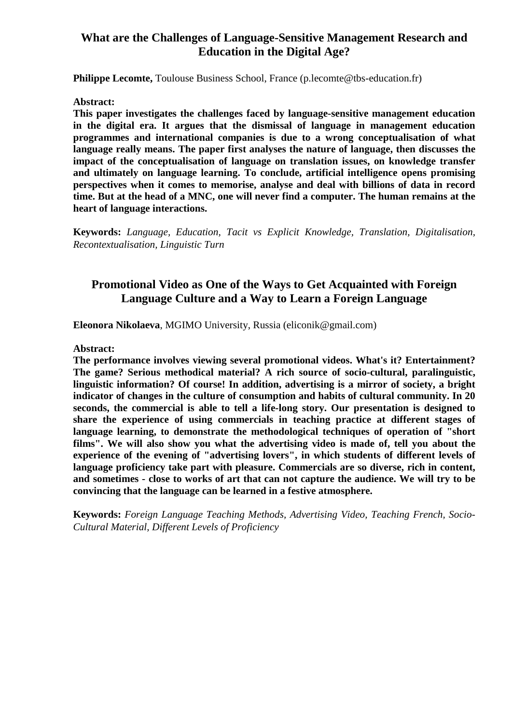### **What are the Challenges of Language-Sensitive Management Research and Education in the Digital Age?**

**Philippe Lecomte, Toulouse Business School, France (p.lecomte@tbs-education.fr)** 

#### **Abstract:**

**This paper investigates the challenges faced by language-sensitive management education in the digital era. It argues that the dismissal of language in management education programmes and international companies is due to a wrong conceptualisation of what language really means. The paper first analyses the nature of language, then discusses the impact of the conceptualisation of language on translation issues, on knowledge transfer and ultimately on language learning. To conclude, artificial intelligence opens promising perspectives when it comes to memorise, analyse and deal with billions of data in record time. But at the head of a MNC, one will never find a computer. The human remains at the heart of language interactions.**

**Keywords:** *Language, Education, Tacit vs Explicit Knowledge, Translation, Digitalisation, Recontextualisation, Linguistic Turn*

### **Promotional Video as One of the Ways to Get Acquainted with Foreign Language Culture and a Way to Learn a Foreign Language**

**Eleonora Nikolaeva**, MGIMO University, Russia (eliconik@gmail.com)

#### **Abstract:**

**The performance involves viewing several promotional videos. What's it? Entertainment? The game? Serious methodical material? A rich source of socio-cultural, paralinguistic, linguistic information? Of course! In addition, advertising is a mirror of society, a bright indicator of changes in the culture of consumption and habits of cultural community. In 20 seconds, the commercial is able to tell a life-long story. Our presentation is designed to share the experience of using commercials in teaching practice at different stages of language learning, to demonstrate the methodological techniques of operation of "short films". We will also show you what the advertising video is made of, tell you about the experience of the evening of "advertising lovers", in which students of different levels of language proficiency take part with pleasure. Commercials are so diverse, rich in content, and sometimes - close to works of art that can not capture the audience. We will try to be convincing that the language can be learned in a festive atmosphere.**

**Keywords:** *Foreign Language Teaching Methods, Advertising Video, Teaching French, Socio-Cultural Material, Different Levels of Proficiency*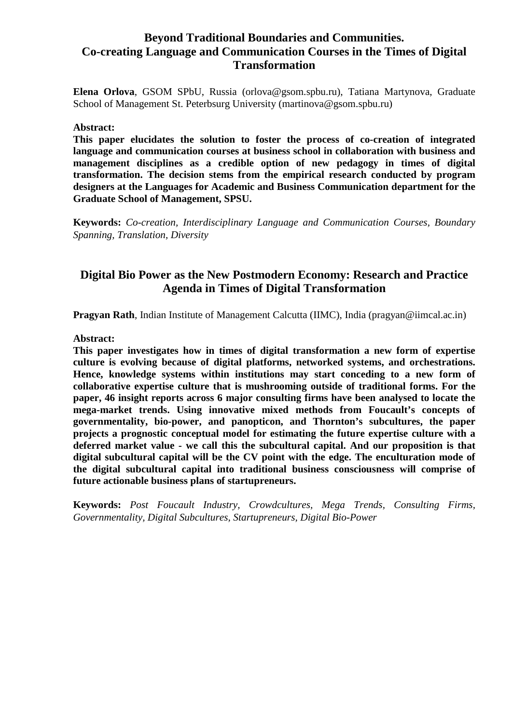### **Beyond Traditional Boundaries and Communities. Co-creating Language and Communication Courses in the Times of Digital Transformation**

**Elena Orlova**, GSOM SPbU, Russia (orlova@gsom.spbu.ru), Tatiana Martynova, Graduate School of Management St. Peterbsurg University (martinova@gsom.spbu.ru)

#### **Abstract:**

**This paper elucidates the solution to foster the process of co-creation of integrated language and communication courses at business school in collaboration with business and management disciplines as a credible option of new pedagogy in times of digital transformation. The decision stems from the empirical research conducted by program designers at the Languages for Academic and Business Communication department for the Graduate School of Management, SPSU.**

**Keywords:** *Co-creation, Interdisciplinary Language and Communication Courses, Boundary Spanning, Translation, Diversity*

### **Digital Bio Power as the New Postmodern Economy: Research and Practice Agenda in Times of Digital Transformation**

**Pragyan Rath**, Indian Institute of Management Calcutta (IIMC), India (pragyan@iimcal.ac.in)

#### **Abstract:**

**This paper investigates how in times of digital transformation a new form of expertise culture is evolving because of digital platforms, networked systems, and orchestrations. Hence, knowledge systems within institutions may start conceding to a new form of collaborative expertise culture that is mushrooming outside of traditional forms. For the paper, 46 insight reports across 6 major consulting firms have been analysed to locate the mega-market trends. Using innovative mixed methods from Foucault's concepts of governmentality, bio-power, and panopticon, and Thornton's subcultures, the paper projects a prognostic conceptual model for estimating the future expertise culture with a deferred market value - we call this the subcultural capital. And our proposition is that digital subcultural capital will be the CV point with the edge. The enculturation mode of the digital subcultural capital into traditional business consciousness will comprise of future actionable business plans of startupreneurs.**

**Keywords:** *Post Foucault Industry, Crowdcultures, Mega Trends, Consulting Firms, Governmentality, Digital Subcultures, Startupreneurs, Digital Bio-Power*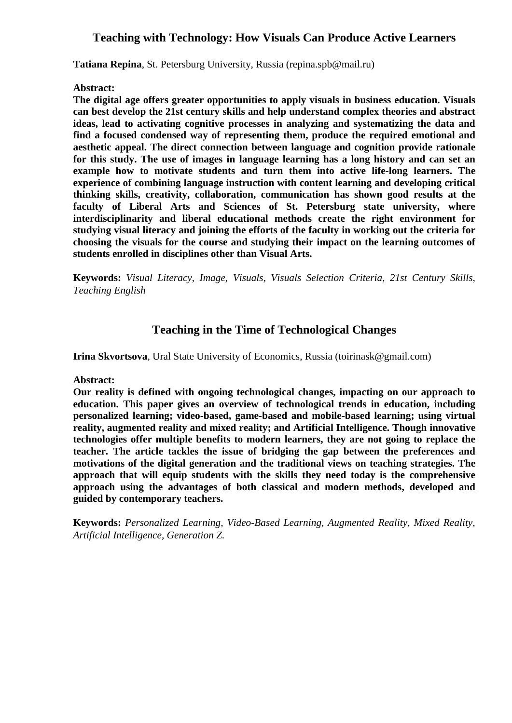### **Teaching with Technology: How Visuals Can Produce Active Learners**

**Tatiana Repina**, St. Petersburg University, Russia (repina.spb@mail.ru)

#### **Abstract:**

**The digital age offers greater opportunities to apply visuals in business education. Visuals can best develop the 21st century skills and help understand complex theories and abstract ideas, lead to activating cognitive processes in analyzing and systematizing the data and find a focused condensed way of representing them, produce the required emotional and aesthetic appeal. The direct connection between language and cognition provide rationale for this study. The use of images in language learning has a long history and can set an example how to motivate students and turn them into active life-long learners. The experience of combining language instruction with content learning and developing critical thinking skills, creativity, collaboration, communication has shown good results at the faculty of Liberal Arts and Sciences of St. Petersburg state university, where interdisciplinarity and liberal educational methods create the right environment for studying visual literacy and joining the efforts of the faculty in working out the criteria for choosing the visuals for the course and studying their impact on the learning outcomes of students enrolled in disciplines other than Visual Arts.**

**Keywords:** *Visual Literacy, Image, Visuals, Visuals Selection Criteria, 21st Century Skills, Teaching English*

### **Teaching in the Time of Technological Changes**

**Irina Skvortsova**, Ural State University of Economics, Russia (toirinask@gmail.com)

**Abstract:**

**Our reality is defined with ongoing technological changes, impacting on our approach to education. This paper gives an overview of technological trends in education, including personalized learning; video-based, game-based and mobile-based learning; using virtual reality, augmented reality and mixed reality; and Artificial Intelligence. Though innovative technologies offer multiple benefits to modern learners, they are not going to replace the teacher. The article tackles the issue of bridging the gap between the preferences and motivations of the digital generation and the traditional views on teaching strategies. The approach that will equip students with the skills they need today is the comprehensive approach using the advantages of both classical and modern methods, developed and guided by contemporary teachers.**

**Keywords:** *Personalized Learning, Video-Based Learning, Augmented Reality, Mixed Reality, Artificial Intelligence, Generation Z.*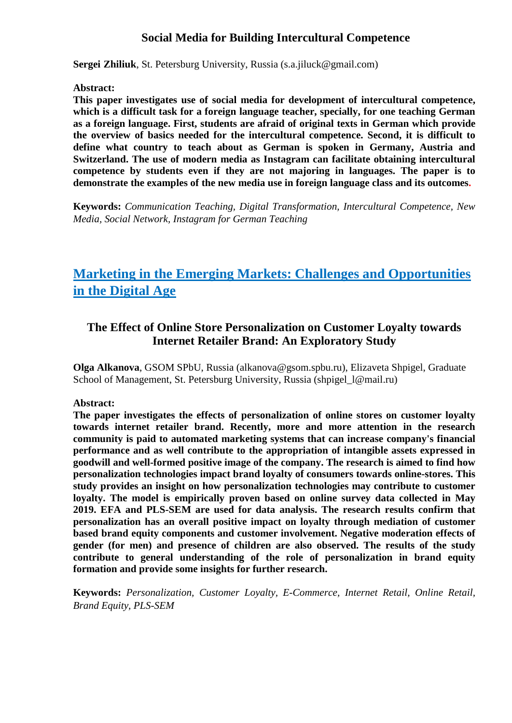# **Social Media for Building Intercultural Competence**

**Sergei Zhiliuk**, St. Petersburg University, Russia (s.a.jiluck@gmail.com)

#### **Abstract:**

**This paper investigates use of social media for development of intercultural competence, which is a difficult task for a foreign language teacher, specially, for one teaching German as a foreign language. First, students are afraid of original texts in German which provide the overview of basics needed for the intercultural competence. Second, it is difficult to define what country to teach about as German is spoken in Germany, Austria and Switzerland. The use of modern media as Instagram can facilitate obtaining intercultural competence by students even if they are not majoring in languages. The paper is to demonstrate the examples of the new media use in foreign language class and its outcomes.**

**Keywords:** *Communication Teaching, Digital Transformation, Intercultural Competence, New Media, Social Network, Instagram for German Teaching*

# **Marketing in the Emerging Markets: Challenges and Opportunities in the Digital Age**

# **The Effect of Online Store Personalization on Customer Loyalty towards Internet Retailer Brand: An Exploratory Study**

**Olga Alkanova**, GSOM SPbU, Russia (alkanova@gsom.spbu.ru), Elizaveta Shpigel, Graduate School of Management, St. Petersburg University, Russia (shpigel\_l@mail.ru)

#### **Abstract:**

**The paper investigates the effects of personalization of online stores on customer loyalty towards internet retailer brand. Recently, more and more attention in the research community is paid to automated marketing systems that can increase company's financial performance and as well contribute to the appropriation of intangible assets expressed in goodwill and well-formed positive image of the company. The research is aimed to find how personalization technologies impact brand loyalty of consumers towards online-stores. This study provides an insight on how personalization technologies may contribute to customer loyalty. The model is empirically proven based on online survey data collected in May 2019. EFA and PLS-SEM are used for data analysis. The research results confirm that personalization has an overall positive impact on loyalty through mediation of customer based brand equity components and customer involvement. Negative moderation effects of gender (for men) and presence of children are also observed. The results of the study contribute to general understanding of the role of personalization in brand equity formation and provide some insights for further research.**

**Keywords:** *Personalization, Customer Loyalty, E-Commerce, Internet Retail, Online Retail, Brand Equity, PLS-SEM*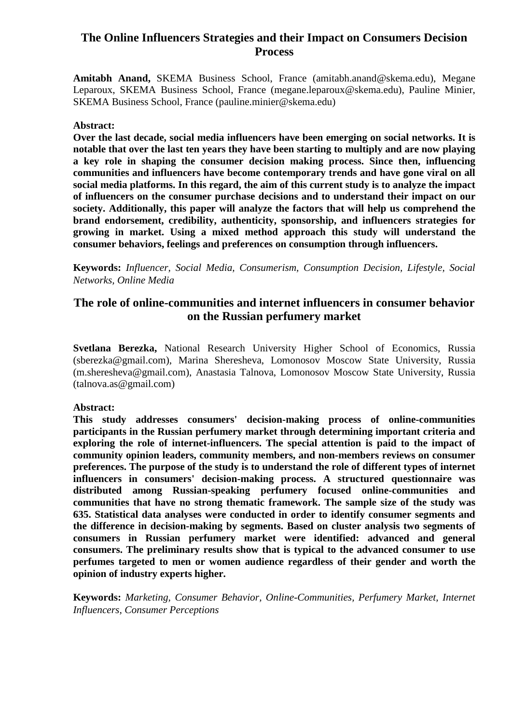# **The Online Influencers Strategies and their Impact on Consumers Decision Process**

**Amitabh Anand,** SKEMA Business School, France (amitabh.anand@skema.edu), Megane Leparoux, SKEMA Business School, France (megane.leparoux@skema.edu), Pauline Minier, SKEMA Business School, France (pauline.minier@skema.edu)

#### **Abstract:**

**Over the last decade, social media influencers have been emerging on social networks. It is notable that over the last ten years they have been starting to multiply and are now playing a key role in shaping the consumer decision making process. Since then, influencing communities and influencers have become contemporary trends and have gone viral on all social media platforms. In this regard, the aim of this current study is to analyze the impact of influencers on the consumer purchase decisions and to understand their impact on our society. Additionally, this paper will analyze the factors that will help us comprehend the brand endorsement, credibility, authenticity, sponsorship, and influencers strategies for growing in market. Using a mixed method approach this study will understand the consumer behaviors, feelings and preferences on consumption through influencers.**

**Keywords:** *Influencer, Social Media, Consumerism, Consumption Decision, Lifestyle, Social Networks, Online Media*

### **The role of online-communities and internet influencers in consumer behavior on the Russian perfumery market**

**Svetlana Berezka,** National Research University Higher School of Economics, Russia (sberezka@gmail.com), Marina Sheresheva, Lomonosov Moscow State University, Russia (m.sheresheva@gmail.com), Anastasia Talnova, Lomonosov Moscow State University, Russia (talnova.as@gmail.com)

### **Abstract:**

**This study addresses consumers' decision-making process of online-communities participants in the Russian perfumery market through determining important criteria and exploring the role of internet-influencers. The special attention is paid to the impact of community opinion leaders, community members, and non-members reviews on consumer preferences. The purpose of the study is to understand the role of different types of internet influencers in consumers' decision-making process. A structured questionnaire was distributed among Russian-speaking perfumery focused online-communities and communities that have no strong thematic framework. The sample size of the study was 635. Statistical data analyses were conducted in order to identify consumer segments and the difference in decision-making by segments. Based on cluster analysis two segments of consumers in Russian perfumery market were identified: advanced and general consumers. The preliminary results show that is typical to the advanced consumer to use perfumes targeted to men or women audience regardless of their gender and worth the opinion of industry experts higher.**

**Keywords:** *Marketing, Consumer Behavior, Online-Communities, Perfumery Market, Internet Influencers, Consumer Perceptions*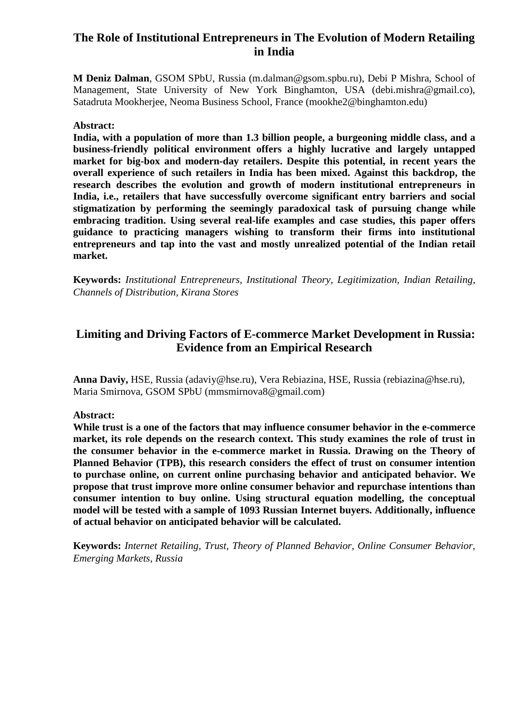## **The Role of Institutional Entrepreneurs in The Evolution of Modern Retailing in India**

**M Deniz Dalman**, GSOM SPbU, Russia (m.dalman@gsom.spbu.ru), Debi P Mishra, School of Management, State University of New York Binghamton, USA (debi.mishra@gmail.co), Satadruta Mookherjee, Neoma Business School, France (mookhe2@binghamton.edu)

#### **Abstract:**

**India, with a population of more than 1.3 billion people, a burgeoning middle class, and a business-friendly political environment offers a highly lucrative and largely untapped market for big-box and modern-day retailers. Despite this potential, in recent years the overall experience of such retailers in India has been mixed. Against this backdrop, the research describes the evolution and growth of modern institutional entrepreneurs in India, i.e., retailers that have successfully overcome significant entry barriers and social stigmatization by performing the seemingly paradoxical task of pursuing change while embracing tradition. Using several real-life examples and case studies, this paper offers guidance to practicing managers wishing to transform their firms into institutional entrepreneurs and tap into the vast and mostly unrealized potential of the Indian retail market.**

**Keywords:** *Institutional Entrepreneurs, Institutional Theory, Legitimization, Indian Retailing, Channels of Distribution, Kirana Stores*

# **Limiting and Driving Factors of E-commerce Market Development in Russia: Evidence from an Empirical Research**

**Anna Daviy,** HSE, Russia (adaviy@hse.ru), Vera Rebiazina, HSE, Russia (rebiazina@hse.ru), Maria Smirnova, GSOM SPbU (mmsmirnova8@gmail.com)

#### **Abstract:**

**While trust is a one of the factors that may influence consumer behavior in the e-commerce market, its role depends on the research context. This study examines the role of trust in the consumer behavior in the e-commerce market in Russia. Drawing on the Theory of Planned Behavior (TPB), this research considers the effect of trust on consumer intention to purchase online, on current online purchasing behavior and anticipated behavior. We propose that trust improve more online consumer behavior and repurchase intentions than consumer intention to buy online. Using structural equation modelling, the conceptual model will be tested with a sample of 1093 Russian Internet buyers. Additionally, influence of actual behavior on anticipated behavior will be calculated.**

**Keywords:** *Internet Retailing, Trust, Theory of Planned Behavior, Online Consumer Behavior, Emerging Markets, Russia*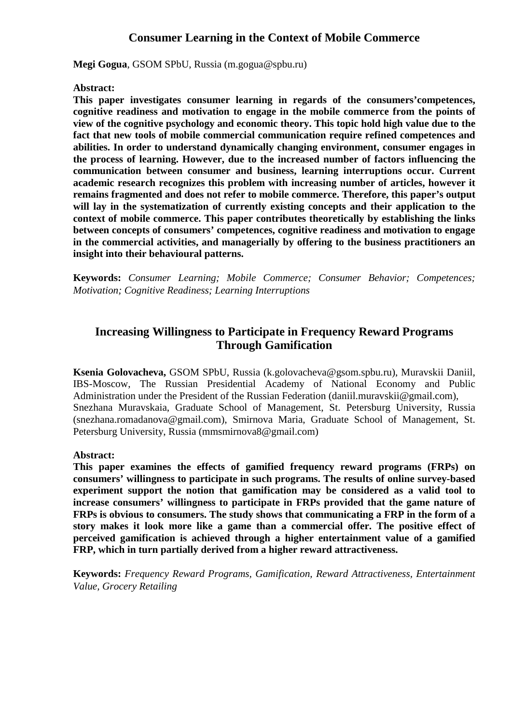### **Consumer Learning in the Context of Mobile Commerce**

**Megi Gogua**, GSOM SPbU, Russia (m.gogua@spbu.ru)

#### **Abstract:**

**This paper investigates consumer learning in regards of the consumers'competences, cognitive readiness and motivation to engage in the mobile commerce from the points of view of the cognitive psychology and economic theory. This topic hold high value due to the fact that new tools of mobile commercial communication require refined competences and abilities. In order to understand dynamically changing environment, consumer engages in the process of learning. However, due to the increased number of factors influencing the communication between consumer and business, learning interruptions occur. Current academic research recognizes this problem with increasing number of articles, however it remains fragmented and does not refer to mobile commerce. Therefore, this paper's output will lay in the systematization of currently existing concepts and their application to the context of mobile commerce. This paper contributes theoretically by establishing the links between concepts of consumers' competences, cognitive readiness and motivation to engage in the commercial activities, and managerially by offering to the business practitioners an insight into their behavioural patterns.**

**Keywords:** *Consumer Learning; Mobile Commerce; Consumer Behavior; Competences; Motivation; Cognitive Readiness; Learning Interruptions*

### **Increasing Willingness to Participate in Frequency Reward Programs Through Gamification**

**Ksenia Golovacheva,** GSOM SPbU, Russia (k.golovacheva@gsom.spbu.ru), Muravskii Daniil, IBS-Moscow, The Russian Presidential Academy of National Economy and Public Administration under the President of the Russian Federation (daniil.muravskii@gmail.com), Snezhana Muravskaia, Graduate School of Management, St. Petersburg University, Russia (snezhana.romadanova@gmail.com), Smirnova Maria, Graduate School of Management, St. Petersburg University, Russia (mmsmirnova8@gmail.com)

#### **Abstract:**

**This paper examines the effects of gamified frequency reward programs (FRPs) on consumers' willingness to participate in such programs. The results of online survey-based experiment support the notion that gamification may be considered as a valid tool to increase consumers' willingness to participate in FRPs provided that the game nature of FRPs is obvious to consumers. The study shows that communicating a FRP in the form of a story makes it look more like a game than a commercial offer. The positive effect of perceived gamification is achieved through a higher entertainment value of a gamified FRP, which in turn partially derived from a higher reward attractiveness.**

**Keywords:** *Frequency Reward Programs, Gamification, Reward Attractiveness, Entertainment Value, Grocery Retailing*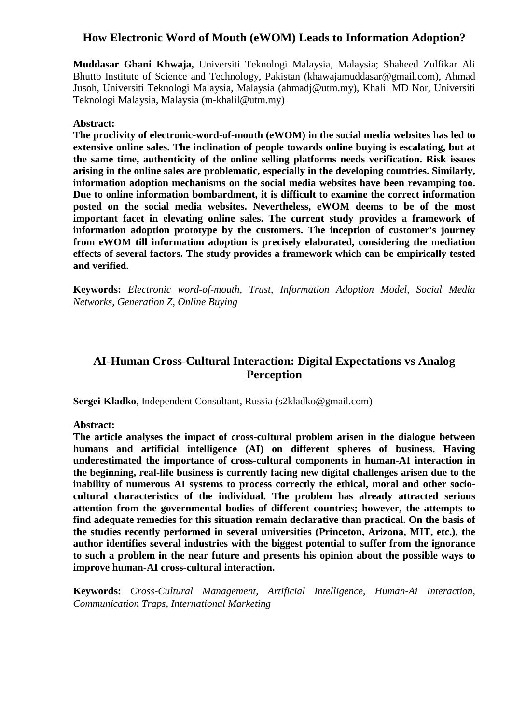### **How Electronic Word of Mouth (eWOM) Leads to Information Adoption?**

**Muddasar Ghani Khwaja,** Universiti Teknologi Malaysia, Malaysia; Shaheed Zulfikar Ali Bhutto Institute of Science and Technology, Pakistan (khawajamuddasar@gmail.com), Ahmad Jusoh, Universiti Teknologi Malaysia, Malaysia (ahmadj@utm.my), Khalil MD Nor, Universiti Teknologi Malaysia, Malaysia (m-khalil@utm.my)

#### **Abstract:**

**The proclivity of electronic-word-of-mouth (eWOM) in the social media websites has led to extensive online sales. The inclination of people towards online buying is escalating, but at the same time, authenticity of the online selling platforms needs verification. Risk issues arising in the online sales are problematic, especially in the developing countries. Similarly, information adoption mechanisms on the social media websites have been revamping too. Due to online information bombardment, it is difficult to examine the correct information posted on the social media websites. Nevertheless, eWOM deems to be of the most important facet in elevating online sales. The current study provides a framework of information adoption prototype by the customers. The inception of customer's journey from eWOM till information adoption is precisely elaborated, considering the mediation effects of several factors. The study provides a framework which can be empirically tested and verified.**

**Keywords:** *Electronic word-of-mouth, Trust, Information Adoption Model, Social Media Networks, Generation Z, Online Buying*

### **AI-Human Cross-Cultural Interaction: Digital Expectations vs Analog Perception**

**Sergei Kladko**, Independent Consultant, Russia (s2kladko@gmail.com)

**Abstract:** 

**The article analyses the impact of cross-cultural problem arisen in the dialogue between humans and artificial intelligence (AI) on different spheres of business. Having underestimated the importance of cross-cultural components in human-AI interaction in the beginning, real-life business is currently facing new digital challenges arisen due to the inability of numerous AI systems to process correctly the ethical, moral and other sociocultural characteristics of the individual. The problem has already attracted serious attention from the governmental bodies of different countries; however, the attempts to find adequate remedies for this situation remain declarative than practical. On the basis of the studies recently performed in several universities (Princeton, Arizona, MIT, etc.), the author identifies several industries with the biggest potential to suffer from the ignorance to such a problem in the near future and presents his opinion about the possible ways to improve human-AI cross-cultural interaction.**

**Keywords:** *Cross-Cultural Management, Artificial Intelligence, Human-Ai Interaction, Communication Traps, International Marketing*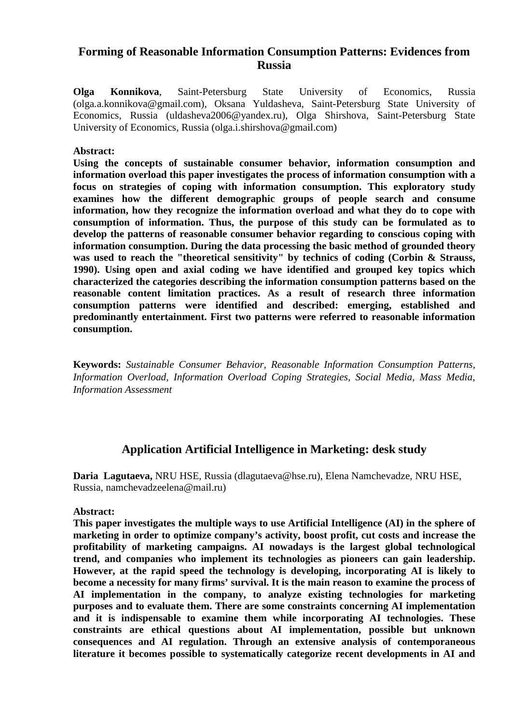### **Forming of Reasonable Information Consumption Patterns: Evidences from Russia**

**Olga Konnikova**, Saint-Petersburg State University of Economics, Russia (olga.a.konnikova@gmail.com), Oksana Yuldasheva, Saint-Petersburg State University of Economics, Russia (uldasheva2006@yandex.ru), Olga Shirshova, Saint-Petersburg State University of Economics, Russia (olga.i.shirshova@gmail.com)

#### **Abstract:**

**Using the concepts of sustainable consumer behavior, information consumption and information overload this paper investigates the process of information consumption with a focus on strategies of coping with information consumption. This exploratory study examines how the different demographic groups of people search and consume information, how they recognize the information overload and what they do to cope with consumption of information. Thus, the purpose of this study can be formulated as to develop the patterns of reasonable consumer behavior regarding to conscious coping with information consumption. During the data processing the basic method of grounded theory was used to reach the "theoretical sensitivity" by technics of coding (Corbin & Strauss, 1990). Using open and axial coding we have identified and grouped key topics which characterized the categories describing the information consumption patterns based on the reasonable content limitation practices. As a result of research three information consumption patterns were identified and described: emerging, established and predominantly entertainment. First two patterns were referred to reasonable information consumption.**

**Keywords:** *Sustainable Consumer Behavior, Reasonable Information Consumption Patterns, Information Overload, Information Overload Coping Strategies, Social Media, Mass Media, Information Assessment*

### **Application Artificial Intelligence in Marketing: desk study**

**Daria Lagutaeva,** NRU HSE, Russia (dlagutaeva@hse.ru), Elena Namchevadze, NRU HSE, Russia, namchevadzeelena@mail.ru)

#### **Abstract:**

**This paper investigates the multiple ways to use Artificial Intelligence (AI) in the sphere of marketing in order to optimize company's activity, boost profit, cut costs and increase the profitability of marketing campaigns. AI nowadays is the largest global technological trend, and companies who implement its technologies as pioneers can gain leadership. However, at the rapid speed the technology is developing, incorporating AI is likely to become a necessity for many firms' survival. It is the main reason to examine the process of AI implementation in the company, to analyze existing technologies for marketing purposes and to evaluate them. There are some constraints concerning AI implementation and it is indispensable to examine them while incorporating AI technologies. These constraints are ethical questions about AI implementation, possible but unknown consequences and AI regulation. Through an extensive analysis of contemporaneous literature it becomes possible to systematically categorize recent developments in AI and**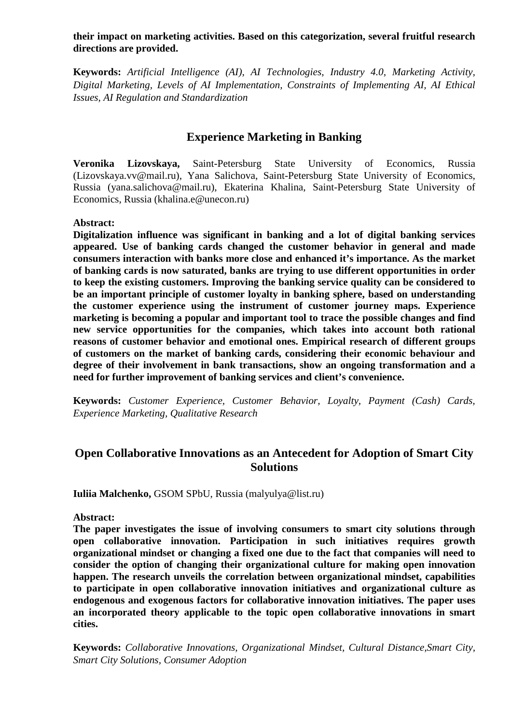#### **their impact on marketing activities. Based on this categorization, several fruitful research directions are provided.**

**Keywords:** *Artificial Intelligence (AI), AI Technologies, Industry 4.0, Marketing Activity, Digital Marketing, Levels of AI Implementation, Constraints of Implementing AI, AI Ethical Issues, AI Regulation and Standardization*

# **Experience Marketing in Banking**

**Veronika Lizovskaya,** Saint-Petersburg State University of Economics, Russia (Lizovskaya.vv@mail.ru), Yana Salichova, Saint-Petersburg State University of Economics, Russia (yana.salichova@mail.ru), Ekaterina Khalina, Saint-Petersburg State University of Economics, Russia (khalina.e@unecon.ru)

### **Abstract:**

**Digitalization influence was significant in banking and a lot of digital banking services appeared. Use of banking cards changed the customer behavior in general and made consumers interaction with banks more close and enhanced it's importance. As the market of banking cards is now saturated, banks are trying to use different opportunities in order to keep the existing customers. Improving the banking service quality can be considered to be an important principle of customer loyalty in banking sphere, based on understanding the customer experience using the instrument of customer journey maps. Experience marketing is becoming a popular and important tool to trace the possible changes and find new service opportunities for the companies, which takes into account both rational reasons of customer behavior and emotional ones. Empirical research of different groups of customers on the market of banking cards, considering their economic behaviour and degree of their involvement in bank transactions, show an ongoing transformation and a need for further improvement of banking services and client's convenience.**

**Keywords:** *Customer Experience, Customer Behavior, Loyalty, Payment (Cash) Cards, Experience Marketing, Qualitative Research*

### **Open Collaborative Innovations as an Antecedent for Adoption of Smart City Solutions**

**Iuliia Malchenko,** GSOM SPbU, Russia (malyulya@list.ru)

**Abstract:** 

**The paper investigates the issue of involving consumers to smart city solutions through open collaborative innovation. Participation in such initiatives requires growth organizational mindset or changing a fixed one due to the fact that companies will need to consider the option of changing their organizational culture for making open innovation happen. The research unveils the correlation between organizational mindset, capabilities to participate in open collaborative innovation initiatives and organizational culture as endogenous and exogenous factors for collaborative innovation initiatives. The paper uses an incorporated theory applicable to the topic open collaborative innovations in smart cities.**

**Keywords:** *Collaborative Innovations, Organizational Mindset, Cultural Distance,Smart City, Smart City Solutions, Consumer Adoption*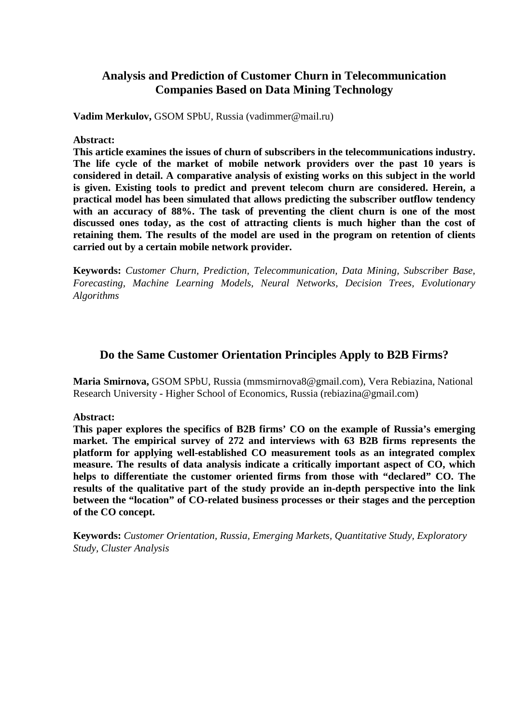# **Analysis and Prediction of Customer Churn in Telecommunication Companies Based on Data Mining Technology**

**Vadim Merkulov,** GSOM SPbU, Russia (vadimmer@mail.ru)

**Abstract:**

**This article examines the issues of churn of subscribers in the telecommunications industry. The life cycle of the market of mobile network providers over the past 10 years is considered in detail. A comparative analysis of existing works on this subject in the world is given. Existing tools to predict and prevent telecom churn are considered. Herein, a practical model has been simulated that allows predicting the subscriber outflow tendency with an accuracy of 88%. The task of preventing the client churn is one of the most discussed ones today, as the cost of attracting clients is much higher than the cost of retaining them. The results of the model are used in the program on retention of clients carried out by a certain mobile network provider.**

**Keywords:** *Customer Churn, Prediction, Telecommunication, Data Mining, Subscriber Base, Forecasting, Machine Learning Models, Neural Networks, Decision Trees, Evolutionary Algorithms*

### **Do the Same Customer Orientation Principles Apply to B2B Firms?**

**Maria Smirnova,** GSOM SPbU, Russia (mmsmirnova8@gmail.com), Vera Rebiazina, National Research University - Higher School of Economics, Russia (rebiazina@gmail.com)

**Abstract:** 

**This paper explores the specifics of B2B firms' CO on the example of Russia's emerging market. The empirical survey of 272 and interviews with 63 B2B firms represents the platform for applying well-established CO measurement tools as an integrated complex measure. The results of data analysis indicate a critically important aspect of CO, which helps to differentiate the customer oriented firms from those with "declared" CO. The results of the qualitative part of the study provide an in-depth perspective into the link between the "location" of CO-related business processes or their stages and the perception of the CO concept.**

**Keywords:** *Customer Orientation, Russia, Emerging Markets, Quantitative Study, Exploratory Study, Cluster Analysis*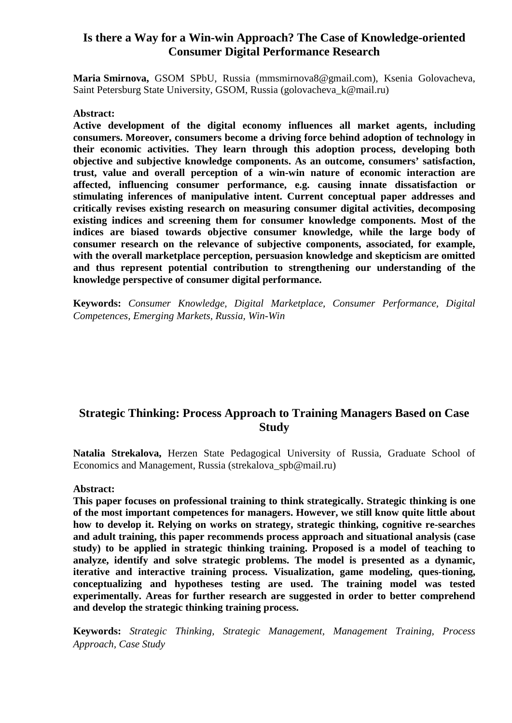### **Is there a Way for a Win-win Approach? The Case of Knowledge-oriented Consumer Digital Performance Research**

**Maria Smirnova,** GSOM SPbU, Russia (mmsmirnova8@gmail.com), Ksenia Golovacheva, Saint Petersburg State University, GSOM, Russia (golovacheva\_k@mail.ru)

#### **Abstract:**

**Active development of the digital economy influences all market agents, including consumers. Moreover, consumers become a driving force behind adoption of technology in their economic activities. They learn through this adoption process, developing both objective and subjective knowledge components. As an outcome, consumers' satisfaction, trust, value and overall perception of a win-win nature of economic interaction are affected, influencing consumer performance, e.g. causing innate dissatisfaction or stimulating inferences of manipulative intent. Current conceptual paper addresses and critically revises existing research on measuring consumer digital activities, decomposing existing indices and screening them for consumer knowledge components. Most of the indices are biased towards objective consumer knowledge, while the large body of consumer research on the relevance of subjective components, associated, for example, with the overall marketplace perception, persuasion knowledge and skepticism are omitted and thus represent potential contribution to strengthening our understanding of the knowledge perspective of consumer digital performance.**

**Keywords:** *Consumer Knowledge, Digital Marketplace, Consumer Performance, Digital Competences, Emerging Markets, Russia, Win-Win*

### **Strategic Thinking: Process Approach to Training Managers Based on Case Study**

**Natalia Strekalova,** Herzen State Pedagogical University of Russia, Graduate School of Economics and Management, Russia (strekalova spb@mail.ru)

#### **Abstract:**

**This paper focuses on professional training to think strategically. Strategic thinking is one of the most important competences for managers. However, we still know quite little about how to develop it. Relying on works on strategy, strategic thinking, cognitive re-searches and adult training, this paper recommends process approach and situational analysis (case study) to be applied in strategic thinking training. Proposed is a model of teaching to analyze, identify and solve strategic problems. The model is presented as a dynamic, iterative and interactive training process. Visualization, game modeling, ques-tioning, conceptualizing and hypotheses testing are used. The training model was tested experimentally. Areas for further research are suggested in order to better comprehend and develop the strategic thinking training process.**

**Keywords:** *Strategic Thinking, Strategic Management, Management Training, Process Approach, Case Study*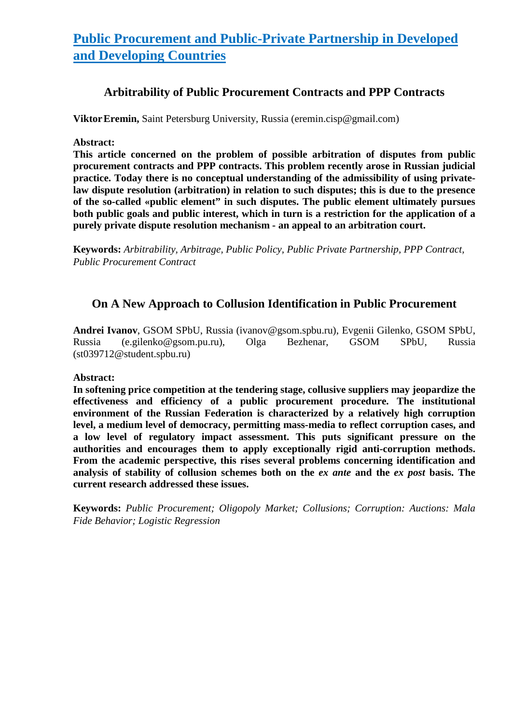# **Public Procurement and Public-Private Partnership in Developed and Developing Countries**

# **Arbitrability of Public Procurement Contracts and PPP Contracts**

**Viktor Eremin, Saint Petersburg University, Russia (eremin.cisp@gmail.com)** 

**Abstract:**

**This article concerned on the problem of possible arbitration of disputes from public procurement contracts and PPP contracts. This problem recently arose in Russian judicial practice. Today there is no conceptual understanding of the admissibility of using privatelaw dispute resolution (arbitration) in relation to such disputes; this is due to the presence of the so-called «public element" in such disputes. The public element ultimately pursues both public goals and public interest, which in turn is a restriction for the application of a purely private dispute resolution mechanism - an appeal to an arbitration court.**

**Keywords:** *Arbitrability, Arbitrage, Public Policy, Public Private Partnership, PPP Contract, Public Procurement Contract*

# **On A New Approach to Collusion Identification in Public Procurement**

**Andrei Ivanov**, GSOM SPbU, Russia (ivanov@gsom.spbu.ru), Evgenii Gilenko, GSOM SPbU, Russia (e.gilenko@gsom.pu.ru), Olga Bezhenar, GSOM SPbU, Russia (st039712@student.spbu.ru)

### **Abstract:**

**In softening price competition at the tendering stage, collusive suppliers may jeopardize the effectiveness and efficiency of a public procurement procedure. The institutional environment of the Russian Federation is characterized by a relatively high corruption level, a medium level of democracy, permitting mass-media to reflect corruption cases, and a low level of regulatory impact assessment. This puts significant pressure on the authorities and encourages them to apply exceptionally rigid anti-corruption methods. From the academic perspective, this rises several problems concerning identification and analysis of stability of collusion schemes both on the** *ex ante* **and the** *ex post* **basis. The current research addressed these issues.**

**Keywords:** *Public Procurement; Oligopoly Market; Collusions; Corruption: Auctions: Mala Fide Behavior; Logistic Regression*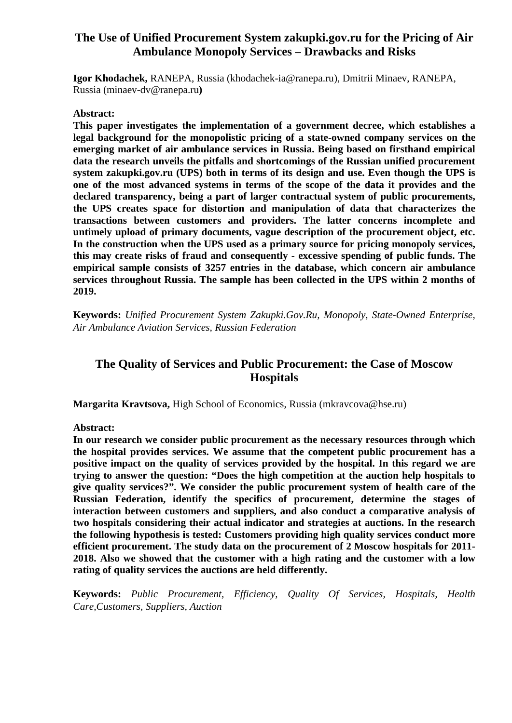# **The Use of Unified Procurement System zakupki.gov.ru for the Pricing of Air Ambulance Monopoly Services – Drawbacks and Risks**

**Igor Khodachek,** RANEPA, Russia (khodachek-ia@ranepa.ru), Dmitrii Minaev, RANEPA, Russia (minaev-dv@ranepa.ru**)**

### **Abstract:**

**This paper investigates the implementation of a government decree, which establishes a legal background for the monopolistic pricing of a state-owned company services on the emerging market of air ambulance services in Russia. Being based on firsthand empirical data the research unveils the pitfalls and shortcomings of the Russian unified procurement system zakupki.gov.ru (UPS) both in terms of its design and use. Even though the UPS is one of the most advanced systems in terms of the scope of the data it provides and the declared transparency, being a part of larger contractual system of public procurements, the UPS creates space for distortion and manipulation of data that characterizes the transactions between customers and providers. The latter concerns incomplete and untimely upload of primary documents, vague description of the procurement object, etc. In the construction when the UPS used as a primary source for pricing monopoly services, this may create risks of fraud and consequently - excessive spending of public funds. The empirical sample consists of 3257 entries in the database, which concern air ambulance services throughout Russia. The sample has been collected in the UPS within 2 months of 2019.**

**Keywords:** *Unified Procurement System Zakupki.Gov.Ru, Monopoly, State-Owned Enterprise, Air Ambulance Aviation Services, Russian Federation*

# **The Quality of Services and Public Procurement: the Case of Moscow Hospitals**

**Margarita Kravtsova,** High School of Economics, Russia (mkravcova@hse.ru)

**Abstract:**

**In our research we consider public procurement as the necessary resources through which the hospital provides services. We assume that the competent public procurement has a positive impact on the quality of services provided by the hospital. In this regard we are trying to answer the question: "Does the high competition at the auction help hospitals to give quality services?". We consider the public procurement system of health care of the Russian Federation, identify the specifics of procurement, determine the stages of interaction between customers and suppliers, and also conduct a comparative analysis of two hospitals considering their actual indicator and strategies at auctions. In the research the following hypothesis is tested: Customers providing high quality services conduct more efficient procurement. The study data on the procurement of 2 Moscow hospitals for 2011- 2018. Also we showed that the customer with a high rating and the customer with a low rating of quality services the auctions are held differently.**

**Keywords:** *Public Procurement, Efficiency, Quality Of Services, Hospitals, Health Care,Customers, Suppliers, Auction*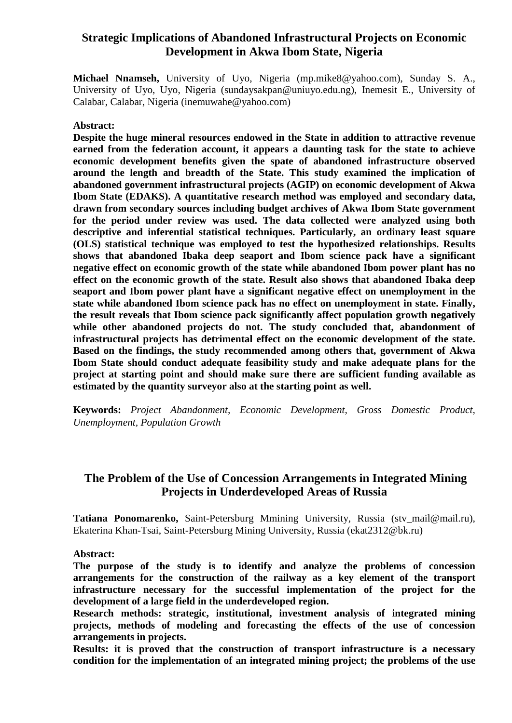### **Strategic Implications of Abandoned Infrastructural Projects on Economic Development in Akwa Ibom State, Nigeria**

**Michael Nnamseh,** University of Uyo, Nigeria (mp.mike8@yahoo.com), Sunday S. A., University of Uyo, Uyo, Nigeria (sundaysakpan@uniuyo.edu.ng), Inemesit E., University of Calabar, Calabar, Nigeria (inemuwahe@yahoo.com)

#### **Abstract:**

**Despite the huge mineral resources endowed in the State in addition to attractive revenue earned from the federation account, it appears a daunting task for the state to achieve economic development benefits given the spate of abandoned infrastructure observed around the length and breadth of the State. This study examined the implication of abandoned government infrastructural projects (AGIP) on economic development of Akwa Ibom State (EDAKS). A quantitative research method was employed and secondary data, drawn from secondary sources including budget archives of Akwa Ibom State government for the period under review was used. The data collected were analyzed using both descriptive and inferential statistical techniques. Particularly, an ordinary least square (OLS) statistical technique was employed to test the hypothesized relationships. Results shows that abandoned Ibaka deep seaport and Ibom science pack have a significant negative effect on economic growth of the state while abandoned Ibom power plant has no effect on the economic growth of the state. Result also shows that abandoned Ibaka deep seaport and Ibom power plant have a significant negative effect on unemployment in the state while abandoned Ibom science pack has no effect on unemployment in state. Finally, the result reveals that Ibom science pack significantly affect population growth negatively while other abandoned projects do not. The study concluded that, abandonment of infrastructural projects has detrimental effect on the economic development of the state. Based on the findings, the study recommended among others that, government of Akwa Ibom State should conduct adequate feasibility study and make adequate plans for the project at starting point and should make sure there are sufficient funding available as estimated by the quantity surveyor also at the starting point as well.**

**Keywords:** *Project Abandonment, Economic Development, Gross Domestic Product, Unemployment, Population Growth*

# **The Problem of the Use of Concession Arrangements in Integrated Mining Projects in Underdeveloped Areas of Russia**

**Tatiana Ponomarenko,** Saint-Petersburg Mmining University, Russia (stv\_mail@mail.ru), Ekaterina Khan-Tsai, Saint-Petersburg Mining University, Russia (ekat2312@bk.ru)

**Abstract:**

**The purpose of the study is to identify and analyze the problems of concession arrangements for the construction of the railway as a key element of the transport infrastructure necessary for the successful implementation of the project for the development of a large field in the underdeveloped region.** 

**Research methods: strategic, institutional, investment analysis of integrated mining projects, methods of modeling and forecasting the effects of the use of concession arrangements in projects.** 

**Results: it is proved that the construction of transport infrastructure is a necessary condition for the implementation of an integrated mining project; the problems of the use**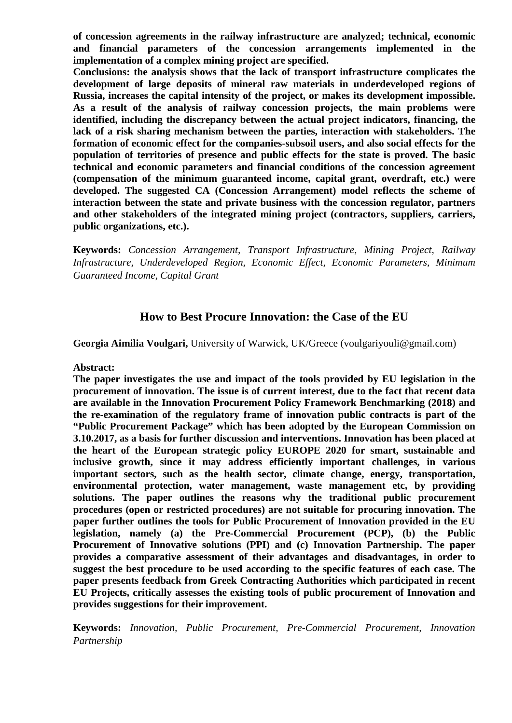**of concession agreements in the railway infrastructure are analyzed; technical, economic and financial parameters of the concession arrangements implemented in the implementation of a complex mining project are specified.** 

**Conclusions: the analysis shows that the lack of transport infrastructure complicates the development of large deposits of mineral raw materials in underdeveloped regions of Russia, increases the capital intensity of the project, or makes its development impossible. As a result of the analysis of railway concession projects, the main problems were identified, including the discrepancy between the actual project indicators, financing, the lack of a risk sharing mechanism between the parties, interaction with stakeholders. The formation of economic effect for the companies-subsoil users, and also social effects for the population of territories of presence and public effects for the state is proved. The basic technical and economic parameters and financial conditions of the concession agreement (compensation of the minimum guaranteed income, capital grant, overdraft, etc.) were developed. The suggested CA (Concession Arrangement) model reflects the scheme of interaction between the state and private business with the concession regulator, partners and other stakeholders of the integrated mining project (contractors, suppliers, carriers, public organizations, etc.).**

**Keywords:** *Concession Arrangement, Transport Infrastructure, Mining Project, Railway Infrastructure, Underdeveloped Region, Economic Effect, Economic Parameters, Minimum Guaranteed Income, Capital Grant*

# **How to Best Procure Innovation: the Case of the EU**

**Georgia Aimilia Voulgari,** University of Warwick, UK/Greece (voulgariyouli@gmail.com)

**Abstract:**

**The paper investigates the use and impact of the tools provided by EU legislation in the procurement of innovation. The issue is of current interest, due to the fact that recent data are available in the Innovation Procurement Policy Framework Benchmarking (2018) and the re-examination of the regulatory frame of innovation public contracts is part of the "Public Procurement Package" which has been adopted by the European Commission on 3.10.2017, as a basis for further discussion and interventions. Innovation has been placed at the heart of the European strategic policy EUROPE 2020 for smart, sustainable and inclusive growth, since it may address efficiently important challenges, in various important sectors, such as the health sector, climate change, energy, transportation, environmental protection, water management, waste management etc, by providing solutions. The paper outlines the reasons why the traditional public procurement procedures (open or restricted procedures) are not suitable for procuring innovation. The paper further outlines the tools for Public Procurement of Innovation provided in the EU legislation, namely (a) the Pre-Commercial Procurement (PCP), (b) the Public Procurement of Innovative solutions (PPI) and (c) Innovation Partnership. The paper provides a comparative assessment of their advantages and disadvantages, in order to suggest the best procedure to be used according to the specific features of each case. The paper presents feedback from Greek Contracting Authorities which participated in recent EU Projects, critically assesses the existing tools of public procurement of Innovation and provides suggestions for their improvement.**

**Keywords:** *Innovation, Public Procurement, Pre-Commercial Procurement, Innovation Partnership*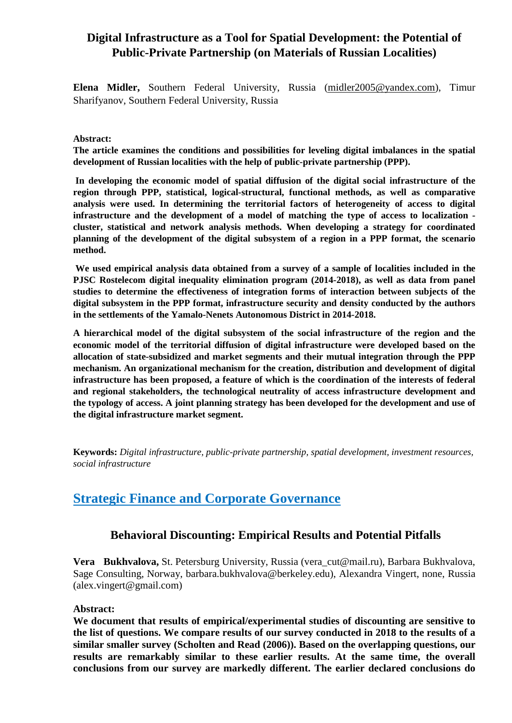# **Digital Infrastructure as a Tool for Spatial Development: the Potential of Public-Private Partnership (on Materials of Russian Localities)**

**Elena Midler,** Southern Federal University, Russia [\(midler2005@yandex.com\)](mailto:midler2005@yandex.com), Timur Sharifyanov, Southern Federal University, Russia

#### **Abstract:**

**The article examines the conditions and possibilities for leveling digital imbalances in the spatial development of Russian localities with the help of public-private partnership (PPP).**

**In developing the economic model of spatial diffusion of the digital social infrastructure of the region through PPP, statistical, logical-structural, functional methods, as well as comparative analysis were used. In determining the territorial factors of heterogeneity of access to digital infrastructure and the development of a model of matching the type of access to localization cluster, statistical and network analysis methods. When developing a strategy for coordinated planning of the development of the digital subsystem of a region in a PPP format, the scenario method.**

**We used empirical analysis data obtained from a survey of a sample of localities included in the PJSC Rostelecom digital inequality elimination program (2014-2018), as well as data from panel studies to determine the effectiveness of integration forms of interaction between subjects of the digital subsystem in the PPP format, infrastructure security and density conducted by the authors in the settlements of the Yamalo-Nenets Autonomous District in 2014-2018.**

**A hierarchical model of the digital subsystem of the social infrastructure of the region and the economic model of the territorial diffusion of digital infrastructure were developed based on the allocation of state-subsidized and market segments and their mutual integration through the PPP mechanism. An organizational mechanism for the creation, distribution and development of digital infrastructure has been proposed, a feature of which is the coordination of the interests of federal and regional stakeholders, the technological neutrality of access infrastructure development and the typology of access. A joint planning strategy has been developed for the development and use of the digital infrastructure market segment.**

**Keywords:** *Digital infrastructure, public-private partnership, spatial development, investment resources, social infrastructure*

# **Strategic Finance and Corporate Governance**

### **Behavioral Discounting: Empirical Results and Potential Pitfalls**

**Vera Bukhvalova,** St. Petersburg University, Russia (vera\_cut@mail.ru), Barbara Bukhvalova, Sage Consulting, Norway, barbara.bukhvalova@berkeley.edu), Alexandra Vingert, none, Russia (alex.vingert@gmail.com)

#### **Abstract:**

**We document that results of empirical/experimental studies of discounting are sensitive to the list of questions. We compare results of our survey conducted in 2018 to the results of a similar smaller survey (Scholten and Read (2006)). Based on the overlapping questions, our results are remarkably similar to these earlier results. At the same time, the overall conclusions from our survey are markedly different. The earlier declared conclusions do**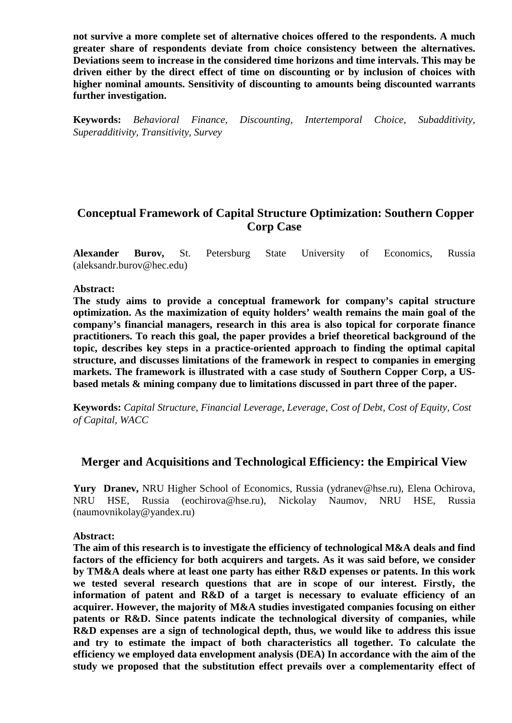**not survive a more complete set of alternative choices offered to the respondents. A much greater share of respondents deviate from choice consistency between the alternatives. Deviations seem to increase in the considered time horizons and time intervals. This may be driven either by the direct effect of time on discounting or by inclusion of choices with higher nominal amounts. Sensitivity of discounting to amounts being discounted warrants further investigation.**

**Keywords:** *Behavioral Finance, Discounting, Intertemporal Choice, Subadditivity, Superadditivity, Transitivity, Survey*

# **Conceptual Framework of Capital Structure Optimization: Southern Copper Corp Case**

**Alexander Burov,** St. Petersburg State University of Economics, Russia (aleksandr.burov@hec.edu)

#### **Abstract:**

**The study aims to provide a conceptual framework for company's capital structure optimization. As the maximization of equity holders' wealth remains the main goal of the company's financial managers, research in this area is also topical for corporate finance practitioners. To reach this goal, the paper provides a brief theoretical background of the topic, describes key steps in a practice-oriented approach to finding the optimal capital structure, and discusses limitations of the framework in respect to companies in emerging markets. The framework is illustrated with a case study of Southern Copper Corp, a USbased metals & mining company due to limitations discussed in part three of the paper.**

**Keywords:** *Capital Structure, Financial Leverage, Leverage, Cost of Debt, Cost of Equity, Cost of Capital, WACC*

### **Merger and Acquisitions and Technological Efficiency: the Empirical View**

**Yury Dranev,** NRU Higher School of Economics, Russia (ydranev@hse.ru), Elena Ochirova, NRU HSE, Russia (eochirova@hse.ru), Nickolay Naumov, NRU HSE, Russia (naumovnikolay@yandex.ru)

**Abstract:**

**The aim of this research is to investigate the efficiency of technological M&A deals and find factors of the efficiency for both acquirers and targets. As it was said before, we consider by TM&A deals where at least one party has either R&D expenses or patents. In this work we tested several research questions that are in scope of our interest. Firstly, the information of patent and R&D of a target is necessary to evaluate efficiency of an acquirer. However, the majority of M&A studies investigated companies focusing on either patents or R&D. Since patents indicate the technological diversity of companies, while R&D expenses are a sign of technological depth, thus, we would like to address this issue and try to estimate the impact of both characteristics all together. To calculate the efficiency we employed data envelopment analysis (DEA) In accordance with the aim of the study we proposed that the substitution effect prevails over a complementarity effect of**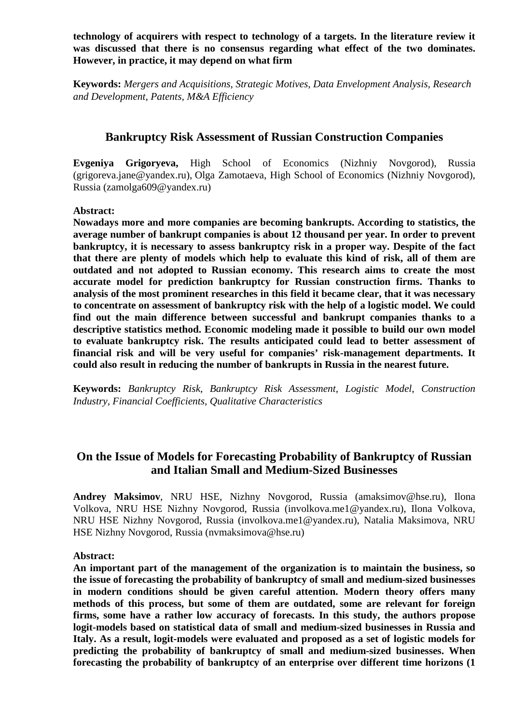**technology of acquirers with respect to technology of a targets. In the literature review it was discussed that there is no consensus regarding what effect of the two dominates. However, in practice, it may depend on what firm**

**Keywords:** *Mergers and Acquisitions, Strategic Motives, Data Envelopment Analysis, Research and Development, Patents, M&A Efficiency*

### **Bankruptcy Risk Assessment of Russian Construction Companies**

**Evgeniya Grigoryeva,** High School of Economics (Nizhniy Novgorod), Russia (grigoreva.jane@yandex.ru), Olga Zamotaeva, High School of Economics (Nizhniy Novgorod), Russia (zamolga609@yandex.ru)

### **Abstract:**

**Nowadays more and more companies are becoming bankrupts. According to statistics, the average number of bankrupt companies is about 12 thousand per year. In order to prevent bankruptcy, it is necessary to assess bankruptcy risk in a proper way. Despite of the fact that there are plenty of models which help to evaluate this kind of risk, all of them are outdated and not adopted to Russian economy. This research aims to create the most accurate model for prediction bankruptcy for Russian construction firms. Thanks to analysis of the most prominent researches in this field it became clear, that it was necessary to concentrate on assessment of bankruptcy risk with the help of a logistic model. We could find out the main difference between successful and bankrupt companies thanks to a descriptive statistics method. Economic modeling made it possible to build our own model to evaluate bankruptcy risk. The results anticipated could lead to better assessment of financial risk and will be very useful for companies' risk-management departments. It could also result in reducing the number of bankrupts in Russia in the nearest future.**

**Keywords:** *Bankruptcy Risk, Bankruptcy Risk Assessment, Logistic Model, Construction Industry, Financial Coefficients, Qualitative Characteristics*

# **On the Issue of Models for Forecasting Probability of Bankruptcy of Russian and Italian Small and Medium-Sized Businesses**

**Andrey Maksimov**, NRU HSE, Nizhny Novgorod, Russia (amaksimov@hse.ru), Ilona Volkova, NRU HSE Nizhny Novgorod, Russia (involkova.me1@yandex.ru), Ilona Volkova, NRU HSE Nizhny Novgorod, Russia (involkova.me1@yandex.ru), Natalia Maksimova, NRU HSE Nizhny Novgorod, Russia (nvmaksimova@hse.ru)

### **Abstract:**

**An important part of the management of the organization is to maintain the business, so the issue of forecasting the probability of bankruptcy of small and medium-sized businesses in modern conditions should be given careful attention. Modern theory offers many methods of this process, but some of them are outdated, some are relevant for foreign firms, some have a rather low accuracy of forecasts. In this study, the authors propose logit-models based on statistical data of small and medium-sized businesses in Russia and Italy. As a result, logit-models were evaluated and proposed as a set of logistic models for predicting the probability of bankruptcy of small and medium-sized businesses. When forecasting the probability of bankruptcy of an enterprise over different time horizons (1**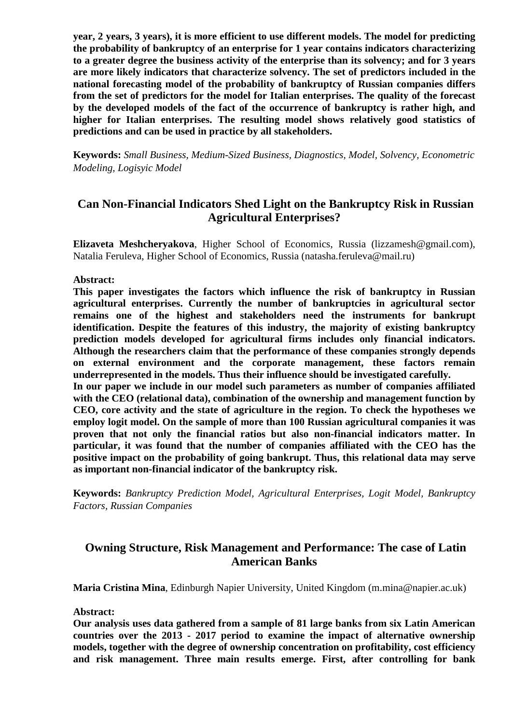**year, 2 years, 3 years), it is more efficient to use different models. The model for predicting the probability of bankruptcy of an enterprise for 1 year contains indicators characterizing to a greater degree the business activity of the enterprise than its solvency; and for 3 years are more likely indicators that characterize solvency. The set of predictors included in the national forecasting model of the probability of bankruptcy of Russian companies differs from the set of predictors for the model for Italian enterprises. The quality of the forecast by the developed models of the fact of the occurrence of bankruptcy is rather high, and higher for Italian enterprises. The resulting model shows relatively good statistics of predictions and can be used in practice by all stakeholders.**

**Keywords:** *Small Business, Medium-Sized Business, Diagnostics, Model, Solvency, Econometric Modeling, Logisyic Model*

# **Can Non-Financial Indicators Shed Light on the Bankruptcy Risk in Russian Agricultural Enterprises?**

**Elizaveta Meshcheryakova**, Higher School of Economics, Russia (lizzamesh@gmail.com), Natalia Feruleva, Higher School of Economics, Russia (natasha.feruleva@mail.ru)

### **Abstract:**

**This paper investigates the factors which influence the risk of bankruptcy in Russian agricultural enterprises. Currently the number of bankruptcies in agricultural sector remains one of the highest and stakeholders need the instruments for bankrupt identification. Despite the features of this industry, the majority of existing bankruptcy prediction models developed for agricultural firms includes only financial indicators. Although the researchers claim that the performance of these companies strongly depends on external environment and the corporate management, these factors remain underrepresented in the models. Thus their influence should be investigated carefully.** 

**In our paper we include in our model such parameters as number of companies affiliated with the CEO (relational data), combination of the ownership and management function by CEO, core activity and the state of agriculture in the region. To check the hypotheses we employ logit model. On the sample of more than 100 Russian agricultural companies it was proven that not only the financial ratios but also non-financial indicators matter. In particular, it was found that the number of companies affiliated with the CEO has the positive impact on the probability of going bankrupt. Thus, this relational data may serve as important non-financial indicator of the bankruptcy risk.**

**Keywords:** *Bankruptcy Prediction Model, Agricultural Enterprises, Logit Model, Bankruptcy Factors, Russian Companies*

# **Owning Structure, Risk Management and Performance: The case of Latin American Banks**

**Maria Cristina Mina**, Edinburgh Napier University, United Kingdom (m.mina@napier.ac.uk)

**Abstract:**

**Our analysis uses data gathered from a sample of 81 large banks from six Latin American countries over the 2013 - 2017 period to examine the impact of alternative ownership models, together with the degree of ownership concentration on profitability, cost efficiency and risk management. Three main results emerge. First, after controlling for bank**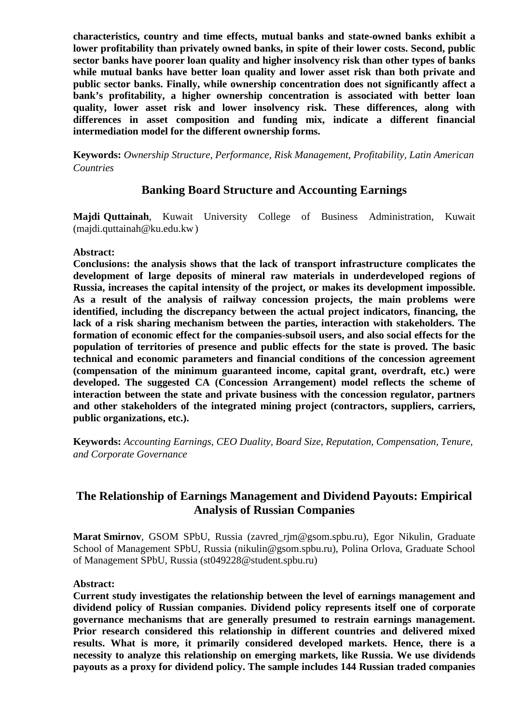**characteristics, country and time effects, mutual banks and state-owned banks exhibit a lower profitability than privately owned banks, in spite of their lower costs. Second, public sector banks have poorer loan quality and higher insolvency risk than other types of banks while mutual banks have better loan quality and lower asset risk than both private and public sector banks. Finally, while ownership concentration does not significantly affect a bank's profitability, a higher ownership concentration is associated with better loan quality, lower asset risk and lower insolvency risk. These differences, along with differences in asset composition and funding mix, indicate a different financial intermediation model for the different ownership forms.**

**Keywords:** *Ownership Structure, Performance, Risk Management, Profitability, Latin American Countries*

### **Banking Board Structure and Accounting Earnings**

**Majdi Quttainah**, Kuwait University College of Business Administration, Kuwait (majdi.quttainah@ku.edu.kw)

### **Abstract:**

**Conclusions: the analysis shows that the lack of transport infrastructure complicates the development of large deposits of mineral raw materials in underdeveloped regions of Russia, increases the capital intensity of the project, or makes its development impossible. As a result of the analysis of railway concession projects, the main problems were identified, including the discrepancy between the actual project indicators, financing, the lack of a risk sharing mechanism between the parties, interaction with stakeholders. The formation of economic effect for the companies-subsoil users, and also social effects for the population of territories of presence and public effects for the state is proved. The basic technical and economic parameters and financial conditions of the concession agreement (compensation of the minimum guaranteed income, capital grant, overdraft, etc.) were developed. The suggested CA (Concession Arrangement) model reflects the scheme of interaction between the state and private business with the concession regulator, partners and other stakeholders of the integrated mining project (contractors, suppliers, carriers, public organizations, etc.).**

**Keywords:** *Accounting Earnings, CEO Duality, Board Size, Reputation, Compensation, Tenure, and Corporate Governance*

### **The Relationship of Earnings Management and Dividend Payouts: Empirical Analysis of Russian Companies**

**Marat Smirnov**, GSOM SPbU, Russia (zavred\_rjm@gsom.spbu.ru), Egor Nikulin, Graduate School of Management SPbU, Russia (nikulin@gsom.spbu.ru), Polina Orlova, Graduate School of Management SPbU, Russia (st049228@student.spbu.ru)

### **Abstract:**

**Current study investigates the relationship between the level of earnings management and dividend policy of Russian companies. Dividend policy represents itself one of corporate governance mechanisms that are generally presumed to restrain earnings management. Prior research considered this relationship in different countries and delivered mixed results. What is more, it primarily considered developed markets. Hence, there is a necessity to analyze this relationship on emerging markets, like Russia. We use dividends payouts as a proxy for dividend policy. The sample includes 144 Russian traded companies**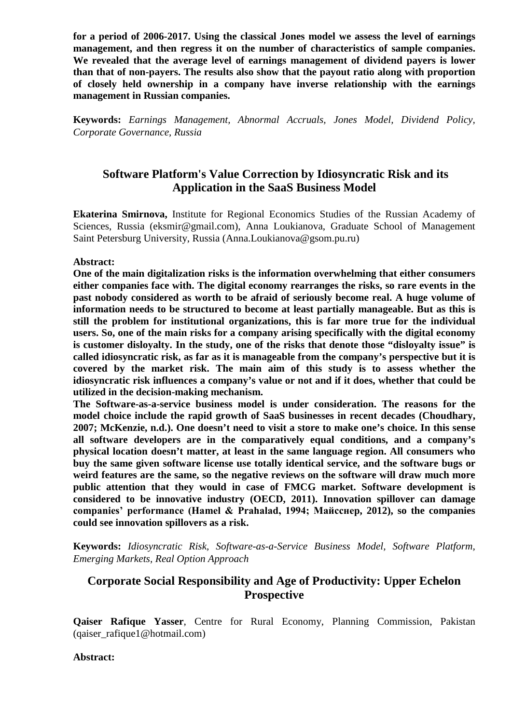**for a period of 2006-2017. Using the classical Jones model we assess the level of earnings management, and then regress it on the number of characteristics of sample companies. We revealed that the average level of earnings management of dividend payers is lower than that of non-payers. The results also show that the payout ratio along with proportion of closely held ownership in a company have inverse relationship with the earnings management in Russian companies.**

**Keywords:** *Earnings Management, Abnormal Accruals, Jones Model, Dividend Policy, Corporate Governance, Russia*

# **Software Platform's Value Correction by Idiosyncratic Risk and its Application in the SaaS Business Model**

**Ekaterina Smirnova,** Institute for Regional Economics Studies of the Russian Academy of Sciences, Russia (eksmir@gmail.com), Anna Loukianova, Graduate School of Management Saint Petersburg University, Russia (Anna.Loukianova@gsom.pu.ru)

### **Abstract:**

**One of the main digitalization risks is the information overwhelming that either consumers either companies face with. The digital economy rearranges the risks, so rare events in the past nobody considered as worth to be afraid of seriously become real. A huge volume of information needs to be structured to become at least partially manageable. But as this is still the problem for institutional organizations, this is far more true for the individual users. So, one of the main risks for a company arising specifically with the digital economy is customer disloyalty. In the study, one of the risks that denote those "disloyalty issue" is called idiosyncratic risk, as far as it is manageable from the company's perspective but it is covered by the market risk. The main aim of this study is to assess whether the idiosyncratic risk influences a company's value or not and if it does, whether that could be utilized in the decision-making mechanism.**

**The Software-as-a-service business model is under consideration. The reasons for the model choice include the rapid growth of SaaS businesses in recent decades (Choudhary, 2007; McKenzie, n.d.). One doesn't need to visit a store to make one's choice. In this sense all software developers are in the comparatively equal conditions, and a company's physical location doesn't matter, at least in the same language region. All consumers who buy the same given software license use totally identical service, and the software bugs or weird features are the same, so the negative reviews on the software will draw much more public attention that they would in case of FMCG market. Software development is considered to be innovative industry (OECD, 2011). Innovation spillover can damage companies' performance (Hamel & Prahalad, 1994; Майсснер, 2012), so the companies could see innovation spillovers as a risk.**

**Keywords:** *Idiosyncratic Risk, Software-as-a-Service Business Model, Software Platform, Emerging Markets, Real Option Approach*

# **Corporate Social Responsibility and Age of Productivity: Upper Echelon Prospective**

**Qaiser Rafique Yasser**, Centre for Rural Economy, Planning Commission, Pakistan (qaiser\_rafique1@hotmail.com)

### **Abstract:**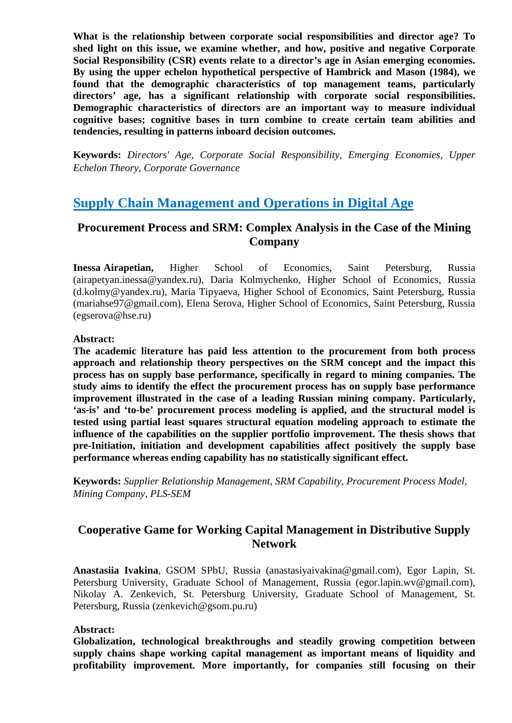**What is the relationship between corporate social responsibilities and director age? To shed light on this issue, we examine whether, and how, positive and negative Corporate Social Responsibility (CSR) events relate to a director's age in Asian emerging economies. By using the upper echelon hypothetical perspective of Hambrick and Mason (1984), we found that the demographic characteristics of top management teams, particularly directors' age, has a significant relationship with corporate social responsibilities. Demographic characteristics of directors are an important way to measure individual cognitive bases; cognitive bases in turn combine to create certain team abilities and tendencies, resulting in patterns inboard decision outcomes.**

**Keywords:** *Directors' Age, Corporate Social Responsibility, Emerging Economies, Upper Echelon Theory, Corporate Governance*

# **Supply Chain Management and Operations in Digital Age**

# **Procurement Process and SRM: Complex Analysis in the Case of the Mining Company**

**Inessa Airapetian,** Higher School of Economics, Saint Petersburg, Russia (airapetyan.inessa@yandex.ru), Daria Kolmychenko, Higher School of Economics, Russia (d.kolmy@yandex.ru), Maria Tipyaeva, Higher School of Economics, Saint Petersburg, Russia (mariahse97@gmail.com), Elena Serova, Higher School of Economics, Saint Petersburg, Russia (egserova@hse.ru)

### **Abstract:**

**The academic literature has paid less attention to the procurement from both process approach and relationship theory perspectives on the SRM concept and the impact this process has on supply base performance, specifically in regard to mining companies. The study aims to identify the effect the procurement process has on supply base performance improvement illustrated in the case of a leading Russian mining company. Particularly, 'as-is' and 'to-be' procurement process modeling is applied, and the structural model is tested using partial least squares structural equation modeling approach to estimate the influence of the capabilities on the supplier portfolio improvement. The thesis shows that pre-Initiation, initiation and development capabilities affect positively the supply base performance whereas ending capability has no statistically significant effect.**

**Keywords:** *Supplier Relationship Management, SRM Capability, Procurement Process Model, Mining Company, PLS-SEM*

# **Cooperative Game for Working Capital Management in Distributive Supply Network**

**Anastasiia Ivakina**, GSOM SPbU, Russia (anastasiyaivakina@gmail.com), Egor Lapin, St. Petersburg University, Graduate School of Management, Russia (egor.lapin.wv@gmail.com), Nikolay A. Zenkevich, St. Petersburg University, Graduate School of Management, St. Petersburg, Russia (zenkevich@gsom.pu.ru)

### **Abstract:**

**Globalization, technological breakthroughs and steadily growing competition between supply chains shape working capital management as important means of liquidity and profitability improvement. More importantly, for companies still focusing on their**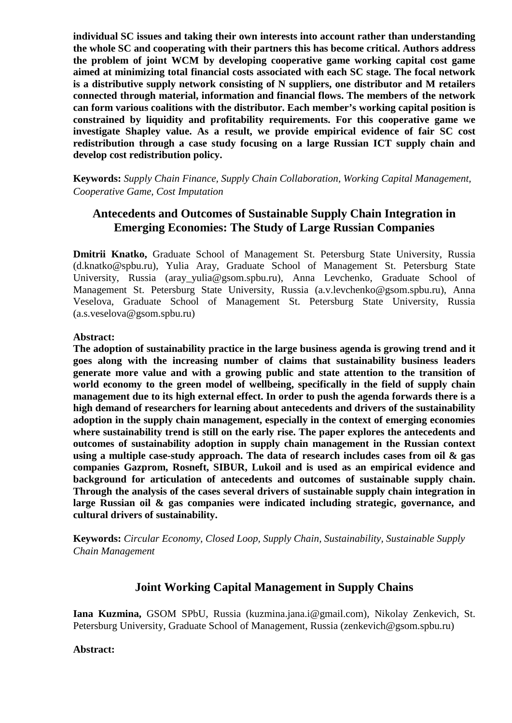**individual SC issues and taking their own interests into account rather than understanding the whole SC and cooperating with their partners this has become critical. Authors address the problem of joint WCM by developing cooperative game working capital cost game aimed at minimizing total financial costs associated with each SC stage. The focal network is a distributive supply network consisting of N suppliers, one distributor and M retailers connected through material, information and financial flows. The members of the network can form various coalitions with the distributor. Each member's working capital position is constrained by liquidity and profitability requirements. For this cooperative game we investigate Shapley value. As a result, we provide empirical evidence of fair SC cost redistribution through a case study focusing on a large Russian ICT supply chain and develop cost redistribution policy.**

**Keywords:** *Supply Chain Finance, Supply Chain Collaboration, Working Capital Management, Cooperative Game, Cost Imputation*

# **Antecedents and Outcomes of Sustainable Supply Chain Integration in Emerging Economies: The Study of Large Russian Companies**

**Dmitrii Knatko,** Graduate School of Management St. Petersburg State University, Russia (d.knatko@spbu.ru), Yulia Aray, Graduate School of Management St. Petersburg State University, Russia (aray\_yulia@gsom.spbu.ru), Anna Levchenko, Graduate School of Management St. Petersburg State University, Russia (a.v.levchenko@gsom.spbu.ru), Anna Veselova, Graduate School of Management St. Petersburg State University, Russia (a.s.veselova@gsom.spbu.ru)

#### **Abstract:**

**The adoption of sustainability practice in the large business agenda is growing trend and it goes along with the increasing number of claims that sustainability business leaders generate more value and with a growing public and state attention to the transition of world economy to the green model of wellbeing, specifically in the field of supply chain management due to its high external effect. In order to push the agenda forwards there is a high demand of researchers for learning about antecedents and drivers of the sustainability adoption in the supply chain management, especially in the context of emerging economies where sustainability trend is still on the early rise. The paper explores the antecedents and outcomes of sustainability adoption in supply chain management in the Russian context using a multiple case-study approach. The data of research includes cases from oil & gas companies Gazprom, Rosneft, SIBUR, Lukoil and is used as an empirical evidence and background for articulation of antecedents and outcomes of sustainable supply chain. Through the analysis of the cases several drivers of sustainable supply chain integration in large Russian oil & gas companies were indicated including strategic, governance, and cultural drivers of sustainability.** 

**Keywords:** *Circular Economy, Closed Loop, Supply Chain, Sustainability, Sustainable Supply Chain Management*

### **Joint Working Capital Management in Supply Chains**

**Iana Kuzmina,** GSOM SPbU, Russia (kuzmina.jana.i@gmail.com), Nikolay Zenkevich, St. Petersburg University, Graduate School of Management, Russia (zenkevich@gsom.spbu.ru)

#### **Abstract:**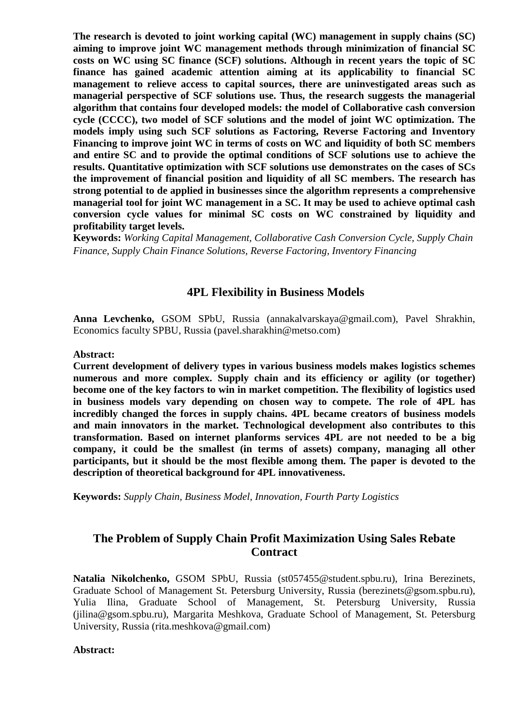**The research is devoted to joint working capital (WC) management in supply chains (SC) aiming to improve joint WC management methods through minimization of financial SC costs on WC using SC finance (SCF) solutions. Although in recent years the topic of SC finance has gained academic attention aiming at its applicability to financial SC management to relieve access to capital sources, there are uninvestigated areas such as managerial perspective of SCF solutions use. Thus, the research suggests the managerial algorithm that contains four developed models: the model of Collaborative cash conversion cycle (CCCC), two model of SCF solutions and the model of joint WC optimization. The models imply using such SCF solutions as Factoring, Reverse Factoring and Inventory Financing to improve joint WC in terms of costs on WC and liquidity of both SC members and entire SC and to provide the optimal conditions of SCF solutions use to achieve the results. Quantitative optimization with SCF solutions use demonstrates on the cases of SCs the improvement of financial position and liquidity of all SC members. The research has strong potential to de applied in businesses since the algorithm represents a comprehensive managerial tool for joint WC management in a SC. It may be used to achieve optimal cash conversion cycle values for minimal SC costs on WC constrained by liquidity and profitability target levels.**

**Keywords:** *Working Capital Management, Collaborative Cash Conversion Cycle, Supply Chain Finance, Supply Chain Finance Solutions, Reverse Factoring, Inventory Financing*

### **4PL Flexibility in Business Models**

**Anna Levchenko,** GSOM SPbU, Russia (annakalvarskaya@gmail.com), Pavel Shrakhin, Economics faculty SPBU, Russia (pavel.sharakhin@metso.com)

#### **Abstract:**

**Current development of delivery types in various business models makes logistics schemes numerous and more complex. Supply chain and its efficiency or agility (or together) become one of the key factors to win in market competition. The flexibility of logistics used in business models vary depending on chosen way to compete. The role of 4PL has incredibly changed the forces in supply chains. 4PL became creators of business models and main innovators in the market. Technological development also contributes to this transformation. Based on internet planforms services 4PL are not needed to be a big company, it could be the smallest (in terms of assets) company, managing all other participants, but it should be the most flexible among them. The paper is devoted to the description of theoretical background for 4PL innovativeness.**

**Keywords:** *Supply Chain, Business Model, Innovation, Fourth Party Logistics*

### **The Problem of Supply Chain Profit Maximization Using Sales Rebate Contract**

**Natalia Nikolchenko,** GSOM SPbU, Russia (st057455@student.spbu.ru), Irina Berezinets, Graduate School of Management St. Petersburg University, Russia (berezinets@gsom.spbu.ru), Yulia Ilina, Graduate School of Management, St. Petersburg University, Russia (jilina@gsom.spbu.ru), Margarita Meshkova, Graduate School of Management, St. Petersburg University, Russia (rita.meshkova@gmail.com)

#### **Abstract:**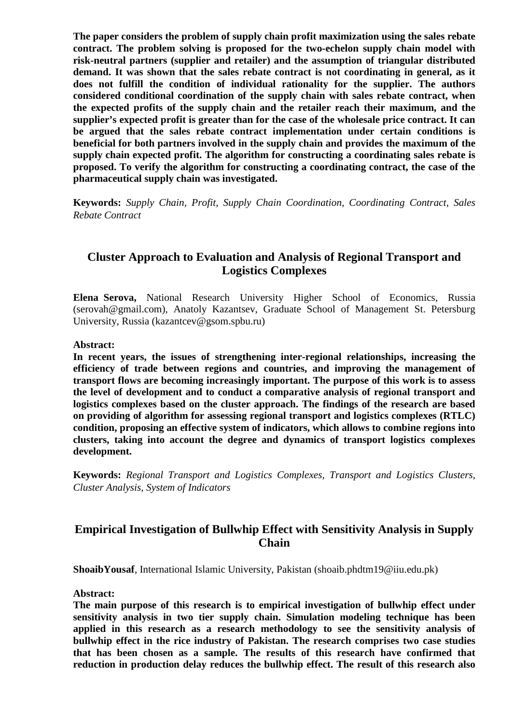**The paper considers the problem of supply chain profit maximization using the sales rebate contract. The problem solving is proposed for the two-echelon supply chain model with risk-neutral partners (supplier and retailer) and the assumption of triangular distributed demand. It was shown that the sales rebate contract is not coordinating in general, as it does not fulfill the condition of individual rationality for the supplier. The authors considered conditional coordination of the supply chain with sales rebate contract, when the expected profits of the supply chain and the retailer reach their maximum, and the supplier's expected profit is greater than for the case of the wholesale price contract. It can be argued that the sales rebate contract implementation under certain conditions is beneficial for both partners involved in the supply chain and provides the maximum of the supply chain expected profit. The algorithm for constructing a coordinating sales rebate is proposed. To verify the algorithm for constructing a coordinating contract, the case of the pharmaceutical supply chain was investigated.**

**Keywords:** *Supply Chain, Profit, Supply Chain Coordination, Coordinating Contract, Sales Rebate Contract*

# **Cluster Approach to Evaluation and Analysis of Regional Transport and Logistics Complexes**

**Elena Serova,** National Research University Higher School of Economics, Russia (serovah@gmail.com), Anatoly Kazantsev, Graduate School of Management St. Petersburg University, Russia (kazantcev@gsom.spbu.ru)

#### **Abstract:**

**In recent years, the issues of strengthening inter-regional relationships, increasing the efficiency of trade between regions and countries, and improving the management of transport flows are becoming increasingly important. The purpose of this work is to assess the level of development and to conduct a comparative analysis of regional transport and logistics complexes based on the cluster approach. The findings of the research are based on providing of algorithm for assessing regional transport and logistics complexes (RTLC) condition, proposing an effective system of indicators, which allows to combine regions into clusters, taking into account the degree and dynamics of transport logistics complexes development.**

**Keywords:** *Regional Transport and Logistics Complexes, Transport and Logistics Clusters, Cluster Analysis, System of Indicators*

# **Empirical Investigation of Bullwhip Effect with Sensitivity Analysis in Supply Chain**

**ShoaibYousaf**, International Islamic University, Pakistan (shoaib.phdtm19@iiu.edu.pk)

#### **Abstract:**

**The main purpose of this research is to empirical investigation of bullwhip effect under sensitivity analysis in two tier supply chain. Simulation modeling technique has been applied in this research as a research methodology to see the sensitivity analysis of bullwhip effect in the rice industry of Pakistan. The research comprises two case studies that has been chosen as a sample. The results of this research have confirmed that reduction in production delay reduces the bullwhip effect. The result of this research also**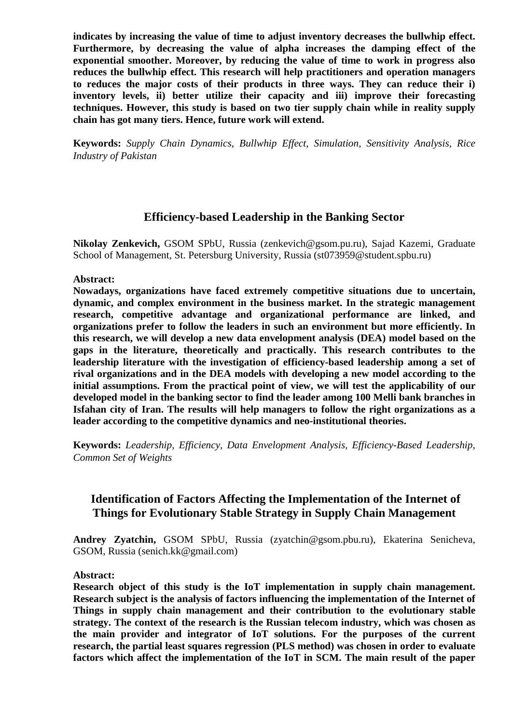**indicates by increasing the value of time to adjust inventory decreases the bullwhip effect. Furthermore, by decreasing the value of alpha increases the damping effect of the exponential smoother. Moreover, by reducing the value of time to work in progress also reduces the bullwhip effect. This research will help practitioners and operation managers to reduces the major costs of their products in three ways. They can reduce their i) inventory levels, ii) better utilize their capacity and iii) improve their forecasting techniques. However, this study is based on two tier supply chain while in reality supply chain has got many tiers. Hence, future work will extend.**

**Keywords:** *Supply Chain Dynamics, Bullwhip Effect, Simulation, Sensitivity Analysis, Rice Industry of Pakistan*

### **Efficiency-based Leadership in the Banking Sector**

**Nikolay Zenkevich,** GSOM SPbU, Russia (zenkevich@gsom.pu.ru), Sajad Kazemi, Graduate School of Management, St. Petersburg University, Russia (st073959@student.spbu.ru)

**Abstract:**

**Nowadays, organizations have faced extremely competitive situations due to uncertain, dynamic, and complex environment in the business market. In the strategic management research, competitive advantage and organizational performance are linked, and organizations prefer to follow the leaders in such an environment but more efficiently. In this research, we will develop a new data envelopment analysis (DEA) model based on the gaps in the literature, theoretically and practically. This research contributes to the leadership literature with the investigation of efficiency-based leadership among a set of rival organizations and in the DEA models with developing a new model according to the initial assumptions. From the practical point of view, we will test the applicability of our developed model in the banking sector to find the leader among 100 Melli bank branches in Isfahan city of Iran. The results will help managers to follow the right organizations as a leader according to the competitive dynamics and neo-institutional theories.**

**Keywords:** *Leadership, Efficiency, Data Envelopment Analysis, Efficiency-Based Leadership, Common Set of Weights*

# **Identification of Factors Affecting the Implementation of the Internet of Things for Evolutionary Stable Strategy in Supply Chain Management**

**Andrey Zyatchin,** GSOM SPbU, Russia (zyatchin@gsom.pbu.ru), Ekaterina Senicheva, GSOM, Russia (senich.kk@gmail.com)

### **Abstract:**

**Research object of this study is the IoT implementation in supply chain management. Research subject is the analysis of factors influencing the implementation of the Internet of Things in supply chain management and their contribution to the evolutionary stable strategy. The context of the research is the Russian telecom industry, which was chosen as the main provider and integrator of IoT solutions. For the purposes of the current research, the partial least squares regression (PLS method) was chosen in order to evaluate factors which affect the implementation of the IoT in SCM. The main result of the paper**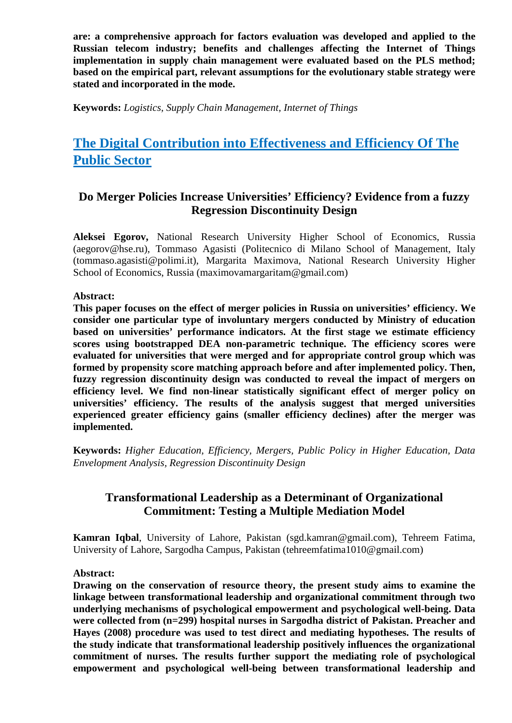**are: a comprehensive approach for factors evaluation was developed and applied to the Russian telecom industry; benefits and challenges affecting the Internet of Things implementation in supply chain management were evaluated based on the PLS method; based on the empirical part, relevant assumptions for the evolutionary stable strategy were stated and incorporated in the mode.**

**Keywords:** *Logistics, Supply Chain Management, Internet of Things*

# **The Digital Contribution into Effectiveness and Efficiency Of The Public Sector**

# **Do Merger Policies Increase Universities' Efficiency? Evidence from a fuzzy Regression Discontinuity Design**

**Aleksei Egorov,** National Research University Higher School of Economics, Russia (aegorov@hse.ru), Tommaso Agasisti (Politecnico di Milano School of Management, Italy (tommaso.agasisti@polimi.it), Margarita Maximova, National Research University Higher School of Economics, Russia (maximovamargaritam@gmail.com)

### **Abstract:**

**This paper focuses on the effect of merger policies in Russia on universities' efficiency. We consider one particular type of involuntary mergers conducted by Ministry of education based on universities' performance indicators. At the first stage we estimate efficiency scores using bootstrapped DEA non-parametric technique. The efficiency scores were evaluated for universities that were merged and for appropriate control group which was formed by propensity score matching approach before and after implemented policy. Then, fuzzy regression discontinuity design was conducted to reveal the impact of mergers on efficiency level. We find non-linear statistically significant effect of merger policy on universities' efficiency. The results of the analysis suggest that merged universities experienced greater efficiency gains (smaller efficiency declines) after the merger was implemented.**

**Keywords:** *Higher Education, Efficiency, Mergers, Public Policy in Higher Education, Data Envelopment Analysis, Regression Discontinuity Design*

# **Transformational Leadership as a Determinant of Organizational Commitment: Testing a Multiple Mediation Model**

**Kamran Iqbal**, University of Lahore, Pakistan (sgd.kamran@gmail.com), Tehreem Fatima, University of Lahore, Sargodha Campus, Pakistan (tehreemfatima1010@gmail.com)

### **Abstract:**

**Drawing on the conservation of resource theory, the present study aims to examine the linkage between transformational leadership and organizational commitment through two underlying mechanisms of psychological empowerment and psychological well-being. Data were collected from (n=299) hospital nurses in Sargodha district of Pakistan. Preacher and Hayes (2008) procedure was used to test direct and mediating hypotheses. The results of the study indicate that transformational leadership positively influences the organizational commitment of nurses. The results further support the mediating role of psychological empowerment and psychological well-being between transformational leadership and**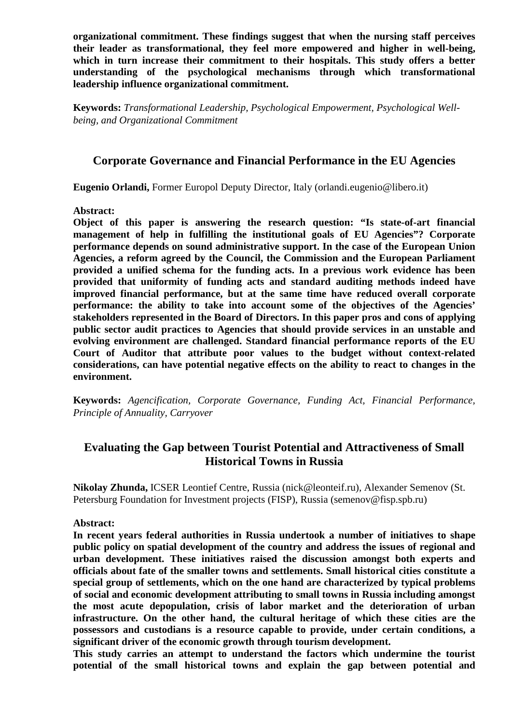**organizational commitment. These findings suggest that when the nursing staff perceives their leader as transformational, they feel more empowered and higher in well-being, which in turn increase their commitment to their hospitals. This study offers a better understanding of the psychological mechanisms through which transformational leadership influence organizational commitment.**

**Keywords:** *Transformational Leadership, Psychological Empowerment, Psychological Wellbeing, and Organizational Commitment*

### **Corporate Governance and Financial Performance in the EU Agencies**

**Eugenio Orlandi,** Former Europol Deputy Director, Italy (orlandi.eugenio@libero.it)

#### **Abstract:**

**Object of this paper is answering the research question: "Is state-of-art financial management of help in fulfilling the institutional goals of EU Agencies"? Corporate performance depends on sound administrative support. In the case of the European Union Agencies, a reform agreed by the Council, the Commission and the European Parliament provided a unified schema for the funding acts. In a previous work evidence has been provided that uniformity of funding acts and standard auditing methods indeed have improved financial performance, but at the same time have reduced overall corporate performance: the ability to take into account some of the objectives of the Agencies' stakeholders represented in the Board of Directors. In this paper pros and cons of applying public sector audit practices to Agencies that should provide services in an unstable and evolving environment are challenged. Standard financial performance reports of the EU Court of Auditor that attribute poor values to the budget without context-related considerations, can have potential negative effects on the ability to react to changes in the environment.**

**Keywords:** *Agencification, Corporate Governance, Funding Act, Financial Performance, Principle of Annuality, Carryover*

# **Evaluating the Gap between Tourist Potential and Attractiveness of Small Historical Towns in Russia**

**Nikolay Zhunda,** ICSER Leontief Centre, Russia (nick@leonteif.ru), Alexander Semenov (St. Petersburg Foundation for Investment projects (FISP), Russia (semenov@fisp.spb.ru)

#### **Abstract:**

**In recent years federal authorities in Russia undertook a number of initiatives to shape public policy on spatial development of the country and address the issues of regional and urban development. These initiatives raised the discussion amongst both experts and officials about fate of the smaller towns and settlements. Small historical cities constitute a special group of settlements, which on the one hand are characterized by typical problems of social and economic development attributing to small towns in Russia including amongst the most acute depopulation, crisis of labor market and the deterioration of urban infrastructure. On the other hand, the cultural heritage of which these cities are the possessors and custodians is a resource capable to provide, under certain conditions, a significant driver of the economic growth through tourism development.** 

**This study carries an attempt to understand the factors which undermine the tourist potential of the small historical towns and explain the gap between potential and**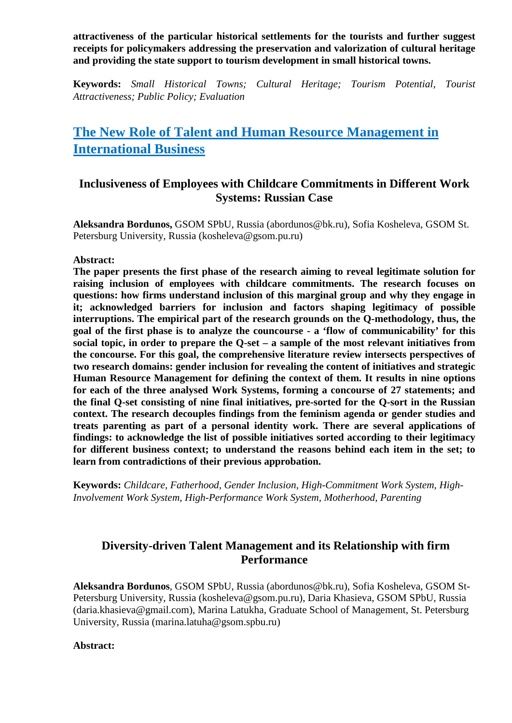**attractiveness of the particular historical settlements for the tourists and further suggest receipts for policymakers addressing the preservation and valorization of cultural heritage and providing the state support to tourism development in small historical towns.**

**Keywords:** *Small Historical Towns; Cultural Heritage; Tourism Potential, Tourist Attractiveness; Public Policy; Evaluation*

# **The New Role of Talent and Human Resource Management in International Business**

# **Inclusiveness of Employees with Childcare Commitments in Different Work Systems: Russian Case**

**Aleksandra Bordunos,** GSOM SPbU, Russia (abordunos@bk.ru), Sofia Kosheleva, GSOM St. Petersburg University, Russia (kosheleva@gsom.pu.ru)

### **Abstract:**

**The paper presents the first phase of the research aiming to reveal legitimate solution for raising inclusion of employees with childcare commitments. The research focuses on questions: how firms understand inclusion of this marginal group and why they engage in it; acknowledged barriers for inclusion and factors shaping legitimacy of possible interruptions. The empirical part of the research grounds on the Q-methodology, thus, the goal of the first phase is to analyze the councourse - a 'flow of communicability' for this social topic, in order to prepare the Q-set – a sample of the most relevant initiatives from the concourse. For this goal, the comprehensive literature review intersects perspectives of two research domains: gender inclusion for revealing the content of initiatives and strategic Human Resource Management for defining the context of them. It results in nine options for each of the three analysed Work Systems, forming a concourse of 27 statements; and the final Q-set consisting of nine final initiatives, pre-sorted for the Q-sort in the Russian context. The research decouples findings from the feminism agenda or gender studies and treats parenting as part of a personal identity work. There are several applications of findings: to acknowledge the list of possible initiatives sorted according to their legitimacy for different business context; to understand the reasons behind each item in the set; to learn from contradictions of their previous approbation.**

**Keywords:** *Childcare, Fatherhood, Gender Inclusion, High-Commitment Work System, High-Involvement Work System, High-Performance Work System, Motherhood, Parenting*

# **Diversity-driven Talent Management and its Relationship with firm Performance**

**Aleksandra Bordunos**, GSOM SPbU, Russia (abordunos@bk.ru), Sofia Kosheleva, GSOM St-Petersburg University, Russia (kosheleva@gsom.pu.ru), Daria Khasieva, GSOM SPbU, Russia (daria.khasieva@gmail.com), Marina Latukha, Graduate School of Management, St. Petersburg University, Russia (marina.latuha@gsom.spbu.ru)

### **Abstract:**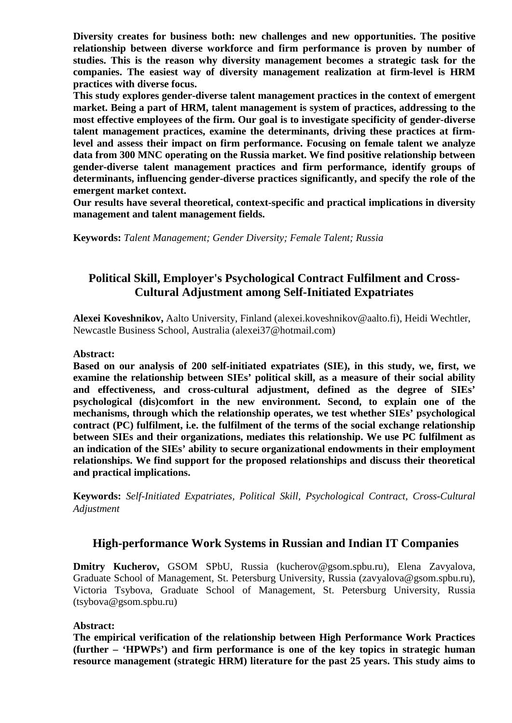**Diversity creates for business both: new challenges and new opportunities. The positive relationship between diverse workforce and firm performance is proven by number of studies. This is the reason why diversity management becomes a strategic task for the companies. The easiest way of diversity management realization at firm-level is HRM practices with diverse focus.**

**This study explores gender-diverse talent management practices in the context of emergent market. Being a part of HRM, talent management is system of practices, addressing to the most effective employees of the firm. Our goal is to investigate specificity of gender-diverse talent management practices, examine the determinants, driving these practices at firmlevel and assess their impact on firm performance. Focusing on female talent we analyze data from 300 MNC operating on the Russia market. We find positive relationship between gender-diverse talent management practices and firm performance, identify groups of determinants, influencing gender-diverse practices significantly, and specify the role of the emergent market context.**

**Our results have several theoretical, context-specific and practical implications in diversity management and talent management fields.**

**Keywords:** *Talent Management; Gender Diversity; Female Talent; Russia*

# **Political Skill, Employer's Psychological Contract Fulfilment and Cross-Cultural Adjustment among Self-Initiated Expatriates**

**Alexei Koveshnikov,** Aalto University, Finland (alexei.koveshnikov@aalto.fi), Heidi Wechtler, Newcastle Business School, Australia (alexei37@hotmail.com)

### **Abstract:**

**Based on our analysis of 200 self-initiated expatriates (SIE), in this study, we, first, we examine the relationship between SIEs' political skill, as a measure of their social ability and effectiveness, and cross-cultural adjustment, defined as the degree of SIEs' psychological (dis)comfort in the new environment. Second, to explain one of the mechanisms, through which the relationship operates, we test whether SIEs' psychological contract (PC) fulfilment, i.e. the fulfilment of the terms of the social exchange relationship between SIEs and their organizations, mediates this relationship. We use PC fulfilment as an indication of the SIEs' ability to secure organizational endowments in their employment relationships. We find support for the proposed relationships and discuss their theoretical and practical implications.**

**Keywords:** *Self-Initiated Expatriates, Political Skill, Psychological Contract, Cross-Cultural Adjustment*

### **High-performance Work Systems in Russian and Indian IT Companies**

**Dmitry Kucherov,** GSOM SPbU, Russia (kucherov@gsom.spbu.ru), Elena Zavyalova, Graduate School of Management, St. Petersburg University, Russia (zavyalova@gsom.spbu.ru), Victoria Tsybova, Graduate School of Management, St. Petersburg University, Russia (tsybova@gsom.spbu.ru)

### **Abstract:**

**The empirical verification of the relationship between High Performance Work Practices (further – 'HPWPs') and firm performance is one of the key topics in strategic human resource management (strategic HRM) literature for the past 25 years. This study aims to**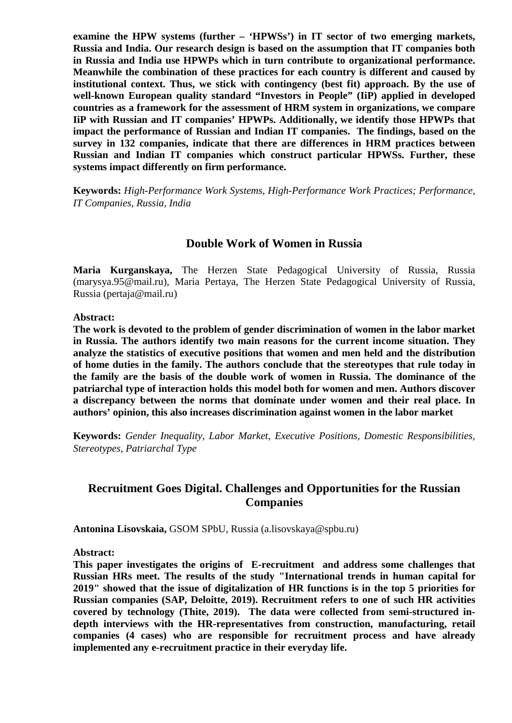**examine the HPW systems (further – 'HPWSs') in IT sector of two emerging markets, Russia and India. Our research design is based on the assumption that IT companies both in Russia and India use HPWPs which in turn contribute to organizational performance. Meanwhile the combination of these practices for each country is different and caused by institutional context. Thus, we stick with contingency (best fit) approach. By the use of well-known European quality standard "Investors in People" (IiP) applied in developed countries as a framework for the assessment of HRM system in organizations, we compare IiP with Russian and IT companies' HPWPs. Additionally, we identify those HPWPs that impact the performance of Russian and Indian IT companies. The findings, based on the survey in 132 companies, indicate that there are differences in HRM practices between Russian and Indian IT companies which construct particular HPWSs. Further, these systems impact differently on firm performance.**

**Keywords:** *High-Performance Work Systems, High-Performance Work Practices; Performance, IT Companies, Russia, India*

### **Double Work of Women in Russia**

**Maria Kurganskaya,** The Herzen State Pedagogical University of Russia, Russia (marysya.95@mail.ru), Maria Pertaya, The Herzen State Pedagogical University of Russia, Russia (pertaja@mail.ru)

#### **Abstract:**

**The work is devoted to the problem of gender discrimination of women in the labor market in Russia. The authors identify two main reasons for the current income situation. They analyze the statistics of executive positions that women and men held and the distribution of home duties in the family. The authors conclude that the stereotypes that rule today in the family are the basis of the double work of women in Russia. The dominance of the patriarchal type of interaction holds this model both for women and men. Authors discover a discrepancy between the norms that dominate under women and their real place. In authors' opinion, this also increases discrimination against women in the labor market**

**Keywords:** *Gender Inequality, Labor Market, Executive Positions, Domestic Responsibilities, Stereotypes, Patriarchal Type*

# **Recruitment Goes Digital. Challenges and Opportunities for the Russian Companies**

**Antonina Lisovskaia,** GSOM SPbU, Russia (a.lisovskaya@spbu.ru)

**Abstract:**

**This paper investigates the origins of E-recruitment and address some challenges that Russian HRs meet. The results of the study "International trends in human capital for 2019" showed that the issue of digitalization of HR functions is in the top 5 priorities for Russian companies (SAP, Deloitte, 2019). Recruitment refers to one of such HR activities covered by technology (Thite, 2019). The data were collected from semi-structured indepth interviews with the HR-representatives from construction, manufacturing, retail companies (4 cases) who are responsible for recruitment process and have already implemented any e-recruitment practice in their everyday life.**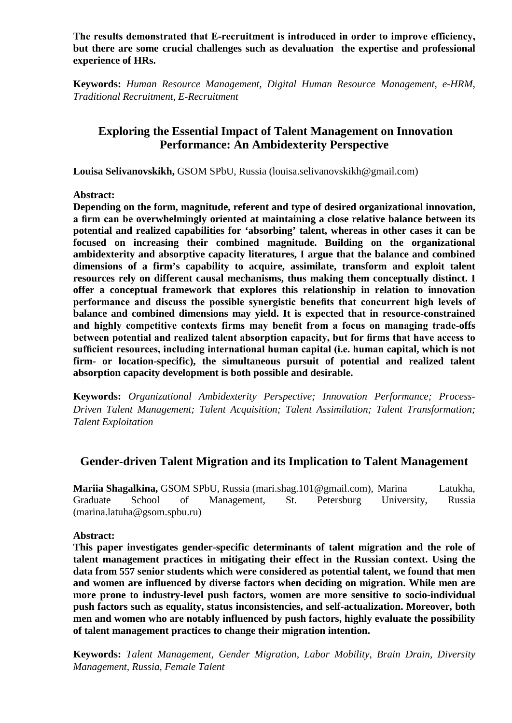**The results demonstrated that E‐recruitment is introduced in order to improve efficiency, but there are some crucial challenges such as devaluation the expertise and professional experience of HRs.**

**Keywords:** *Human Resource Management, Digital Human Resource Management, e-HRM, Traditional Recruitment, E-Recruitment*

# **Exploring the Essential Impact of Talent Management on Innovation Performance: An Ambidexterity Perspective**

**Louisa Selivanovskikh,** GSOM SPbU, Russia (louisa.selivanovskikh@gmail.com)

**Abstract:**

**Depending on the form, magnitude, referent and type of desired organizational innovation, a firm can be overwhelmingly oriented at maintaining a close relative balance between its potential and realized capabilities for 'absorbing' talent, whereas in other cases it can be focused on increasing their combined magnitude. Building on the organizational ambidexterity and absorptive capacity literatures, I argue that the balance and combined dimensions of a firm's capability to acquire, assimilate, transform and exploit talent resources rely on different causal mechanisms, thus making them conceptually distinct. I offer a conceptual framework that explores this relationship in relation to innovation performance and discuss the possible synergistic benefits that concurrent high levels of balance and combined dimensions may yield. It is expected that in resource-constrained and highly competitive contexts firms may benefit from a focus on managing trade-offs between potential and realized talent absorption capacity, but for firms that have access to sufficient resources, including international human capital (i.e. human capital, which is not firm- or location-specific), the simultaneous pursuit of potential and realized talent absorption capacity development is both possible and desirable.**

**Keywords:** *Organizational Ambidexterity Perspective; Innovation Performance; Process-Driven Talent Management; Talent Acquisition; Talent Assimilation; Talent Transformation; Talent Exploitation*

# **Gender-driven Talent Migration and its Implication to Talent Management**

**Mariia Shagalkina,** GSOM SPbU, Russia (mari.shag.101@gmail.com), Marina Latukha, Graduate School of Management, St. Petersburg University, Russia (marina.latuha@gsom.spbu.ru)

**Abstract:**

**This paper investigates gender-specific determinants of talent migration and the role of talent management practices in mitigating their effect in the Russian context. Using the data from 557 senior students which were considered as potential talent, we found that men and women are influenced by diverse factors when deciding on migration. While men are more prone to industry-level push factors, women are more sensitive to socio-individual push factors such as equality, status inconsistencies, and self-actualization. Moreover, both men and women who are notably influenced by push factors, highly evaluate the possibility of talent management practices to change their migration intention.**

**Keywords:** *Talent Management, Gender Migration, Labor Mobility, Brain Drain, Diversity Management, Russia, Female Talent*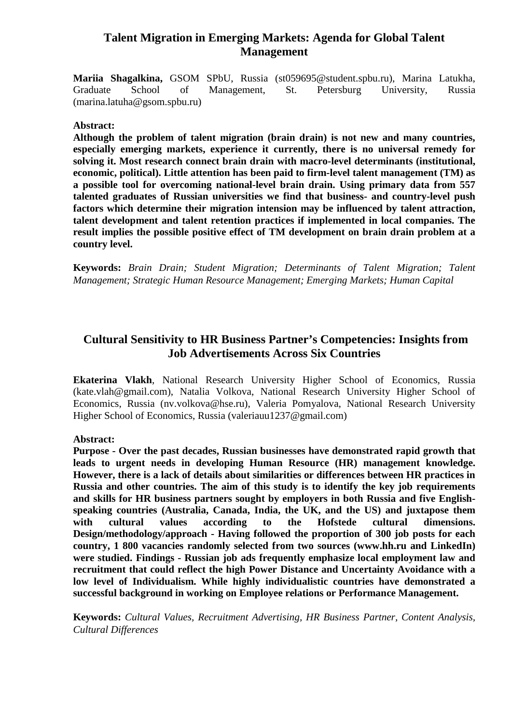# **Talent Migration in Emerging Markets: Agenda for Global Talent Management**

**Mariia Shagalkina,** GSOM SPbU, Russia (st059695@student.spbu.ru), Marina Latukha, Graduate School of Management, St. Petersburg University, Russia (marina.latuha@gsom.spbu.ru)

### **Abstract:**

**Although the problem of talent migration (brain drain) is not new and many countries, especially emerging markets, experience it currently, there is no universal remedy for solving it. Most research connect brain drain with macro-level determinants (institutional, economic, political). Little attention has been paid to firm-level talent management (TM) as a possible tool for overcoming national-level brain drain. Using primary data from 557 talented graduates of Russian universities we find that business- and country-level push factors which determine their migration intension may be influenced by talent attraction, talent development and talent retention practices if implemented in local companies. The result implies the possible positive effect of TM development on brain drain problem at a country level.**

**Keywords:** *Brain Drain; Student Migration; Determinants of Talent Migration; Talent Management; Strategic Human Resource Management; Emerging Markets; Human Capital*

# **Cultural Sensitivity to HR Business Partner's Competencies: Insights from Job Advertisements Across Six Countries**

**Ekaterina Vlakh**, National Research University Higher School of Economics, Russia (kate.vlah@gmail.com), Natalia Volkova, National Research University Higher School of Economics, Russia (nv.volkova@hse.ru), Valeria Pomyalova, National Research University Higher School of Economics, Russia (valeriauu1237@gmail.com)

### **Abstract:**

**Purpose - Over the past decades, Russian businesses have demonstrated rapid growth that leads to urgent needs in developing Human Resource (HR) management knowledge. However, there is a lack of details about similarities or differences between HR practices in Russia and other countries. The aim of this study is to identify the key job requirements and skills for HR business partners sought by employers in both Russia and five Englishspeaking countries (Australia, Canada, India, the UK, and the US) and juxtapose them with cultural values according to the Hofstede cultural dimensions. Design/methodology/approach - Having followed the proportion of 300 job posts for each country, 1 800 vacancies randomly selected from two sources (www.hh.ru and LinkedIn) were studied. Findings - Russian job ads frequently emphasize local employment law and recruitment that could reflect the high Power Distance and Uncertainty Avoidance with a low level of Individualism. While highly individualistic countries have demonstrated a successful background in working on Employee relations or Performance Management.**

**Keywords:** *Cultural Values, Recruitment Advertising, HR Business Partner, Content Analysis, Cultural Differences*